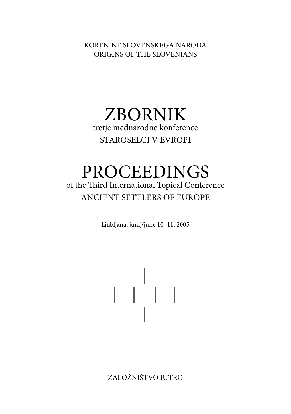KORENINE SLOVENSKEGA NARODA ORIGINS OF THE SLOVENIANS

## ZBORNIK tretje mednarodne konference STAROSELCI V EVROPI

## PROCEEDINGS of the Third International Topical Conference ANCIENT SETTLERS OF EUROPE

Ljubljana, junij/june 10–11, 2005

 $\begin{array}{c} \begin{array}{c} 1 \\ 1 \end{array} \\ \begin{array}{c} 1 \\ 1 \end{array} \end{array}$ 

ZALOŽNIŠTVO JUTRO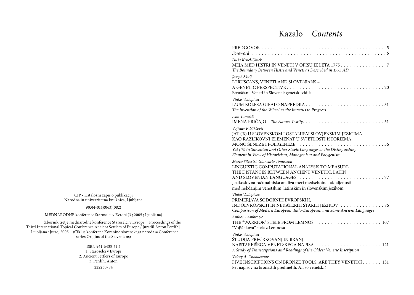## Kazalo *Contents*

| Duša Krnel-Umek<br>MEJA MED HISTRI IN VENETI V OPISU IZ LETA 1775 7<br>The Boundary Between Histri and Veneti as Described in 1775 AD                                                                                                                                                                      |
|------------------------------------------------------------------------------------------------------------------------------------------------------------------------------------------------------------------------------------------------------------------------------------------------------------|
| Joseph Skulj<br>ETRUSCANS, VENETI AND SLOVENIANS -<br>Etruščani, Veneti in Slovenci: genetski vidik                                                                                                                                                                                                        |
| Vinko Vodopivec<br>The Invention of the Wheel as the Impetus to Progress                                                                                                                                                                                                                                   |
| Ivan Tomažič<br>IMENA PRIČAJO - The Names Testify51                                                                                                                                                                                                                                                        |
| Vojislav P. Nikčević<br>JAT (*b) U SLOVENSKOM I OSTALIJEM SLOVJENSKIM JEZICIMA<br>KAO RAZLIKOVNI ELEMENAT U SVJETLOSTI ISTORIZMA,<br>. 56<br>MONOGENEZE I POLIGENEZE<br>Yat (B) in Slovenian and Other Slavic Languages as the Distinguishing<br>Element in View of Historicism, Monogenism and Polygenism |
| Marco Silvestri, Giancarlo Tomezzoli<br>LINGUISTIC COMPUTATIONAL ANALYSIS TO MEASURE<br>THE DISTANCES BETWEEN ANCIENT VENETIC, LATIN,<br>Jezikoslovna računalniška analiza meri medsebojne oddaljenosti<br>med nekdanjim venetskim, latinskim in slovenskim jezikom                                        |
| Vinko Vodopivec<br>PRIMERJAVA SODOBNIH EVROPSKIH,<br>INDOEVROPSKIH IN NEKATERIH STARIH JEZIKOV 86<br>Comparison of Modern European, Indo-European, and Some Ancient Languages                                                                                                                              |
| Anthony Ambrozic<br>"Vojščakova" stela z Lemnosa                                                                                                                                                                                                                                                           |
| Vinko Vodopivec<br>ŠTUDIJA PREČRKOVANJ IN BRANJ<br>A Study of Transcriptions and Readings of the Oldest Venetic Inscription                                                                                                                                                                                |
| Valery A. Choodeenov<br>FIVE INSCRIPTIONS ON BRONZE TOOLS. ARE THEY VENETIC?. 131<br>Pet napisov na bronastih predmetih. Ali so venetski?                                                                                                                                                                  |

CIP - Kataložni zapis o publikaciji Narodna in univerzitetna knjižnica, Ljubljana

#### 903(4-014)(063)(082)

MEDNARODNE konference Staroselci v Evropi (3 ; 2005 ; Ljubljana)

Zbornik tretje mednarodne konference Staroselci v Evropi = Proceedings of the Third International Topical Conference Ancient Settlers of Europe / [uredil Anton Perdih]. - Ljubljana : Jutro, 2005. - (Ciklus konferenc Korenine slovenskega naroda = Conference series Origins of the Slovenians)

> ISBN 961-6433-51-2 1. Staroselci v Evropi 2. Ancient Settlers of Europe 3. Perdih, Anton 222230784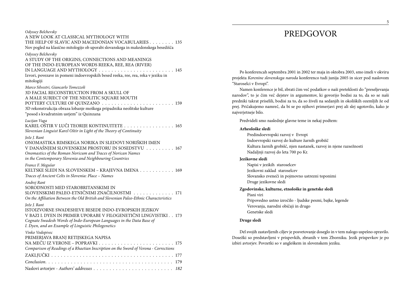| Odyssey Belchevsky<br>A NEW LOOK AT CLASSICAL MYTHOLOGY WITH<br>THE HELP OF SLAVIC AND MACEDONIAN VOCABULARIES 135<br>Nov pogled na klasično mitologijo ob uporabi slovanskega in makedonskega besedišča                                                                |
|-------------------------------------------------------------------------------------------------------------------------------------------------------------------------------------------------------------------------------------------------------------------------|
| Odyssey Belchevsky<br>A STUDY OF THE ORIGINS, CONNECTIONS AND MEANINGS<br>OF THE INDO-EUROPEAN WORDS REEKA, REE, REA (RIVER)<br>IN LANGUAGE AND MYTHOLOGY  145<br>Izvori, povezave in pomeni indoevropskih besed reeka, ree, rea, reka v jeziku in<br>mitologiji        |
| Marco Silvestri, Giancarlo Tomezzoli<br>3D FACIAL RECONSTRUCTION FROM A SKULL OF<br>A MALE SUBJECT OF THE NEOLITIC SQUARE MOUTH<br>3D rekonstrukcija obraza lobanje moškega pripadnika neolitske kulture<br>"posod s kvadratnim ustjem" iz Quinzana                     |
| Lucijan Vuga<br>KAREL OŠTIR V LUČI TEORIJE KONTINUITETE 165<br>Slovenian Linguist Karel Oštir in Light of the Theory of Continuity                                                                                                                                      |
| Jože J. Rant<br>ONOMASTIKA RIMSKEGA NORIKA IN SLEDOVI NORIŠKIH IMEN<br>V DANAŠNJEM SLOVENSKEM PROSTORU IN SOSEDSTVU 167<br>Onomastics of the Roman Noricum and Traces of Norican Names<br>in the Contemporary Slovenia and Neighbouring Countries                       |
| France F. Megušar<br>KELTSKE SLEDI NA SLOVENSKEM – KRAJEVNA IMENA 169<br>Traces of Ancient Celts in Slovenia: Place - Names                                                                                                                                             |
| Andrej Rant<br>SORODNOSTI MED STAROBRITANSKIMI IN<br>SLOVENSKIMI PALEO-ETNIČNIMI ZNAČILNOSTMI   .  .  171<br>On the Affiliation Between the Old British and Slovenian Paleo-Ethnic Characteristics                                                                      |
| Jože J. Rant<br>ISTOIZVORNE SWADESHEVE BESEDE INDO-EVROPSKIH JEZIKOV<br>V BAZI I. DYEN IN PRIMER UPORABE V FILOGENETIČNI LINGVISTIKI 173<br>Cognate Swadesh Words of Indo-European Languages in the Data Base of<br>I. Dyen, and an Example of Linguistic Philogenetics |
| Vinko Vodopivec<br>PRIMERJAVA BRANJ RETIJSKEGA NAPISA<br>Comparison of Readings of a Rhaetian Inscription on the Sword of Verona - Corrections                                                                                                                          |
|                                                                                                                                                                                                                                                                         |
|                                                                                                                                                                                                                                                                         |
|                                                                                                                                                                                                                                                                         |

## PREDGOVOR

Po konferencah septembra 2001 in 2002 ter maja in oktobra 2003, smo imeli v okviru projekta *Korenine slovenskega naroda* konferenco tudi junija 2005 in sicer pod naslovom "Staroselci v Evropi".

Namen konference je bil, zbrati čim več podatkov o naši preteklosti do "preseljevanja narodov", to je čim več dejstev in argumentov, ki govorijo bodisi za to, da so se naši predniki takrat priselili, bodisi za to, da so živeli na sedanjih in okoliških ozemljih že od prej. Pričakujemo namreč, da bi se po njihovi primerjavi prej ali slej ugotovilo, kako je najverjetneje bilo.

Predvideli smo naslednje glavne teme in nekaj podtem:

#### **Arheološke sledi**

Predindoevropski razvoj v Evropi Indoevropski razvoj do kulture žarnih grobišč Kultura žarnih grobišč, njen nastanek, razvoj in njene razsežnosti Nadaljnji razvoj do leta 700 po Kr.

#### **Jezikovne sledi**

Napisi v jezikih staroselcev Jezikovni zaklad staroselcev Slovansko zveneči in pojmovno ustrezni toponimi Druge jezikovne sledi

#### **Zgodovinske, kulturne, etnološke in genetske sledi**

Pisni viri Pripovedno ustno izročilo - ljudske pesmi, bajke, legende Verovanja, narodni običaji in drugo Genetske sledi

#### **Druge sledi**

Del svojih zastavljenih ciljev je posvetovanje doseglo in v tem nalogo uspešno opravilo. Dosežki so predstavljeni v prispevkih, zbranih v tem Zborniku. Jezik prispevkov je po izbiri avtorjev. Povzetki so v angleškem in slovenskem jeziku.

5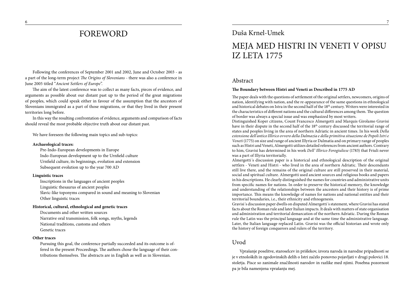## FOREWORD

Following the conferences of September 2001 and 2002, June and October 2003 - as a part of the long-term project *The Origins of Slovenians* - there was also a conference in June 2005 titled "*Ancient Settlers of Europe*".

The aim of the latest conference was to collect as many facts, pieces of evidence, and arguments as possible about our distant past up to the period of the great migrations of peoples, which could speak either in favour of the assumption that the ancestors of Slovenians immigrated as a part of those migrations, or that they lived in their present territories long before.

In this way the resulting confrontation of evidence, arguments and comparison of facts should reveal the most probable objective truth about our distant past.

We have foreseen the following main topics and sub-topics:

#### **Archaeological traces:**

Pre-Indo-European developments in Europe Indo-European development up to the Urnfield culture Urnfield culture, its beginnings, evolution and extension Subsequent evolution up to the year 700 AD

#### **Linguistic traces**

Inscriptions in the languages of ancient peoples Linguistic thesaurus of ancient peoples Slavic-like toponyms compared in sound and meaning to Slovenian Other linguistic traces

#### **Historical, cultural, ethnological and genetic traces**

Documents and other written sources Narrative oral transmission, folk songs, myths, legends National traditions, customs and others Genetic traces

#### **Other traces**

Pursuing this goal, the conference partially succeeded and its outcome is offered in the present Proceedings. The authors chose the language of their contributions themselves. The abstracts are in English as well as in Slovenian.

### Duša Krnel-Umek

## MEJA MED HISTRI IN VENETI V OPISU IZ LETA 1775

#### Abstract

#### **The Boundary between Histri and Veneti as Described in 1775 AD**

The paper deals with the questions of settlement of the original settlers, newcomers, origins of nation, identifying with nation, and the re-appearance of the same questions in ethnological and historical debates on Istra in the second half of the 18th century. Writers were interested in the characteristics of different nations and the cultural differences among them. The question of border was always a special issue and was emphasized by most writers.

Distinguished Koper citizens, Count Francesco Almergotti and Marquis Girolamo Gravisi have in their dispute in the second half of the 18th century discussed the territorial range of states and peoples living in the area of northern Adriatic in ancient times. In his work *Della estensione dell'antico Illirico ovvero della Dalmazia e della primitiva situazione de Popoli Istri e Veneti* (1775) on size and range of ancient Illyria or Dalmatia and on primary range of peoples such as Histri and Veneti, Almergotti utilizes detailed references from ancient authors. Contrary to him, Gravisi has determined in his work *Dell' Illirico Forogiuliese* (1783) that Friuli never was a part of Illyria territorially.

Almergotti´s discussion paper is a historical and ethnological description of the original settlers - Veneti and Histri - who lived in the area of northern Adriatic. Their descendants still live there, and the remains of the original culture are still preserved in their material, social and spiritual culture. Almergotti used ancient sources and religious books and papers in his descriptions. He clearly distinguished the names for countries and administrative units from specific names for nations. In order to preserve the historical memory, the knowledge and understanding of the relationships between the ancestors and their history is of prime importance. This means the knowledge of names for nations and national entities and their territorial boundaries, i.e., their ethnicity and ethnogenesis.

Gravisi's discussion paper dwells on disputed Almergotti's statement, where Gravisi has stated facts about the Roman rule and later Italian impacts. It deals with matters of state organisation and administration and territorial demarcation of the northern Adriatic. During the Roman rule the Latin was the principal language and at the same time the administrative language. Later, the Italian language replaced Latin. Gravisi was the official historian and wrote only the history of foreign conquerors and rulers of the territory.

#### Uvod

Vprašanje poselitve, staroselcev in prišlekov, izvora naroda in narodne pripadnosti se je v etnoloških in zgodovinskih delih o Istri začelo ponovno pojavljati v drugi polovici 18. stoletja. Pisce so zanimale značilnosti narodov in razlike med njimi. Posebna pozornost pa je bila namenjena vprašanju mej.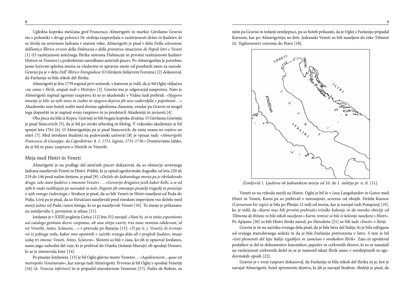Ugledna koprska meščana grof Francesco Almerigotti in markiz Girolamo Gravisi sta v polemiki v drugi polovici 18. stoletja razpravljala o razširjenosti držav in ljudstev, ki so živela na severnem Jadranu v starem veku. Almerigotti je pisal v delu *Della estensione dell'antico Illirico ovvero della Dalmazia e della primitiva situazione de Popoli Istri e Veneti* [1] (O razširjenosti antičnega Ilirika oziroma Dalmacije in prvotni razširjenosti ljudstev Histrov in Venetov) s podrobnimi navedbami antičnih piscev. Po Almerigottiju je potrebno jasno ločevati splošna imena za vladavine in upravne enote od posebnih imen za narode. Gravisi pa je v delu *Dell' Illirico Forogiuliese* (O ilirskem Julijevem Forumu) [2] dokazoval, da Furlanija ni bila nikoli del Ilirika*.*

Almerigotti je leta 1759 napisal prvi sestavek, v katerem je trdil, da je bil Oglej vključen *»ne samo v Ilirik, ampak tudi v Histrijo«* [3]. Gravisi mu je odgovarjal nasprotno. Nato je Almerigotti napisal zgornjo razpravo, ki so jo akademiki v Vidnu tudi prebrali. *»Njegovo mnenje je bilo za njih novo in čudno in njegova dejstva jih niso zadovoljila v popolnosti…*« Akademiki niso hoteli soditi med dvema uglednima članoma, vendar pa Gravisi ni mogel tega dopustiti in je napisal svojo razpravo in jo predstavil Akademiji in javnosti.[4]

Oba pisca sta bila iz Kopra. Gravisiji so bili bogata koprska družina. O Girolamu Gravisiju je pisal Stancovich [5], da je bil po stroki arheolog in filolog. V vidensko akademijo je bil sprejet leta 1761 [6]. O Almerigottiju pa je pisal Stancovich, da nista znana ne rojstvo ne smrt [7]. Med istrskimi študenti na padovanski univerzi [8] je vpisan tudi: *»Almerigotti Francesco, di Giuseppe, da Capodistria« 8. 1. 1731, legista, 1731-1736.*« Domnevamo lahko, da je bil to pisec razprave o Histrih in Venetih.

#### Meja med Histri in Veneti

Almerigotti je na podlagi del antičnih piscev dokazoval, da so območje severnega Jadrana naseljevali Veneti in Histri. Polibij, ki je opisal zgodovinske dogodke od leta 220 ali 219 do 146 pred našim štetjem, je pisal [9]: »*Deželo do Jadranskega morja pa je obvladovalo drugo, zelo staro ljudstvo z imenom Veneti*«. …»*Govorijo drugačen jezik kakor Kelti, a se od njih le malo razlikujejo po navadah in noši. Pogosto jih omenjajo pisatelji tragedij in poročajo o njih mnogo čudovitega*.« Strabon je pisal, da so bili Veneti in Histri naseljeni od Pada do Pulja. Livij pa je pisal, da so Etruščani naseljevali pred rimskim imperijem vso deželo med morji južno od Pada, razen tistega, ki so ga naseljevali Veneti [10]. To stanje je prikazano na zemljevidu 1, povzetem iz atlasa [11].

Jordanes je v XXIII poglavju Getice [12] leta 552 navajal: »*Nam hi, ut in initio expositionis uel catalogo gentium dicere coepimus, ab una stirpe exorti, tria nunc nomina ediderunt, id est Venethi, Antes, Sclaueni;…*« v prevodu po Rutarju [13]: *»Ti pa (t. j. Veneti), ki izvirajo vsi iz jednega rodu, kakor smo opomnili v začetki svojega dela ali v pregledi ljudstev, imajo sedaj tri imena: Veneti, Antes, Sclaveni«*. Sloveni so bili v času, ko jih je opisoval Jordanes, samo jugo-zahodni del veje, ki je prebival do Osjeka (tedanji Mursiji) ob spodnji Donavi, ki se je imenovala Ister [14].

Po pisanju Jordanesa [15] je bil Oglej glavno mesto Venetov… «*Aquileiensem…quae est metropolis Venetiarum«*, kar navaja tudi Almerigotti. Prvotno je bil Oglej v spodnji Venetiji [16] (it. *Venezia inferiore*) in je pripadal starodavnim Venetom [17]. Padre de Rubeis, za njim pa Gravisi in tedanji zemljepisci, pa so hoteli prikazati, da je Oglej s Furlanijo pripadal Karnom, kar po Almerigottiju ne drži. Jadranski Veneti so bili naseljeni do reke Tilment (it. *Tagliamento*) oziroma do Piave [18].



*Zemljevid 1. Ljudstva ob Jadranskem morju od 10. do 1. stoletja pr. n. št. [11].*

Veneti so na vzhodu mejili na Histre. Oglej je bil še v času Langobardov in Gotov med Histri in Veneti, Karni pa so prebivali v notranjosti, severno od obojih. Dežela Karnov (*Carnorum hic regio*) je bila po Pliniju 12 milj od morja, kar je navajal tudi Pomponij [19], ko je trdil, da *»Karni niso bili prvotni prebivalci tržaške kolonije in da morsko obrežje od Tilmenta do Rižane ni bilo nikoli naseljeno s Karni, temveč so bile te kolonije naseljene s Histri«.* Po Apijanu [20] so bili Histri ilirski narod, po Herodotu [21] so bili tudi »*Eneti*« v Iliriji.

Gravisi je že na začetku svojega dela pisal, da je bila Istra del Italije, ki je bila odtrgana od svojega starodavnega sedeža in da je bila Furlanija pretvorjena v Istro. S tem je bil *»tisti plemeniti del lepe Italije izgubljen in zamešan v mrakoben Ilirik«*. Zato ni upošteval podatkov iz del in dokumentov kanonikov, papežev in cerkvenih zborov, ki so se nanašali na razširjenost cerkvenih dežel in se je namenil iskati Ilirik samo v zemljepisnih in zgodovinskih opisih [22].

Gravisi je v svoji razpravi dokazoval, da Furlanija ni bila nikoli del Ilirika in je, kot je navajal Almerigotti, hotel spremeniti dejstva, ki jih je navajal Strabon. Slednji je pisal, da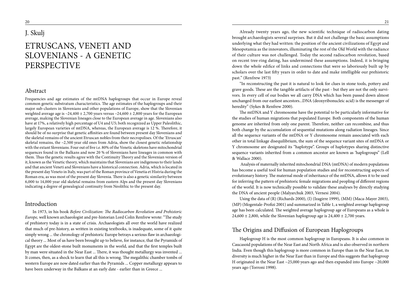### J. Skulj

## ETRUSCANS, VENETI AND SLOVENIANS - A GENETIC PERSPECTIVE

#### Abstract

Frequencies and age estimates of the mtDNA haplogroups that occur in Europe reveal common genetic substratum characteristics. The age estimates of the haplogroups and their major sub-clusters in Slovenians and other populations of Europe, show that the Slovenian weighted average age is  $\sim$ 24,400 ± 2,700 years versus  $\sim$ 24,600 ± 2,800 years for the European average, making the Slovenian lineages close to the European average in age. Slovenians also have at 17%, a relatively high percentage of U4 and U5; both recognized as Upper Paleolithic, largely European varieties of mtDNA, whereas, the European average is 12 %. Therefore, it should be of no surprise that genetic affinities are found between present day Slovenians and the skeletal remains of the ancient Etruscan nobles from their necropolises. Of the 'Etruscan' skeletal remains, the ~2,500 year old ones from Adria, show the closest genetic relationship with the extant Slovenians. Four out of five i.e. 80% of the Venetic skeletons have mitochondrial sequences found in the Balkans and now 20 % of Slovenians have lineages in common with them. Thus the genetic results agree with the Continuity Theory and the Slovenian version of it, known as the Venetic theory, which maintains that Slovenians are indigenous to their lands and that ancient Veneti and Slovenians have a historical connection. Adria, which is located in the present day Veneto in Italy, was part of the Roman province of Venetia et Histria during the Roman era, as was most of the present day Slovenia. There is also a genetic similarity between 6,000 to 14,000 year old skeletal remains from eastern Alps and the present day Slovenians indicating a degree of genealogical continuity from Neolithic to the present day.

#### Introduction

In 1973, in his book *Before Civilization: The Radiocarbon Revolution and Prehistoric Europe,* well known archaeologist and pre-historian Lord Colin Renfrew wrote: "The study of prehistory today is in a state of crisis. Archaeologists all over the world have realized that much of pre-history, as written in existing textbooks, is inadequate, some of it quite simply wrong ... the chronology of prehistoric Europe betrays a serious flaw in archaeological theory ... Most of us have been brought up to believe, for instance, that the Pyramids of Egypt are the oldest-stone built monuments in the world, and that the first temples built by man were situated in the Near East ... There, it was thought metallurgy was invented ... It comes, then, as a shock to learn that all this is wrong. The megalithic chamber tombs of western Europe are now dated earlier than the Pyramids ... Copper metallurgy appears to have been underway in the Balkans at an early date - earlier than in Greece ...

Already twenty years ago, the new scientific technique of radiocarbon dating brought archaeologists several surprises. But it did not challenge the basic assumptions underlying what they had written: the position of the ancient civilizations of Egypt and Mesopotamia as the innovators, illuminating the rest of the Old World with the radiance of their culture was not challenged. Today the second radiocarbon revolution, based on recent tree-ring dating, has undermined these assumptions. Indeed, it is bringing down the whole edifice of links and connections that were so laboriously built up by scholars over the last fifty years in order to date and make intelligible our prehistoric past." (Renfrew 1973)

"In reconstructing the past it is natural to look for clues in stone tools, pottery and grave goods. These are the tangible artifacts of the past - but they are not the only survivors. In every cell of our bodies we all carry DNA which has been passed down almost unchanged from our earliest ancestors...DNA (deoxyribonucleic acid) is the messenger of heredity" (Sykes & Renfrew 2000).

The mtDNA and Y chromosome have the potential to be particularly informative for the studies of human migrations that populated Europe. Both components of the human genome are inherited from only one parent. Therefore, neither can recombine, and thus both change by the accumulation of sequential mutations along radiation lineages. Since all the sequence variants of the mtDNA or Y chromosome remain associated with each other in total linkage disequilibrium, the sum of the sequence variant sites of mtDNA or Y chromosome are designated its "haplotype". Groups of haplotypes sharing distinctive sequence variants inherited from a common ancestor are known as 'haplogroups" (Lell & Wallace 2000).

 Analysis of maternally inherited mitochondrial DNA (mtDNA) of modern populations has become a useful tool for human population studies and for reconstructing aspects of evolutionary history. The maternal mode of inheritance of the mtDNA, allows it to be used for inferring the pattern of prehistoric female migrations and peopling of different regions of the world. It is now technically possible to validate these analyses by directly studying the DNA of ancient people (Malyarchuk 2003, Vernesi 2004).

Using the data of (R) (Richards 2000), (I) (Izagirre 1999), (MM) (Maca-Mayer 2003), (MP) (Mogentale-Profizi 2001) and summarized in Table 1, a weighted average haplogroup age has been calculated. The weighted average haplogroup age of Europeans as a whole is 24,600  $\pm$  2,800, while the Slovenian haplogroup age is 24,400  $\pm$  2,700 years.

#### The Origins and Diffusion of European Haplogroups

Haplogroup H is the most common haplogroup in Europeans. It is also common in Caucasoid populations of the Near East and North Africa and is also observed in northern India. Even though this haplogroup is more common in Europe than in the Near East, its diversity is much higher in the Near East than in Europe and this suggests that haplogroup H originated in the Near East ~25,000 years ago and then expanded into Europe ~20,000 years ago (Torroni 1998).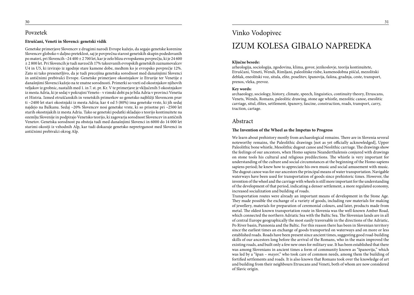#### Povzetek

#### **Etruščani, Veneti in Slovenci: genetski vidik**

Genetske primerjave Slovencev z drugimi narodi Evrope kažejo, da segajo genetske korenine Slovencev globoko v daljno preteklost, saj je povprečna starost genetskih skupin podedovanih po materi, pri Slovencih ~24 400 ± 2 700 let, kar je zelo blizu evropskemu povprečju, ki je 24 600 ± 2 800 let. Pri Slovencih je tudi navzočih 17% takozvanih evropskih genetskih zaznamovalcev U4 in U5, ki izvirajo iz zgodnje stare kamene dobe, medtem ko je evropsko povprečje 12%. Zato ni tako presenetljivo, da je tudi precejšna genetska sorodnost med današnjimi Slovenci in antičnimi prebivalci Evrope. Genetske primerjave okostnjakov iz Etrurije ter Venetije z današnjimi Slovenci kažejo na te znatne sorodnosti. Primerki so vzeti od okostnjakov njihovih veljakov iz grobnic, nastalih med 1. in 7. st. pr. Kr. V te primerjave je vključenih 5 okostnjakov iz mesta Adria, ki je sedaj v pokrajini Veneto - v rimski dobi pa je bila Adria v provinci Venetia et Histria. Izmed etruščanskih in venetskih primerkov so genetsko najbližji Slovencem prav ti ~2400 let stari okostnjaki iz mesta Adria; kar 4 od 5 (80%) ima genetske vrste, ki jih sedaj najdejo na Balkanu. Sedaj ~20% Slovencev nosi genetske vrste, ki so prisotne pri ~2500 let starih okostnjakih iz mesta Adria. Tako se genetski podatki skladajo s teorijo kontinuitete na ozemlju Slovenije in podpirajo Venetsko teorijo, ki zagovarja sorodnost Slovencev in antičnih Venetov. Genetska sorodnost pa obstoja tudi med današnjimi Slovenci in 6000 do 14 000 let starimi okostji iz vzhodnih Alp, kar tudi dokazuje genetsko nepretrganost med Slovenci in antičnimi prebivalci okrog Alp.

### Vinko Vodopivec

## IZUM KOLESA GIBALO NAPREDKA

#### **Ključne besede:**

arheologija, sociologija, zgodovina, klima, govor, jezikoslovje, teorija kontinuitete, Etruščani, Veneti, Wendi, Rimljani, paleolitske risbe, kamenodobna piščal, mezolitski deblak, eneolitski voz, situla, elite, poselitev, španovija, fašina, gradnja, ceste, transport, prenos, vleka, prevoz.

#### **Key words:**

archaeology, sociology, history, climate, speech, linguistics, continuity theory, Etruscans, Venets, Wends, Romans, paleolitic drawing, stone age whistle, mezolitic canoe, eneolitic carriage, situl, élites, settlement, španovy, fascine, construction, roads, transport, carry, traction, cartage.

#### Abstract

#### **The Invention of the Wheel as the Impetus to Progress**

We learn about prehistory mostly from archaeological remains. There are in Slovenia several noteworthy remains, the Paleolithic drawings [not as yet officially acknowledged], Upper Paleolithic bone whistle, Mesolithic dugout canoe and Neolithic carriage. The drawings show the feelings of our ancestors, when Homo sapiens Neanderthalensis conjured with drawings on stone tools his cultural and religious predilections. The whistle is very important for understanding of the culture and social circumstances at the beginning of the Homo sapiens sapiens period; he knew how to appreciate his own music and social amusement with music. The dugout canoe was for our ancestors the principal means of water transportation. Navigable waterways have been used for transportation of goods since prehistoric times. However, the invention of the wheel and the carriage with wheels is still more important for the understanding of the development of that period, indicating a denser settlement, a more regulated economy, increased socialization and building of roads.

Transportation routes were already an important means of development in the Stone Age. They made possible the exchange of a variety of goods, including raw materials for making of jewellery, materials for preparation of ceremonial colours, and later, products made from metal. The oldest known transportation route in Slovenia was the well-known Amber Road, which connected the northern Adriatic Sea with the Baltic Sea. The Slovenian lands are in all of central Europe geographically the most easily traversable in the directions of the Adriatic, Po River basin, Pannonia and the Baltic. For this reason there has been in Slovenian territory since the earliest times an exchange of goods transported on waterways and on more or less established roads. Roads have been present since ancient times, suggesting good road-building skills of our ancestors long before the arrival of the Romans, who in the main improved the existing roads, and built only a few new ones for military use. It has been established that there was among Slovenians in ancient times a form of community known as "španovija," which was led by a "špan – *mayor*," who took care of common needs, among them the building of fortified settlements and roads. It is also known that Romans took over the knowledge of art and building from their neighbours Etruscans and Veneti, both of whom are now considered of Slavic origin.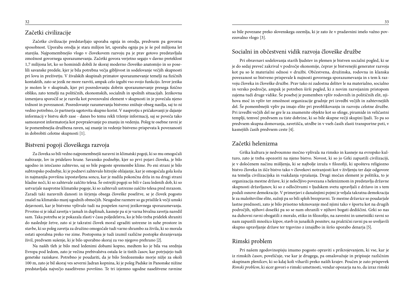### Začetki civilizacije

Začetke civilizacije predstavljajo uporaba ognja in orodja, predvsem pa govorna sposobnost. Uporaba orodja je stara milijon let, uporaba ognja pa je še pol milijona let starejša. Najpomembnejšo vlogo v človekovem razvoju pa je prav gotovo predstavljala zmožnost govornega sporazumevanja. Začetki govora verjetno segajo v davno preteklost 1,7 milijona let, ko so hominidi dobili že skoraj moderno človeško anatomijo in so poselili savanske predele, kjer je bila potrebna večja gibljivost in sodelovanje večjih skupnosti pri lovu in preživetju. V živalskih skupinah primatov sporazumevanje temelji na fizičnih kontaktih, zato se jezik ne more razviti, ampak celo izgubi vso svojo funkcijo. Izvor jezika je možen le v skupinah, kjer pri posredovanju dobrin sporazumevanje presega fizično obliko, zato temelji na političnih, ekonomskih, socialnih in spolnih situacijah. Jezikovna izmenjava sporočil se je razvila kot povezovalni element v skupnosti in je povečala njeno trdnost in povezanost. Posredovanje razumevanja bistveno znižuje obseg nasilja, saj to ni vedno potrebno, če partnerja ugotovita skupno korist. V nasprotju s pričakovanji je dajanje informacij v bistvu skrb zase - danes bo temu rekli trženje informacij, saj se poveča tako samozavest informatorja kot povpraševanje po znanju in vedenju. Poleg te osebne ravni je še pomembnejša družbena raven, saj znanje in vedenje bistveno prispevata k povezanosti in dobrobiti celotne skupnosti [1].

### Bistveni pogoji človeškega razvoja

Za človeka so bili vedno najpomembnejši naravni in klimatski pogoji, ki so mu omogočali nabiranje, lov in pridelavo hrane. Savansko podnebje, kjer so prvi pojavi človeka, je bilo ugodno in istočasno zahtevno, saj so bile pogoste spremembe klime. Po eni strani je bilo subtropsko podnebje, ki je podnevi zahtevalo hitrejše ohlajanje, kar je omogočala gola koža in najmanjša površina izpostavljena soncu, kar je nudila pokončna drža in na drugi strani hladne noči, ki so zahtevale zaščito telesa. Še ostrejši pogoji so bili v času ledenih dob, ki so ustvarjale nasprotne klimatske pogoje, ki so zahtevali ustrezno zaščito telesa pred mrazom. Zaradi taki naravnih danosti in širjenja obsega človeške poselitve, se je človek pogosto znašel na klimatsko manj ugodnih območjih. Neugodne razmere so ga prisilile k večji umski dejavnosti, kar je bistveno vplivalo tudi na pospešen razvoj jezikovnega sporazumevanja. Prvotno si je iskal zavetja v jamah in duplinah, kasneje pa si je varna bivalna zavetja naredil sam. Taka potreba se je pokazala zlasti v času poljedelstva, ko je bilo treba pridelek shraniti do naslednje žetve, zato si je takratni človek moral zgraditi ustrezne in suhe prostore in stavbe, ki so poleg zavetja za družino omogočale tudi varno shrambo za živila, ki so morala ostati uporabna preko vse zime. Postopoma je tudi izumil različne postopke shranjevanja živil, predvsem sušenje, ki je bilo uporabno skoraj za vso njegovo prehrano [2].

Na naših tleh je bilo med ledenimi dobami kopno, medtem ko je bila vsa srednja Evropa pod ledom, zato je večina prebivalstva ostala še iz tistih časov, kar potrjujejo tudi genetske raziskave. Potrebno je poudariti, da je bilo Sredozemsko morje nižje za okoli 100 m, zato je bil skoraj ves severni Jadran kopnina, ki je poleg Padske in Panonske nižine predstavljala največjo naselitveno površino. Te tri izjemno ugodne naselitvene ravnine so bile povezane preko slovenskega ozemlja, ki je zato že v pradavnini imelo važno povezovalno vlogo [3].

### Socialni in občestveni vidik razvoja človeške družbe

Pri obravnavi sodelovanja starih ljudstev in plemen je bistven socialni pogled, ki se je do sedaj preveč zakrival v področje ekonomije, čeprav je bistvenejši generator razvoja kot pa so le materialni odnosi v družbi. Občestvena, družinska, rodovna in klanska povezanost so bistveno prispevale k nujnosti govornega sporazumevanja in s tem k razvoju človeka in človeške družbe. Prav tako ni zadostna delitev le na materialno, socialno in versko področje, ampak je potreben širši pogled, ki z novim razvejanim pristopom zajema tudi druge vidike. Še posebej je pomemben vpliv rodovnih in političnih elit, njihova moč in vpliv ter zmožnost organizacije gradnje pri izvedbi večjih in zahtevnejših del. Še pomembnejši vpliv pa imajo elite pri preoblikovanju in razvoju celotne družbe. Pri izvedbi večjih del ne gre le za znamenite objekte kot so sfinge, piramide in veličastni templji, temveč predvsem za tiste dobrine, ki so bile skupne večji skupini ljudi. To pa so predvsem skupna domovanja, zavetišča, utrdbe in v vseh časih zlasti transportne poti, v kasnejših časih predvsem ceste [4].

### Začetki helenizma

Grška kultura je nedvoumno močno vplivala na rimsko in kasneje na evropsko kulturo, zato je treba opozoriti na njeno bistvo. Novost, ki so jo Grki zapustili civilizaciji, je v določenem načinu mišljenja, ki se najbolje izraža v filozofiji, ki upošteva religiozno bistvo človeka in išče bistvo tako v človekovi notranjosti kot v življenju ter daje odgovore na temelja civilizacijska in vsakdanja vprašanja. Drugi močan element je politika, to je organizacija mestne države, ki je neločljivo povezana s helenizmom in predstavlja državne skupnosti državljanov, ki so z odločitvami v ljudskem svetu upravljali z državo in s tem podali osnove demokracije. V primerjavi z današnjimi pojmi je veljala takratna demokracija le za maloštevilne elite, sužnji pa so bili sploh brezpravni. Te mestne državice so poudarjale lastne prednosti, zato je bilo prisotno tekmovanje med njimi tako v športu kot na drugih področjih, njihovi dosežki pa so se nam ohranili v njihovi bogati dediščini. Grki so nas na duhovni ravni obogatili z moralo, etiko in filozofijo, na zavestni in umetniški ravni so nam zapustili množico kipov, stavb in junaških pesnitev, na praktični ravni pa so uveljavili skupno upravljanje države ter trgovino z iznajdbo in širšo uporabo denarja [5].

### Rimski problem

Pri našem zgodovinopisju imamo pogosto opraviti s prikrojevanjem, ki vse, kar je iz rimskih časov, poveličuje, vse kar je drugega, pa omalovažuje in pripisuje različnim skupinam plenilcev, ki so kdaj koli viharili preko naših krajev. Poučen je zato prispevek *Rimski problem*, ki sicer govori o rimski umetnosti, vendar opozarja na to, da izraz rimski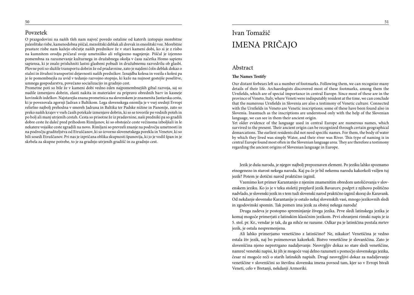#### Povzetek

O prazgodovini na naših tleh nam največ povedo ostaline od katerih izstopajo morebitne paleolitske risbe, kamenodobna piščal, mezolitski deblak ali drevak in eneolitski voz. Morebitne prastare risbe nam kažejo občutje naših prednikov že v stari kameni dobi, ko si je z risbo na kamnitem orodju pričaral svoje umetniško ali religiozno nagnjenje. Piščal je izjemno pomembna za razumevanje kulturnega in družabnega okolja v času začetka Homo sapiens sapiensa, ki je znalo prisluhniti lastni glasbeni pobudi in družabnemu razvedrilu ob glasbi. Plovne poti so služile transportu dobrin že od pradavnine, zato je najdeni čoln deblak dokaz o stalni in živahni transportni dejavnosti naših prednikov. Iznajdba kolesa in vozila s kolesi pa je še pomembnejša za uvid v tedanjo razvojno stopnjo, ki kaže na nujnost gostejše poselitve, umnega gospodarstva, povečano socializacijo in gradnjo cest.

Prometne poti so bile že v kameni dobi vedno eden najpomembnejših gibal razvoja, saj so nudile izmenjavo dobrin, zlasti nakita in materialov za pripravo obrednih barv in kasneje kovinskih izdelkov. Najstarejša znana prometnica na slovenskem je znamenita Jantarska cesta, ki je povezovala zgornji Jadran z Baltikom. Lega slovenskega ozemlja je v vsej srednji Evropi reliefno najbolj prehodna v smereh Jadrana in Baltika ter Padske nižine in Panonije, zato so preko naših krajev v vseh časih potekale izmenjave dobrin, ki so se tovorile po vodnih poteh in po bolj ali manj utrjenih cestah. Cesta so prisotne že iz pradavnine, naši predniki pa so gradili dobre ceste že daleč pred prihodom Rimljanov, ki so obstoječe ceste večinoma izboljšali in le nekatere vojaške ceste zgradili na novo. Rimljani so prevzeli znanje na področju umetnosti in na področju graditeljstva od Etruščanov, ki so izvorno slovenetskega porekla in Venetov, ki so bili sosedi Etruščanov. Pri nas je izpričana oblika skupnosti španovija, ki jo je vodil špan in je skrbela za skupne potrebe, to je za gradnjo utrjenih gradišč in za gradnjo cest.

## Ivan Tomažič IMENA PRIČAJO

#### Abstract

#### **The Names Testify**

Our distant forbears left us a number of footmarks. Following them, we can recognize many details of their life. Archaeologists discovered most of these footmarks, among them the Urnfields, which are of special importance in central Europe. Since most of these are in the province of Veneto, Italy, where Veneti were indisputably resident at the time, we can conclude that the numerous Urnfields in Slovenia are also a testimony of Venetic culture. Connected with the Urnfields in Veneto are Venetic inscriptions; some of these have been found also in Slovenia. Inasmuch as the inscriptions are understood only with the help of the Slovenian language, we can see in them their ancient origin.

Yet older evidence of the language used in central Europe are numerous names, which survived to the present. Their ancient origin can be recognized through certain geographical demarcations. The earliest residents did not need specific names. For them, the body of water by which they lived was simply Water, and their river was River. This type of naming is in central Europe found most often in the Slovenian language area. They are therefore a testimony regarding the ancient origins of Slovenian language in Europe.

Jezik je duša naroda, je njegov najbolj prepoznaven element. Po jeziku lahko spoznamo etnogenezo in starost nekega naroda. Kaj pa če je bil nekemu narodu kakorkoli vsiljen tuj jezik? Potem je dotični narod praktično izginil.

Vzemimo kot primer Karantanijo z njenim znamenitim obredom ustoličevanja v slovenskem jeziku. Ko jo je v teku stoletij preplavil jezik Bavarcev, podprt z njihovo politično nadvlado, je slovenski jezik in s tem tudi slovenski narod praktično izginil skoraj do Karavank. Od nekdanje slovenske Karantanije je ostalo nekaj slovenskih vasi, mnogo jezikovnih sledi in zgodovinski spomin. Tak pomen ima jezik za obstoj nekega naroda!

Druga zadeva je postopno spreminjanje živega jezika. Prve sledi latinskega jezika je komaj mogoče primerjati z latinskim klasičnim jezikom. Prvi ohranjeni rimski napis je iz 5. stol. pr. Kr., vendar je tak, da ga nihče ne razume. Odkar pa je latinščina postala mrtev jezik, je ostala nespremenjena.

Ali lahko primerjamo venetščino z latinščino? Ne, nikakor! Venetščina je vedno ostala živ jezik, naj bo poimenovan kakorkoli. Bistvo venetščine je slovanščina. Zato je slovenščina njeno nepretrgano nadaljevanje. Neovrgljiv dokaz so stare sledi venetščine, namreč venetski napisi, ki jih je mogoče vsaj delno razumeti s pomočjo slovenskega jezika, česar ni mogoče reči o starih latinskih napisih. Drugi neovrgljivi dokaz za nadaljevanje venetščine v slovenščini so številna slovenska imena povsod tam, kjer so v Evropi bivali Veneti, celo v Bretanji, nekdanji Armoriki.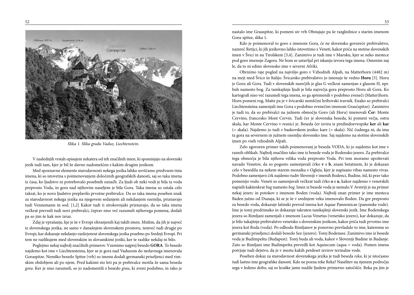

*Slika 1. Slika gradu Vaduz, Liechtenstein.*

V naslednjih vrstah opisujem nekatera od teh značilnih imen, ki spominjajo na slovenski jezik tudi tam, kjer je bil že davno nadomeščen s kakim drugim jezikom.

Med spoznavne elemente starodavnosti nekega jezika lahko uvrščamo predvsem tista imena, ki so istovetna s poimenovanjem določenih geografskih danosti, saj so taka imena iz časa, ko ljudstvo ni potrebovalo posebnih označb. Za ljudi ob neki vodi je bila ta voda preprosto Voda, in gora nad njihovim naseljem je bila Gora. Taka imena so ostala celo takrat, ko je novo ljudstvo preplavilo prvotne prebivalce. Da so taka imena poseben znak za starodavnost nekega jezika na njegovem sedanjem ali nekdanjem ozemlju, priznavajo tudi Vennemann in sod. [1,2] Kakor tudi ti strokovnjaki priznavajo, da so taka imena večkrat prevzeli tudi novi prebivalci, čeprav niso več razumeli njihovega pomena, dodali pa so jim še kak nov izraz.

Zdaj je vprašanje, kje je še v Evropi ohranjenih kaj takih imen. Mislim, da jih je največ iz slovenskega jezika, ne samo v današnjem slovenskem prostoru, temveč tudi drugje po Evropi, kar dokazuje nekdanjo razširjenost slovenskega jezika posebno po Srednji Evropi. Pri tem ne razlikujem med slovenskim in slovanskimi jeziki, ker te razlike nekdaj ni bilo.

Poglejmo nekaj najbolj značilnih primerov. Vzemimo najprej besedo **GORA**. To besedo najdemo kot ime v Liechtensteinu, kjer se je gora nad Vaduzom do nedavnega imenovala Goraspitze. Nemško besedo Spitze (vrh) so imenu dodali germanski priseljenci med rimskim obdobjem ali po njem. Pred kakimi sto leti pa je prebivalce motila že sama beseda *gora*. Ker je niso razumeli, so jo nadomestili z besedo *grau*, ki zveni podobno, in tako je nastalo ime Grauspitze, ki pomeni siv vrh Obstajajo pa še razglednice s starim imenom Gora-spitze, slika 1.

Kdo je poimenoval to goro z imenom Gora, če ne slovensko govoreče prebivalstvo, namreč Retijci, ki jih jezikovno lahko istovetimo z Veneti, kakor priča na stotine slovenskih imen v Švici in na Tirolskem [3,4]. Zanimivo je tudi ime v Maroku, kjer se neko mestece pod goro imenuje Zagora. Ne bom se ustavljal pri iskanju izvora tega imena. Omenim naj le, da to ni edino slovensko ime v severni Afriki.

Obrnimo raje pogled na najvišjo goro v Vzhodnih Alpah, na Matterhorn (4482 m) na meji med Švico in Italijo. Švicarsko prebivalstvo jo imenuje še vedno **Horu** [5]. Horu je Goru ali Gora. Tudi v slovenskih narečjih je glas G večkrat zamenjan z glasom H, npr. buh namesto bog. Za tamkajšnje ljudi je bila največja gora preprosto Horu ali Gora. Ko kartografi niso več razumeli tega imena, so ga spremenili v podobno zveneči (Matter)horn. Horn pomeni rog, Matte pa je v švicarski nemščini hribovski travnik. Enako so prebivalci Liechtensteina zamenjali ime Gora s podobno zvenečim imenom Grau(spitze). Zanimivo je tudi to, da so prebivalci na južnem območju Goro (ali Horu) imenovali **Čer**: Monte Cervino, francosko Mont Cervin. Tudi čer je slovenska beseda, ki pomeni večja, ostra skala, kar Monte Cervino v resnici je. Beseda čer izvira iz predindoevropske **ker** ali **kar** (= skala). Najdemo jo tudi v baskovskem jeziku: kare (= skala). Nič čudnega ni, da ima ta gora na severnem in južnem ozemlju slovensko ime. Saj najdemo na stotine slovenskih imen po vseh vzhodnih Alpah.

Zelo zgovoren primer takih poimenovanj je beseda VODA, ki jo najdemo kot ime v raznih oblikah. Najbolj značilno tako ime iz besede voda je Bodensko jezero. Za prebivalce tega območja je bila njihova velika voda preprosto Voda. Pri tem moramo upoštevati navado Venetov, da so pogosto zamenjavali črko **v** z **b**, znani betatizem, ki je dokazan celo v besedilu na nekem starem mozaiku v Ogleju, kjer je napisano vibas namesto vivas. Podobno zamenjavo črk najdemo tudiv Sloveniji v imenih Bodenci, Budine, itd, ki prav tako pomenijo vodo. Veneti so zamenjavali večkrat tudi črko **o** z **u**, kakor najdemo v venetskih napisih kakšenkrat *bug* namesto *bog*. Imen iz besede voda je nemalo.V Avstriji je na primer nekaj jezerc in potokov z imenom Boden (voda). Najbolj znan primer je ime mesteca Baden južno od Dunaja, ki se je še v srednjem veku imenovalo Boden. Da gre preprosto za besedo voda, dokazuje latinski prevod imena kot Aquae Pannonicae (panonske vode). Ime je torej predrimsko in dokazuje takraten tamkajšnji slovenski jezik. Ime Bodenskega jezera so Rimljani zamenjali z imenom Lacus Venetus (venetsko jezero), kar dokazuje, da je bilo tukajšnje prebivalstvo venetsko s slovenskim jezikom, kakor priča tudi prvotno ime jezera kot Boda (voda). Po odhodu Rimljanov je ponovno prevladalo to ime, kateremu so germanski priseljenci dodali besedo See (jezero). Torej Bodensee. Zanimivo ime iz besede voda je Budimpešta (Budapest). Torej buda ali voda, kakor v Sloveniji Budine in Budanje. Zato so Rimljani ime Budimpešta prevedli kot Aquincum (aqua = voda). Pomen imena potrjuje tudi dejstvo, da je v mestu kakih petdeset izvirov termalne vode.

Poseben dokaz za starodavnost slovenskega jezika je tudi beseda *reka*, ki je istočasno tudi lastno ime geografske danosti. Kdo ne pozna reke Reka? Naselitev na njenem področju sega v ledeno dobo, saj so kraške jame nudile ljudem primerno zatočišče. Reka pa jim je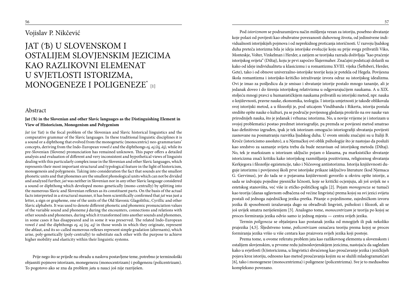### Vojislav P. Nikčević

## JAT (Ѣ) U SLOVENSKOM I OSTALIJEM SLOVJENSKIM JEZICIMA KAO RAZLIKOVNI ELEMENAT U SVJETLOSTI ISTORIZMA, MONOGENEZE I POLIGENEZE\* [1]

#### Abstract

#### **Jat (Ѣ) in the Slovenian and other Slavic languages as the Distinguishing Element in View of Historicism, Monogenism and Polygenism**

*Jat* (or Yat) is the focal problem of the Slovenian and Slavic historical linguistics and the comparative grammar of the Slavic languages. In these traditional linguistic disciplines it is a sound or a diphthong that evolved from the monogenetic (monocentric) neo-grammarians' concepts, deriving from the Indo-European vowel *ē* and the diphthongs *o , a (ō , ā ),* while its pre-Slovenian (Slovene) pronunciation has remained unknown. This paper offers a detailed analysis and evaluation of different and very inconsistent and hypothetical views of linguists dealing with this particularly complex issue in the Slovenian and other Slavic languages, which represents their most important structural and typological feature in the light of historicism, monogenesis and polygenesis. Taking into consideration the fact that sounds are the smallest phonetic units and that phonemes are the smallest phonological units which can not be divided and analyzed further, *jat* was neither in Slovenian nor in any other Slavic language considered a sound or diphthong which developed mono-genetically (mono-centrally) by splitting into the numerous Slavic and Slovenian reflexes as its constituent parts. On the basis of the actual facts interpreted in a structural manner, it has been scientifically confirmed that *jat* was just a letter, a sign or grapheme, one of the units of the Old Slavonic Glagolithic, Cyrillic and other Slavic alphabets. It was used to denote different phonetic and phonemic pronunciation values of the variable sound and phoneme *j* during the encounters, connections and relations with other sounds and phonemes, during which it transformed into another sounds and phonemes, in some cases it has disappeared and in some it was preserved. The related Indo-European vowel  $\bar{e}$  and the diphthongs *oi, ai (oi, ai)* in those words in which they originate, represent the ablaut, and its so-called numerous reflexes represent simple gradation (alternants), which arise, poly-genetically (poly-centrally) to substitute each other with the purpose to achieve higher mobility and elasticity within their linguistic systems.

Prije nego što se prijeđe na obradu u naslovu postavljene teme, potrebno je terminološki objasniti pojmove istorizam, monegenezu (monocentrizam) i poligenezu (policentrizam). To pogotovo ako se zna da problem *jat*a u nauci još nije razriješen.

Pod *istorizmom* se podrazumijeva način mišljenja vezan za istoriju, posebno shvatanje koje polazi od povijesti kao obuhvatne povezanosti duhovnog života, od jedinstvene individualnosti istorijskijeh pojmova i od neprekidnog proticanja istoričnosti. U razvoju ljudskog duha preteča istorizma bila je ideja istorijske evolucije koju su prije svega prihvatili Viko, Monteskje, Volter, Vinkelman i Herder, a zatijem se teorijska razrada doživljaja "kao praćenje istorijskog svijeta" (Diltaj), koju je prvi započeo Šlajermaher. Značajni podsticaji dolazili su kako od ideje individualiteta u klasicizmu i u romantizmu XVIII. vijeka (Šeftsberi, Herder, Gete), tako i od obnove univerzalno-istorijske teorije koja je potekla od Hegela. Povijesna škola romantizma i istorijsko-kritičko istraživanje izvora odraz su istorijskog idealizma. Ovi je imao za pośljedicu da je smisao i shvatanje istorije postalo mnogo tananije, ali je jedanak doveo i do širenja istorijskog relativizma u odgovarajućijem naukama. A u XIX. stoljeću mnogi pravci u humanističkijem naukama prihvatili su istorijski metod, npr. nauka o književnosti, pravne nauke, ekonomika, teologija. I istorija umjetnosti je takođe oblikovala svoj istorijski metod, a u filozofiji je, pod uticajem Vindibanda i Rikerta, istorija postala središte opšte nauke o kulturi, pa se područje povijesnog gledanja proširilo na sve nauke van prirodnijeh nauka, što je jedanak i vrhunac istorizma. No, u novije vrijeme je i istorizam u svojoj problematici postao predmet istoriografije, pa premda se povijesni metod smatrao kao definitivno izgrađen, ipak je tek istorizam omogućio istoriografiji shvatanja povijesti zasnovane na posmatranju razvitka ljudskog duha. U ovom smislu značajni su u Italiji B. Kroče (istoricismo assoluto), a u Njemačkoj ovi oblik psihologije što je nastojao da posluži kao sredstvo za saznanje svijeta treba da bude nezavisan od istorijskog metoda (Diltaj). No, tek je marksizam u istorizam uključio pojam o klasama, pa marksističko shvatanje istoricizma znači kritiku kako istorijskog razmišljanja pozitivizma, religioznog shvatanja Kerkjegora i filozofije egzistencije, tako i Ničeovog antiistorizma. Istorija književnosti duguje istorizmu i povijesnoj školi prve istorijske prikaze isključivo literature (kod Njemaca G. Gervinus), jer do tada se o pojavama književnosti govorilo u okviru opšte istorije, a sada se izdvajaju pojedine pjesničke ličnosti, koje se kritički ocjenjuju, ali još uvijek ne s estetskog stanovišta, već više iz etičko-političkog ugla [2]. Pojam *monogeneza* se tumači kao teorija (danas uglavnom odbačena od većine lingvista) prema kojoj su svi jezici svijeta postali od jednoga zajedničkog jezika-pretka. Pitanje o pojedinome, zajedničkom izvoru jezika ili sposobnosti izražavanja dugo su obrađivali lingvisti, psiholozi i filozofi, ali se još uvijek smatra neriješenijem [3]. Analogno tome, *monocentrizam* je teorija po kojoj se proces formiranja jezika odvio samo iz jednog mjesta — centra svijeh jezika.

Termin *poligeneza* se objašnjava kao postanak jezika od mnogijeh ili pak nekoliko prajezika [4,5]. Śljedstveno tome, *policentrizam* označava teoriju prema kojoj se proces formiranja jezika vršio u više centara kao praizvora svijeh jezika koji postoje.

Prema tome, u ovome referatu problem jata kao razlikovnog elementa u slovenskom i ostalijem slovjenskim, u prvome redu južnoslovjenskijem jezicima, nastojaću da sagledam kako u svjetlosti (h)istoricizma, u lingvistici shvaćenog kao proučavanje jezika i jezičkijeh pojava kroz istoriju, odnosno kao metod proučavanja kojim su se služili mladogramatičari [6], tako i monogeneze (monocentrizma) i poligeneze (policentrizma). Sve je to međusobno kompleksno povezano.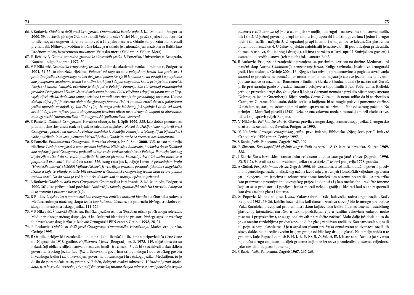- 66. R Rotković, *Odakle su došli preci Crnogoraca.Onomastička istraživanja*, 2. izd. Montedit, Podgorica **2000**, 59, postavlja pitanje: Odakle su došli Veleti na ušće Visle? Na nj pruža śljedeći odgovor: Na to nije moguće odgovoriti, jer su tamo već u II. vijeku naše ere. Odatle su, po Šafariku, krenuli prema Labi. Njihova prvobitna istočna lokacija u skladu je s njemačkijem nazivom za Baltik kao Istočnom moru, istovremeno nazvanom Veletsko more (Wildamor, Wilten-Meer).
- 67. R Bošković, *Osnovi uporedne gramatike slovenskih jezika I*, Fonetika, Univerzitet u Beogradu, Naučna knjiga, Beograd **1972**, 30
- 68. V P Nikčević, *Gramatika crnogorskog jezika*, Dukljanska akademija nauka i umjetnosti, Podgorica **2001**, 54-55, to obrazlaže riječima: *Polazeći od toga da se u polapskom jeziku kao praizvoru i prototipu jezika crnogorskoga nalazi dvoglasni fonem /'e/ ( e ili ie) odnosno da postoji i u poljskome kao polapskom suśednome jeziku i u našim kratkijem i dugim slogovima, kao u primjerima: czlowiek (čovjek) i śmiech (smijeh), očevidno je da je još u Polablju-Pomorju kao slovjenskoj pradomovini predaka Crnogoraca i Dubrovčana dvoglasnom fonemu /ie/ u riječima s dugijem jatom poput lijep, vijek, sijeci, rijeka, dodavano samo poziciono i poradi ostvarivanja što prohodnijeg izgovora. U tome slučaju slijed [ije] je stvarno alofon dvoglasnoga fonema /ie/. A to onda znači da su u polapskom jeziku uporedo opstojali, tj. kao /ie/ : [ije]. Iz svega ovđe izloženog još śljeduje i to da svi takvi, kratki i dugi, tzv. refleksi jata u slovjenskijem jezicima nijesu ništa drugo do alofoni ili alternante, monogenetski (monocentrično) ili poligenetski (policentrično) stvoreni.*
- 69. S Pantelić, *Dolazak Crnogoraca*, Hrvatska obzorja, br. 4, Split **1999**, 885, kao dobar poznavalac pradomovine slovjenske etničke i jezičke zajednice naglašava: *Navod da Dukljani kao najstariji preci Crnogoraca potječu od slavenske etničke zajednice iz Polablja-Pomorja, istočnog dijela Njemačke, i vode podrijetlo iz saveza plemena Veleta/Ljutića i Obodrita može se preuzeti bez komentara*.
- 70. S Pantelić, *Pradomovina Crnogoraca*, Hrvatska obzorja, br. 2, Split **2000**, 335, to isto ponavlja riječima: *Tvrdnje crnogorskih znanstvenika Vojislava Nikčevića i Radoslava Rotkovića da su Dukljani kao najstariji preci Crnogoraca potjecali od slavenske etničke zajednice iz Polablja-Pomorja istočnog dijela Njemačke i da su vodili podrijetlo iz saveza plemena Veleta/Ljutića i Obodrita mora se u potpunosti prihvatiti*. Pantelić na strani 356. istog rada još izjavljuje i ovo: *U posljednjem broju "Hrvatskih obzorja" (1/2000) Vojislav Nikčević je vrlo lijepo prikazao postanak ijekavice s lingvističke strane a koje će pitanje pobliže biti obrađeno u Gramatici crnogorskog jezika koja bi ove godine trebala izaći. No do sada je već iznio neke dokaze koji se moraju općenito priznati*.
- 71. R Rotković *Odakle su došli preci Crnogoraca.* Onomastička istraživanja, 2. izd. Montedit, Podgorica **2000**, 361, isto prihvata kad podvlači: *Nikčević je, takođe, gramatički razložio i utvrdio: Polapsko ie je prototip i praizvor našeg (i)je*.
- 72. R Rotković, *Ijekavica u onomastici kao crnogorski etnički i kulturni identitet* u Zborniku radova s Međunarodnoga naučnog skupa *Jezici kao kulturni identiteti* na području bivšega srpskohrvatskoga ili hrvatskosrpskoga jezika, 111-126,
- 73. V P Nikčević, *Štokavski dijasistem*. Etnička i jezička osnova (Poseban otisak proširenoga referata s Međunarodnog naučnog skupa "Jezici kao kulturni identiteti na prostoru bivšega srpskohrvatskog ili hrvatskosrpskog jezika"). Izdavač Crnogorski PEN centar, Cetinje **1998**, 20-21.
- 74. R Rotković, *Odakle su došli preci Crnogoraca. Onomastička istraživanja*, Matica crnogorska, Cetinje **1995**.
- 75. B Ostojić, Pridjevski i zamjenički oblici na -ijeh, -ijem(a) i ih, -ima u pripovjedača Crne Gore od Njegoša do 1918. godine, *Književnost i jezik* [Beograd], br. 2, **1978**, 149, objašnjava da su nekadašnji oblici tvrdijeh osnova u nastavku imali -*Ѣ-,* a meki -*i*- , đe bi se očekivali u ekavskijem govorima srpskog jezika *teh, tijeh* u ijekavskim govorima crnogorskoga i dubrovačkog govora hrvatskoga jezika i *tih* u ikavskijem govorima bosanskoga i hrvatskoga jezika. Međutijem, tu je došlo do poremećaja te su, prema A. Beliću, dobijeni ovakvi odnosi: *1. U istočnoj grupi dijalekata, tj. u kosovsko-resavskoj i šumadijsko-sremskoj imamo dvojak odnos: u prvoj pobeđuju svugde*

*nastavci tvrdih osnova: tej (= t Ѣ h),* mojeh (= mojih), u drugoj – nastavci mekih osnova: mojih, tih i sl.; 2. U južnoj govornoj grupi imamo u istoj upotrebi i u istim govorima i jedno i drugo: tijeh i tih, naših i našijeh; 3. U zapadnoj grupi imamo i u kojem su se izjednačila glasovnim putem oba nastavka; 4. U čakav. dijalektu najobičniji je nastavak i (ili pod uticajem pridevskih, ili mekih osnova, ili i jednog i drugog), ali ima (naročito u Istri, npr. U Žminjskom govoru) i ostataka od tvrdih osnova (teh = tijeh) itd. - smatra Belić.

- 76. R Rotković, Pridjevske i zamjeničke promjene, sa posebnim osvrtom na dužine, Međunarodni naučni skup *Norma i kodifikacija crnogorskog jezika*. Knjiga sažimaka, Institut za crnogorski jezik i jezikoslovlje, Cetinje **2004**, 16: Njegova istraživanja pradomovine u pogledu utvrđivanja starosti te promjene ne pomažu, jer otuda imamo, kao najstarije slojeve jezika: imena i zemljopisne nazive sa nazalima (Bandemer >Budimir; Gardz > Gradac, odakle je nastao naš Garač, prije pretvaranja: garde > gradac. Imamo i pridjeve u toponimiji: Bijelo Polje, danas Bielfeld, jerbo je preveden drugi dio, zbog glasa lj kojega Germani nemaju a prvi dio nije mnogo smetao; Dobrogora (sada: Gutemberg), Bijela zemlja, Čarna Gora, ali ih nema toliko da bi se zborilo o Čarnijem Gorama. Nedostaju, dakle, oblici u kojijema bi se mogle pojaviti pomenute dužine. U našijem najstarijim sačuvanijem pisanim ispravama nalazimo dužine od samog početka. Na primjer u Moračkoj povelji (1242): Neka se zna crkovna međa s moračkijem seli okolo crkve. Ili, u istoj ispravi: svijeh Ranjana.
- 77. V Nikčević, *Piši kao što zboriš*. Glavna pravila crnogorskoga standardnoga jezika, Crnogorsko društvo nezavisnih književnika, Podgorica **1993**.
- 78. V Nikčević, *Pravopis crnogorskog jezika*, prvo izdanje, Biblioteka "Njegoševo pero". Izdavač Crnogorski PEN centar, Cetinje **1997**.
- 79. S Babić, *Jezik*, Panorama, Zagreb **1967**, 109.
- 80. R Simeon, *Enciklopedijski rječnik lingvističkih naziva*, I, A-O, Matica hrvatska, Zagreb **1969**, 588.
- 81. I Škarić, Što s hrvatskim standardnim refleksom dugoga staroga jata? *Govor* [Zagreb], **1996**, *XIII*(1-2), 9, tvrdi da se u hrvatskom jeziku *j* u "refleksu" *je* prvi put javlja 1728. godišta.
- 82. A Gluhak *Porijeklo imena Hrvat*, Zagreb **1990**, 69. Uostalom, u toj knjizi odlučno govori i protiv monogenetskoga tradicionalističkog načina izvođenja glasovnijeh i fonoloških vrijednosti grafema jat u slovjenskijem jezicima u rekonstruisanome fonološkom sistemu nostratičkoga prajezika kao praizvoru i prototipu indoevropskog prajezika donosi *i* i *j* kao međusobno različite foneme koji su se u predistoriji i povijesti jezika morali nekako grafijski fiksirati kad su se raspoznali kao dva zasebna glasa i fonema.
- 83. M Popović, Muke oko glasa j, *Jota*, Vukov sabor Tršić, Izdavačka radna organizacija "Rad", Beograd **1981**, 19-26, izričito kaže: "Glas koji danas označava slovo *j* bio je mnogo pre pojave Vuka Karadžića pravopisni problem u srpskom književnom jeziku. I danas fonema nestabilnog glasovnog intenziteta, naročito u nekim pozicijama, *j* je u ranijim vekovima zadavao muke piscima i prepisivačima, te su ga obeležavali na različite načine". Malo dalje još dodaje i to da je "u raznim razdobljima predvukovskog doba glas *j* zapisivan različito. Kao samostalan glas ili u spoju sa samoglasnicima, *j* je u srpskom pismu pre Vuka označavano sa dvanaest različitih slova, dakle, neuporedivo većim brojem grafija od bilo kog drugog glasa". Na temelju uvida u te grafeme, koje Popović donosi: E, *II*, Ï, *'*B, E, IO, *A*, A, HA, H, J, JE, J, jasno se uočava da jat stvarno nije ništa drugo do jedan od tijeh grafema kojim se izražava promjenjiva glasovna vrijednost jako nestabilnog glasa i fonema *j*.

84. S Babić, *Jezik*, Panorama, Zagreb **1967**, 267-268.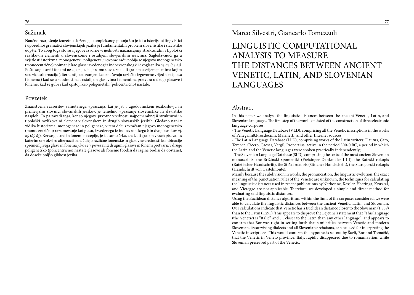#### Sažimak

Naučno razrješenje izuzetno složenog i kompleksnog pitanja što je jat u istorijskoj lingvistici i uporednoj gramatici slovjenskijeh jezika je fundamentalni problem slovenistike i slavistike uopšte. To zbog toga što su njegove izvorne vrijednosti najznačajniji strukturalni i tipološki razlikovni elementi u slovenskome i ostalijem slovjenskim jezicima. Sagledavajući ga u svjetlosti istorizma, monogeneze i poligeneze, u ovome radu pobija se njegovo monogenetsko (monocentrično) poimanje kao glasa izvedenog iz indoevropskog ē i dvoglasnika *o , a , (ō , ā )*. Pošto se glasovi i fonemi ne cijepaju, jat je samo slovo, znak ili grafem u svijem pismima kojim se u vidu alternacija (alternanti) kao zamjenika označavaju različite izgovorne vrijednosti glasa i fonema *j* kad se u suodnosima s ostalijem glasovima i fonemima pretvara u druge glasove i foneme, kad se gubi i kad opstoji kao poligenetski (policentrično) nastale.

### Povzetek

Znanstvena razrešitev zamotanega vprašanja, kaj je jat v zgodovinskem jezikoslovju in primerjalni slovnici slovanskih jezikov, je temeljno vprašanje slovenistike in slavistike nasploh. To pa zaradi tega, ker so njegove prvotne vrednosti najpomembnejši strukturni in tipološki razlikovalni element v slovenskem in drugih slovanskih jezikih. Gledano nanj z vidika historizma, monogeneze in poligeneze, v tem delu zavračam njegovo monogenetsko (monocentrično) razumevanje kot glasu, izvedenega iz indoevropskega ē in dvoglasnikov *oj*, *a ,* (*ō , ā* ). Ker se glasovi in fonemi ne cepijo, je jat samo črka, znak ali grafem v vseh pisavah, s katerim se v okviru alternacij označujejo različne fonemske in glasovne vrednosti kombinacije spremenljivega glasu in fonema *j*, ko se v povezavi z drugimi glasovi in fonemi pretvarja v druge poligenetsko (policentrično) nastale glasove ali foneme (bodisi da izgine bodisi da obstane), da doseže boljšo gibkost jezika.

Marco Silvestri, Giancarlo Tomezzoli

## LINGUISTIC COMPUTATIONAL ANALYSIS TO MEASURE THE DISTANCES BETWEEN ANCIENT VENETIC, LATIN, AND SLOVENIAN LANGUAGES

#### Abstract

In this paper we analyse the linguistic distances between the ancient Venetic, Latin, and Slovenian languages. The first step of the work consisted of the construction of three electronic language corpuses:

- The Venetic Language Database (VLD), comprising all the Venetic inscriptions in the works of Pellegrini&Prosdocimi, Marinetti, and other Internet sources;

- The Latin Language Database (LLD), comprising works of the Latin writers: Plautus, Cato, Terence, Cicero, Caesar, Vergil, Propertius, active in the period 300-0 BC, a period in which the Latin and the Venetic languages were spoken practically independently;

- The Slovenian Language Database (SLD), comprising the texts of the most ancient Slovenian manuscripts: the Brižinski spomeniki (Freisinger Denkmäler I-III), the Rateški rokopis (Ratetischer Handschrift), the Stiški rokopis (Sitticher Handschrift), the Starogorski rokopis (Handschrift von Castelmonte).

Mainly because the subdivision in words, the pronunciation, the linguistic evolution, the exact meaning of the punctuation rules of the Venetic are unknown, the techniques for calculating the linguistic distances used in recent publications by Nerbonne, Kessler, Heeringa, Kruskal, and Vieregge are not applicable. Therefore, we developed a simple and direct method for evaluating said linguistic distances.

Using the Euclidean distance algorithm, within the limit of the corpuses considered, we were able to calculate the linguistic distances between the ancient Venetic, Latin, and Slovenian. Our calculations indicate that Venetic has a Euclidean distance closer to the Slovenian (1.809) than to the Latin (5.295). This appears to disprove the Lejeune's statement that "This language (the Venetic) is "Italic" and … closer to the Latin than any other language", and appears to confirm that Bor was right in setting forth that similarities between Venetic and modern Slovenian, its surviving dialects and all Slovenian archaisms, can be used for interpreting the Venetic inscriptions. This would confirm the hypothesis set out by Šavli, Bor and Tomažič, that the Venetic in Veneto province, Italy, rapidly disappeared due to romanization, while Slovenian preserved part of the Venetic.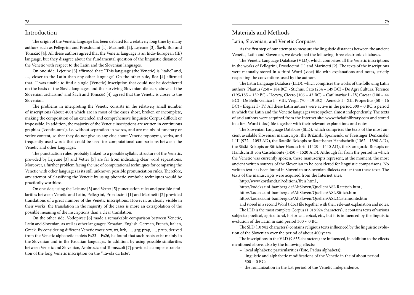#### Introduction

The origin of the Venetic language has been debated for a relatively long time by many authors such as Pellegrini and Prosdocimi [1], Marinetti [2], Lejeune [3], Šavli, Bor and Tomažič [4]. All these authors agreed that the Venetic language is an Indo-European (IE) language, but they disagree about the fundamental question of the linguistic distance of the Venetic with respect to the Latin and the Slovenian languages.

On one side, Lejeune [3] affirmed that: "This language (the Venetic) is "italic" and, …, closer to the Latin than any other language". On the other side, Bor [4] affirmed that. "I was unable to find a single (Venetic) inscription that could not be deciphered on the basis of the Slavic languages and the surviving Slovenian dialects, above all the Slovenian archaisms" and Šavli and Tomažič [4] agreed that the Venetic is closer to the Slovenian.

The problems in interpreting the Venetic consists in the relatively small number of inscriptions (about 400) which are in most of the cases short, broken or incomplete, making the composition of an extended and comprehensive linguistic Corpus difficult or impossible. In addition, the majority of the Venetic inscriptions are written in continuous graphics ("continuum"), i.e. without separation in words, and are mainly of funerary or votive content, so that they do not give us any clue about Venetic toponyms, verbs, and frequently used words that could be used for computational comparisons between the Venetic and other languages.

The punctuation rules, probably linked to a possible syllabic structure of the Venetic, provided by Lejeune [3] and Vetter [5] are far from indicating clear word separations. Moreover, a further problem facing the use of computational techniques for comparing the Venetic with other languages is its still unknown possible pronunciation rules. Therefore, any attempt of classifying the Venetic by using phonetic symbolic techniques would be practically worthless.

On one side, using the Lejeune [3] and Vetter [5] punctuation rules and possible similarities between Venetic and Latin, Pellegrini, Prosdocimi [1] and Marinetti [2] provided translations of a great number of the Venetic inscriptions. However, as clearly visible in their works, the translation in the majority of the cases is more an extrapolation of the possible meaning of the inscriptions than a clear translation.

On the other side, Vodopivec [6] made a remarkable comparison between Venetic, Latin and Slovenian, as well as other languages: Kroatian, English, German, French, Italian, Greek. By considering different Venetic roots: vrv, trt, krk, …, grg; prap, …, prup, derived from the Venetic alphabetic tablets Es23 – Es26, he found that such roots exist mainly in the Slovenian and in the Kroatian languages. In addition, by using possible similarities between Venetic and Slovenian, Ambrozic and Tomezzoli [7] provided a complete translation of the long Venetic inscription on the "Tavola da Este".

#### Latin, Slovenian, and Venetic Corpuses

As the *first* step of our attempt to measure the linguistic distances between the ancient Venetic, Latin and Slovenian, we developed the following three electronic databases.

The Venetic Language Database (VLD), which comprises all the Venetic inscriptions in the works of Pellegrini, Prosdocimi [1] and Marinetti [2]. The texts of the inscriptions were manually stored in a third Word (.doc) file with explanations and notes, strictly respecting the conventions used by the authors.

The Latin Language Database (LLD), which comprises the works of the following Latin authors: Plautus (250 – 184 BC) - Stichus, Cato (234 – 149 BC) - De Agri Cultura, Terence (195/185 – 159 BC - Hecyra, Cicero (106 – 43 BC) – Catilinariae I - IV, Caesar (100 – 44 BC) - De Bello Gallico I - VIII, Vergil (70 – 19 BC) - Aeneids I - XII, Propertius (50 – 16 BC) - Elegiae I - IV. All these Latin authors were active in the period 300 ~ 0 BC, a period in which the Latin and the Venetic languages were spoken almost independently. The texts of said authors were acquired from the Internet site: www.thelatinlibrary.com and stored in a first Word (.doc) file together with their relevant explanations and notes.

The Slovenian Language Database (SLD), which comprises the texts of the most ancient available Slovenian manuscripts: the Brižinski Spomeniki or Freisinger Denkmäler I-III (972 – 1093 AD), the Rateški Rokopis or Ratetischer Handschrift (1362 – 1390 A.D), the Stiški Rokopis or Sitticher Handschrift (1428 – 1440 AD), the Starogorski Rokopis or Handschrift von Castelmonte (1450 – 1520 A.D). Although far from the period in which the Venetic was currently spoken, these manuscripts represent, at the moment, the most ancient written sources of the Slovenian to be considered for linguistic comparisons. No written text has been found in Slovenian or Slovenian dialects earlier than these texts. The texts of the manuscripts were acquired from the Internet sites:

http://www.kortlandt.nl/editions/freis.html ,

http://kodeks.uni-bamberg.de/AltSloven/Quellen/ASL.Ratetsch.htm ,

http://kodeks.uni-bamberg.de/AltSloven/Quellen/ASL.Sittich.htm

http://kodeks.uni-bamberg.de/AltSloven/Quellen/ASL.Castelmonte.htm

and stored in a second Word (.doc) file together with their relevant explanation and notes.

The LLD is the most complete Corpus (1 018 924 characters), it contains texts of various subjects: poetical, agricultural, historical, epical, etc., but it is influenced by the linguistic evolution of the Latin in said period 300 ~ 0 BC.

The SLD (10 982 characters) contains religious texts influenced by the linguistic evolution of the Slovenian over the period of about 400 years.

The inscriptions in the VLD (9 655 characters) are influenced, in addition to the effects mentioned above, also by the following effects:

– local alphabetic particularities (Este, Padua alphabets);

– linguistic and alphabetic modifications of the Venetic in the of about period  $500 \sim 0$  BC;

– the romanization in the last period of the Venetic independence.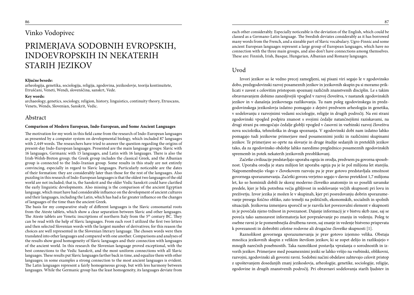## Vinko Vodopivec

## PRIMERJAVA SODOBNIH EVROPSKIH, INDOEVROPSKIH IN NEKATERIH STARIH JEZIKOV

#### **Ključne besede:**

arheologija, genetika, sociologija, religija, zgodovina, jezikoslovje, teorija kontinuitete, Etruščani, Veneti, Wendi, slovenščina, sanskrt, Vede.

#### **Key words:**

archaeology, genetics, sociology, religion, history, linguistics, continuity theory, Etruscans, Venets, Wends, Slovenian, Sanskrit, Vedic.

#### Abstract

#### **Comparison of Modern European, Indo-European, and Some Ancient Languages**

The motivation for my work in this field came from the research of Indo-European languages as presented by a computer system on developmental biology, which included 87 languages with 2,449 words. The researchers have tried to answer the question regarding the origins of present-day Indo-European languages. Presented are the main language groups: Slavic with 16 languages, Germanic with 15 languages, and Latin with 16 languages. There is also the Irish-Welsh-Breton group; the Greek group includes the classical Greek, and the Albanian group is connected to the Indo-Iranian group. Some results in this study are not entirely convincing, especially in regard to Slavic languages. Particularly noticeable are the dates of their formation: they are considerably later than those for the rest of the languages. Also puzzling in this research of Indo-European languages is that the oldest two languages of the old world are not included; that is, the Sanskrit and the older Vedic Sanskrit could have clarified the early linguistic developments. Also missing is the comparison of the ancient Egyptian language, which must have had considerable influence on the development of ancient cultures and their languages, including the Latin, which has had a far greater influence on the changes of languages of the time than the ancient Greek.

The basis for my comparative study of different languages is the Slavic consonantal roots from the Ateste tablets, which show a clear separation between Slavic and other languages. The Ateste tablets are Venetic inscriptions of northern Italy from the  $5<sup>th</sup>$  century BC. They can be read with the help of Slavic languages. From each root I utilized the first two letters and then selected Slovenian words with the largest number of derivatives; for this reason the choices are well represented in the Slovenian literary language. The chosen words were then translated into other languages and compared with one another. Comparisons and analyses of the results show good homogeneity of Slavic languages and their connection with languages of the ancient world. In this research the Slovenian language proved exceptional, with the best connections to the Vedic Sanskrit, and the most uniform connections with all Slavic languages. These results put Slavic languages farther back in time, and equalize them with other languages; in some examples a strong connection to the most ancient languages is evident. The Latin languages represent a fairly homogeneous group, but with less harmony between languages. While the Germanic group has the least homogeneity, its languages deviate from

each other considerably. Especially noticeable is the deviation of the English, which could be classed as a Germano-Latin language. The Swedish deviates considerably as it has borrowed many words from the French, and a sizeable part of Slavic vocabulary. Ugro-Finnic and some ancient European languages represent a large group of European languages, which have no connection with the three main groups, and also don't have connections among themselves. These are: Finnish, Irish, Basque, Hungarian, Albanian and Romany languages.

#### Uvod

Izvori jezikov so še vedno precej zamegljeni, saj pisani viri segajo le v zgodovinsko dobo, predzgodovinski razvoj posameznih jezikov in jezikovnih skupin pa si moramo priklicati v zavest s celovitim pristopom spoznanj različnih znanstvenih disciplin. Le s takim obravnavanjem dobimo zanesljivejši vpogled v razvoj človeštva, v nastanek zgodovinskih jezikov in v današnja jezikovnega razlikovanja. Tu nam poleg zgodovinskega in predzgodovinskega jezikoslovja izdatno pomagajo z dejstvi predvsem arheologija in genetika, v sodelovanju z razvojnimi vedami sociologije, religije in drugih področij. Na eni strani zgodovinski vpogled podpira znanost s svojimi čedalje natančnejšimi raziskavami, na drugi strani pa omogočajo čedalje globlji vpogled v časovni in vsebinski razvoj človeštva nova sociološka, tehnološka in druga spoznanja. V zgodovinski dobi nam izdatno lahko pomagajo tudi jezikovne primerjave med posameznimi jeziki in različnimi skupinami jezikov. Te primerjave so oprte na slovarje in druge študije sedanjih in preteklih jezikov tako, da za zgodovinsko obdobje lahko naredimo preglednico posameznih zgodovinskih sprememb in potek nekaterih jezikovnih preoblikovanj.

Začetke civilizacije predstavljajo uporaba ognja in orodja, predvsem pa govorna sposobnost. Uporaba orodja je stara milijon let uporaba ognja pa je še pol milijona let starejša. Najpomembnejšo vlogo v človekovem razvoju pa je prav gotovo predstavljala zmožnost govornega sporazumevanja. Začetki govora verjetno segajo v davno preteklost 1,7 milijona let, ko so hominidi dobili že skoraj moderno človeško anatomijo in so poselili savanske predele, kjer je bila potrebna večja gibljivost in sodelovanje večjih skupnosti pri lovu in preživetju. Izvor jezika je možen le v skupinah, kjer pri posredovanju dobrin sporazumevanje presega fizično obliko, zato temelji na političnih, ekonomskih, socialnih in spolnih situacijah. Jezikovna izmenjava sporočil se je razvila kot povezovalni element v skupnosti in je povečala njeno trdnost in povezanost. Dajanje informacij je v bistvu skrb zase, saj se poveča tako samozavest informatorja kot povpraševanje po znanju in vedenju. Poleg te osebne ravni je še pomembnejša družbena raven, saj znanje in vedenje bistveno prispevata k povezanosti in dobrobiti celotne rodovne ali drugačne človeške skupnosti [1].

Raznolikost govornega sporazumevanja je prav gotovo izjemno velika. Obstaja množica jezikovnih skupin z velikim številom jezikov, ki se zopet delijo in razlikujejo v mnogih narečnih posebnostih. Taka raznolikost postavlja vprašanja o sorodnostih in izvorih jezikov. Primerjave med posameznimi jeziki se lahko vršijo na vsebinski, oblikovni, razvojni, zgodovinski ali govorni ravni. Sodobni načini obdelave zahtevajo celovit pristop z upoštevanjem dosedanjih znanj jezikoslovja, arheologije, genetike, sociologije, religije, zgodovine in drugih znanstvenih področij. Pri obravnavi sodelovanja starih ljudstev in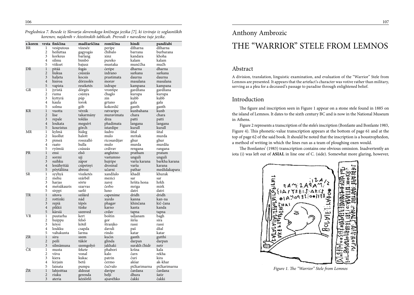*Preglednica 7. Besede iz Slovarja slovenskega knižnega jezika [7], ki izvirajo iz soglasniških*  ica 7. Besede iz Slovarja slovenskega knižnega jezika [7], ki izvirajo iz soglasniških *Karenov, najdenih v Atestinskih tablicah. Prevodi v navedene tuje jezike.*<br>Korenov, najdenih v Atestinskih tablicah. Prevodi v naveden

| džharna<br>džharna<br>1<br>vízeséz<br>vesiputous<br>peripe<br>$\overline{c}$<br>čhibalo<br>heiluttaa<br>burbarana<br>gagyogás<br>barrana<br>3<br>khoha<br>korkeus<br>barlang<br>kandara<br>xinz<br>4<br>kalam<br>kalam<br>silmu<br>bimbó<br>pureko<br>munččha<br>mučh<br>5<br>viikset<br>mustaka<br>bajusz<br>$\mathbf{1}$<br>dharna<br>dharna<br>pitää<br>fogás<br>ćeripe<br>$\overline{2}$<br>liukua<br>izdrano<br>csúszás<br>sarkana<br>sarkana<br>3<br>haljeta<br>kocsis<br>prastimata<br>daurna<br>daurna<br>$\overline{4}$<br>dörzsolés<br>hieroa<br>masalana<br>masalana<br>morav<br>5<br>reszketés<br>izdrape<br>vapista<br>kampana<br>kampana<br>1<br>dörgés<br>gardžana<br>gardžana<br>jyristä<br>vrontipe<br>2<br>čhaglo<br>kurupa<br>csúnya<br>kurupa<br>ruma<br>3<br>kubb<br>kubb<br>kyttyrä<br>zin<br>púp<br>4<br>kaula<br>torok<br>gala<br>gala<br>grtano<br>5<br>solma<br>göb<br>kokordič<br>ganth<br>ganth<br>$\mathbf{1}$<br>kunbahana<br>kunb<br>vuotta<br>vérzik<br>ratvaripe<br>$\overline{2}$<br>lise<br>chara<br>takarmány<br>muravimata<br>chara<br>3<br>repale<br>toldás<br>drza<br>patti<br>patti<br>$\overline{4}$<br>loukata<br>phadimata<br>megsért<br>langana<br>langana<br>5<br>kouristus<br>görch<br>istardipe<br>kurall<br>kurall<br>ΜR<br>1<br>kylmä<br>šudro<br>šital<br>šital<br>hideg<br>$\overline{c}$<br>kuollut<br>halott<br>murda<br>mulo<br>mritak<br>3<br>rosszalló<br>pimeä<br>ricosardijav<br>ghur<br>ghur<br>hulla<br>murdža<br>4<br>mulo<br>murda<br>raato<br>5<br>csúszás<br>crdivav<br>ryömiä<br>rengana<br>rangana<br><b>PR</b><br>$\mathbf{1}$<br>első<br>ensi<br>anglutno<br>pratham<br>pratam<br>$\overline{2}$<br>unguli<br>unguli<br>sormi<br>ujj<br>vastumno<br>3<br>suihku<br>barkha karana<br>zápor<br>varša karana<br>hujripe<br>$\overline{4}$<br>lenähyttää<br>drosinal<br>varša<br>karana<br>csipetnyi<br>5<br>pöytäliina<br>učarni<br>abrosz<br>medždakapara<br>pathar<br>SR<br>xandžalo<br>khadž<br>khurak<br>1<br>syyhyä<br>viszketés<br>$\overline{c}$<br>mehu<br>szárbél<br>mezici<br>sar<br>sar<br>3<br>hršita hona<br>hrkh<br>harjas<br>sörte<br>zaroj<br>$\overline{4}$<br>metsäkauris<br>čerbo<br>mirk<br>mriga<br>szarvas<br>5<br>sarló<br>luno<br>datri<br>datri<br>sirppi<br>$\mathbf{1}$<br>TR<br>szilárd<br>dridh<br>dridh<br>sitova<br>capenime<br>$\overline{2}$<br>nád<br>rottinki<br>xurdo<br>kanna<br>kan-na<br>3<br>kič-čana<br>repiä<br>tépés<br>phagav<br>khinčana<br>$\overline{4}$<br>tüske<br>pikkii<br>karno<br>kanta<br>kanda<br>5<br>kärsiä<br>crdav<br>szenved<br>tapna<br>tapna<br>VR<br>1<br>boštin<br>puutarha<br>kert<br>udjanam<br>bagh<br>2<br>felső<br>huippu<br>širša<br>sira<br>gor<br>3<br>kötél<br>štranjko<br>köysi<br>rassi<br>rassi<br>4<br>loukku<br>csapda<br>davuli<br>džal<br>paš<br>5<br>valtakunta<br>rindo<br>katar<br>larma<br>katar<br>$\mathbf{1}$<br>kućin<br>gutthi<br>siru<br>ganth<br>szem<br>$\sqrt{2}$<br>tükör<br>glinda<br>peili<br>darpan<br>darpan<br>3<br>surakh čhidr<br>silmämuna<br>szemgolyó<br>jakhaki<br>netr<br>kala<br>1<br>fekete<br>phabori<br>kršna<br>musta<br>2<br>vonal<br>rekha<br>viiva<br>kalo<br>čarn<br>3<br>kukac<br>kira<br>kiera<br>patrin<br>čuri<br>$\overline{\mathbf{4}}$<br>ak-khar<br>betű<br>akšar<br>kirjain<br>ćermo<br>čučvalo<br>5<br>pičkarimarna<br>pičkarimarna<br>lainata<br>pumpa<br>$\mathbf{1}$<br>lahjoittaa<br>áldozat<br>čardana<br>davipe<br>čardana<br>$\overline{c}$<br>dhura<br>šatir<br>riuku<br>gerenda<br>belji<br>$\overline{3}$<br>ajsavéhko<br>čakki<br>čakki<br>ateria<br>kéziőrlő | z.koren | vrsta finščina | madžarščina | romščina | hindi | pandžabi |
|------------------------------------------------------------------------------------------------------------------------------------------------------------------------------------------------------------------------------------------------------------------------------------------------------------------------------------------------------------------------------------------------------------------------------------------------------------------------------------------------------------------------------------------------------------------------------------------------------------------------------------------------------------------------------------------------------------------------------------------------------------------------------------------------------------------------------------------------------------------------------------------------------------------------------------------------------------------------------------------------------------------------------------------------------------------------------------------------------------------------------------------------------------------------------------------------------------------------------------------------------------------------------------------------------------------------------------------------------------------------------------------------------------------------------------------------------------------------------------------------------------------------------------------------------------------------------------------------------------------------------------------------------------------------------------------------------------------------------------------------------------------------------------------------------------------------------------------------------------------------------------------------------------------------------------------------------------------------------------------------------------------------------------------------------------------------------------------------------------------------------------------------------------------------------------------------------------------------------------------------------------------------------------------------------------------------------------------------------------------------------------------------------------------------------------------------------------------------------------------------------------------------------------------------------------------------------------------------------------------------------------------------------------------------------------------------------------------------------------------------------------------------------------------------------------------------------------------------------------------------------------------------------------------------------------------------------------------------------------------------------------------------------------------------------------------------------------------------------------------------------------------------------------------------------------------------------------------------------------------------------------------------------------------------------------------------------------------------------------------------------------------------------------------------------------------------------------------------------------------------------------------------------------------------------------------------|---------|----------------|-------------|----------|-------|----------|
|                                                                                                                                                                                                                                                                                                                                                                                                                                                                                                                                                                                                                                                                                                                                                                                                                                                                                                                                                                                                                                                                                                                                                                                                                                                                                                                                                                                                                                                                                                                                                                                                                                                                                                                                                                                                                                                                                                                                                                                                                                                                                                                                                                                                                                                                                                                                                                                                                                                                                                                                                                                                                                                                                                                                                                                                                                                                                                                                                                                                                                                                                                                                                                                                                                                                                                                                                                                                                                                                                                                                                                        | BR      |                |             |          |       |          |
|                                                                                                                                                                                                                                                                                                                                                                                                                                                                                                                                                                                                                                                                                                                                                                                                                                                                                                                                                                                                                                                                                                                                                                                                                                                                                                                                                                                                                                                                                                                                                                                                                                                                                                                                                                                                                                                                                                                                                                                                                                                                                                                                                                                                                                                                                                                                                                                                                                                                                                                                                                                                                                                                                                                                                                                                                                                                                                                                                                                                                                                                                                                                                                                                                                                                                                                                                                                                                                                                                                                                                                        |         |                |             |          |       |          |
|                                                                                                                                                                                                                                                                                                                                                                                                                                                                                                                                                                                                                                                                                                                                                                                                                                                                                                                                                                                                                                                                                                                                                                                                                                                                                                                                                                                                                                                                                                                                                                                                                                                                                                                                                                                                                                                                                                                                                                                                                                                                                                                                                                                                                                                                                                                                                                                                                                                                                                                                                                                                                                                                                                                                                                                                                                                                                                                                                                                                                                                                                                                                                                                                                                                                                                                                                                                                                                                                                                                                                                        |         |                |             |          |       |          |
|                                                                                                                                                                                                                                                                                                                                                                                                                                                                                                                                                                                                                                                                                                                                                                                                                                                                                                                                                                                                                                                                                                                                                                                                                                                                                                                                                                                                                                                                                                                                                                                                                                                                                                                                                                                                                                                                                                                                                                                                                                                                                                                                                                                                                                                                                                                                                                                                                                                                                                                                                                                                                                                                                                                                                                                                                                                                                                                                                                                                                                                                                                                                                                                                                                                                                                                                                                                                                                                                                                                                                                        |         |                |             |          |       |          |
|                                                                                                                                                                                                                                                                                                                                                                                                                                                                                                                                                                                                                                                                                                                                                                                                                                                                                                                                                                                                                                                                                                                                                                                                                                                                                                                                                                                                                                                                                                                                                                                                                                                                                                                                                                                                                                                                                                                                                                                                                                                                                                                                                                                                                                                                                                                                                                                                                                                                                                                                                                                                                                                                                                                                                                                                                                                                                                                                                                                                                                                                                                                                                                                                                                                                                                                                                                                                                                                                                                                                                                        |         |                |             |          |       |          |
|                                                                                                                                                                                                                                                                                                                                                                                                                                                                                                                                                                                                                                                                                                                                                                                                                                                                                                                                                                                                                                                                                                                                                                                                                                                                                                                                                                                                                                                                                                                                                                                                                                                                                                                                                                                                                                                                                                                                                                                                                                                                                                                                                                                                                                                                                                                                                                                                                                                                                                                                                                                                                                                                                                                                                                                                                                                                                                                                                                                                                                                                                                                                                                                                                                                                                                                                                                                                                                                                                                                                                                        | DR      |                |             |          |       |          |
|                                                                                                                                                                                                                                                                                                                                                                                                                                                                                                                                                                                                                                                                                                                                                                                                                                                                                                                                                                                                                                                                                                                                                                                                                                                                                                                                                                                                                                                                                                                                                                                                                                                                                                                                                                                                                                                                                                                                                                                                                                                                                                                                                                                                                                                                                                                                                                                                                                                                                                                                                                                                                                                                                                                                                                                                                                                                                                                                                                                                                                                                                                                                                                                                                                                                                                                                                                                                                                                                                                                                                                        |         |                |             |          |       |          |
|                                                                                                                                                                                                                                                                                                                                                                                                                                                                                                                                                                                                                                                                                                                                                                                                                                                                                                                                                                                                                                                                                                                                                                                                                                                                                                                                                                                                                                                                                                                                                                                                                                                                                                                                                                                                                                                                                                                                                                                                                                                                                                                                                                                                                                                                                                                                                                                                                                                                                                                                                                                                                                                                                                                                                                                                                                                                                                                                                                                                                                                                                                                                                                                                                                                                                                                                                                                                                                                                                                                                                                        |         |                |             |          |       |          |
|                                                                                                                                                                                                                                                                                                                                                                                                                                                                                                                                                                                                                                                                                                                                                                                                                                                                                                                                                                                                                                                                                                                                                                                                                                                                                                                                                                                                                                                                                                                                                                                                                                                                                                                                                                                                                                                                                                                                                                                                                                                                                                                                                                                                                                                                                                                                                                                                                                                                                                                                                                                                                                                                                                                                                                                                                                                                                                                                                                                                                                                                                                                                                                                                                                                                                                                                                                                                                                                                                                                                                                        |         |                |             |          |       |          |
|                                                                                                                                                                                                                                                                                                                                                                                                                                                                                                                                                                                                                                                                                                                                                                                                                                                                                                                                                                                                                                                                                                                                                                                                                                                                                                                                                                                                                                                                                                                                                                                                                                                                                                                                                                                                                                                                                                                                                                                                                                                                                                                                                                                                                                                                                                                                                                                                                                                                                                                                                                                                                                                                                                                                                                                                                                                                                                                                                                                                                                                                                                                                                                                                                                                                                                                                                                                                                                                                                                                                                                        |         |                |             |          |       |          |
|                                                                                                                                                                                                                                                                                                                                                                                                                                                                                                                                                                                                                                                                                                                                                                                                                                                                                                                                                                                                                                                                                                                                                                                                                                                                                                                                                                                                                                                                                                                                                                                                                                                                                                                                                                                                                                                                                                                                                                                                                                                                                                                                                                                                                                                                                                                                                                                                                                                                                                                                                                                                                                                                                                                                                                                                                                                                                                                                                                                                                                                                                                                                                                                                                                                                                                                                                                                                                                                                                                                                                                        | GR      |                |             |          |       |          |
|                                                                                                                                                                                                                                                                                                                                                                                                                                                                                                                                                                                                                                                                                                                                                                                                                                                                                                                                                                                                                                                                                                                                                                                                                                                                                                                                                                                                                                                                                                                                                                                                                                                                                                                                                                                                                                                                                                                                                                                                                                                                                                                                                                                                                                                                                                                                                                                                                                                                                                                                                                                                                                                                                                                                                                                                                                                                                                                                                                                                                                                                                                                                                                                                                                                                                                                                                                                                                                                                                                                                                                        |         |                |             |          |       |          |
|                                                                                                                                                                                                                                                                                                                                                                                                                                                                                                                                                                                                                                                                                                                                                                                                                                                                                                                                                                                                                                                                                                                                                                                                                                                                                                                                                                                                                                                                                                                                                                                                                                                                                                                                                                                                                                                                                                                                                                                                                                                                                                                                                                                                                                                                                                                                                                                                                                                                                                                                                                                                                                                                                                                                                                                                                                                                                                                                                                                                                                                                                                                                                                                                                                                                                                                                                                                                                                                                                                                                                                        |         |                |             |          |       |          |
|                                                                                                                                                                                                                                                                                                                                                                                                                                                                                                                                                                                                                                                                                                                                                                                                                                                                                                                                                                                                                                                                                                                                                                                                                                                                                                                                                                                                                                                                                                                                                                                                                                                                                                                                                                                                                                                                                                                                                                                                                                                                                                                                                                                                                                                                                                                                                                                                                                                                                                                                                                                                                                                                                                                                                                                                                                                                                                                                                                                                                                                                                                                                                                                                                                                                                                                                                                                                                                                                                                                                                                        |         |                |             |          |       |          |
|                                                                                                                                                                                                                                                                                                                                                                                                                                                                                                                                                                                                                                                                                                                                                                                                                                                                                                                                                                                                                                                                                                                                                                                                                                                                                                                                                                                                                                                                                                                                                                                                                                                                                                                                                                                                                                                                                                                                                                                                                                                                                                                                                                                                                                                                                                                                                                                                                                                                                                                                                                                                                                                                                                                                                                                                                                                                                                                                                                                                                                                                                                                                                                                                                                                                                                                                                                                                                                                                                                                                                                        |         |                |             |          |       |          |
|                                                                                                                                                                                                                                                                                                                                                                                                                                                                                                                                                                                                                                                                                                                                                                                                                                                                                                                                                                                                                                                                                                                                                                                                                                                                                                                                                                                                                                                                                                                                                                                                                                                                                                                                                                                                                                                                                                                                                                                                                                                                                                                                                                                                                                                                                                                                                                                                                                                                                                                                                                                                                                                                                                                                                                                                                                                                                                                                                                                                                                                                                                                                                                                                                                                                                                                                                                                                                                                                                                                                                                        | KR      |                |             |          |       |          |
|                                                                                                                                                                                                                                                                                                                                                                                                                                                                                                                                                                                                                                                                                                                                                                                                                                                                                                                                                                                                                                                                                                                                                                                                                                                                                                                                                                                                                                                                                                                                                                                                                                                                                                                                                                                                                                                                                                                                                                                                                                                                                                                                                                                                                                                                                                                                                                                                                                                                                                                                                                                                                                                                                                                                                                                                                                                                                                                                                                                                                                                                                                                                                                                                                                                                                                                                                                                                                                                                                                                                                                        |         |                |             |          |       |          |
|                                                                                                                                                                                                                                                                                                                                                                                                                                                                                                                                                                                                                                                                                                                                                                                                                                                                                                                                                                                                                                                                                                                                                                                                                                                                                                                                                                                                                                                                                                                                                                                                                                                                                                                                                                                                                                                                                                                                                                                                                                                                                                                                                                                                                                                                                                                                                                                                                                                                                                                                                                                                                                                                                                                                                                                                                                                                                                                                                                                                                                                                                                                                                                                                                                                                                                                                                                                                                                                                                                                                                                        |         |                |             |          |       |          |
|                                                                                                                                                                                                                                                                                                                                                                                                                                                                                                                                                                                                                                                                                                                                                                                                                                                                                                                                                                                                                                                                                                                                                                                                                                                                                                                                                                                                                                                                                                                                                                                                                                                                                                                                                                                                                                                                                                                                                                                                                                                                                                                                                                                                                                                                                                                                                                                                                                                                                                                                                                                                                                                                                                                                                                                                                                                                                                                                                                                                                                                                                                                                                                                                                                                                                                                                                                                                                                                                                                                                                                        |         |                |             |          |       |          |
|                                                                                                                                                                                                                                                                                                                                                                                                                                                                                                                                                                                                                                                                                                                                                                                                                                                                                                                                                                                                                                                                                                                                                                                                                                                                                                                                                                                                                                                                                                                                                                                                                                                                                                                                                                                                                                                                                                                                                                                                                                                                                                                                                                                                                                                                                                                                                                                                                                                                                                                                                                                                                                                                                                                                                                                                                                                                                                                                                                                                                                                                                                                                                                                                                                                                                                                                                                                                                                                                                                                                                                        |         |                |             |          |       |          |
|                                                                                                                                                                                                                                                                                                                                                                                                                                                                                                                                                                                                                                                                                                                                                                                                                                                                                                                                                                                                                                                                                                                                                                                                                                                                                                                                                                                                                                                                                                                                                                                                                                                                                                                                                                                                                                                                                                                                                                                                                                                                                                                                                                                                                                                                                                                                                                                                                                                                                                                                                                                                                                                                                                                                                                                                                                                                                                                                                                                                                                                                                                                                                                                                                                                                                                                                                                                                                                                                                                                                                                        |         |                |             |          |       |          |
|                                                                                                                                                                                                                                                                                                                                                                                                                                                                                                                                                                                                                                                                                                                                                                                                                                                                                                                                                                                                                                                                                                                                                                                                                                                                                                                                                                                                                                                                                                                                                                                                                                                                                                                                                                                                                                                                                                                                                                                                                                                                                                                                                                                                                                                                                                                                                                                                                                                                                                                                                                                                                                                                                                                                                                                                                                                                                                                                                                                                                                                                                                                                                                                                                                                                                                                                                                                                                                                                                                                                                                        |         |                |             |          |       |          |
|                                                                                                                                                                                                                                                                                                                                                                                                                                                                                                                                                                                                                                                                                                                                                                                                                                                                                                                                                                                                                                                                                                                                                                                                                                                                                                                                                                                                                                                                                                                                                                                                                                                                                                                                                                                                                                                                                                                                                                                                                                                                                                                                                                                                                                                                                                                                                                                                                                                                                                                                                                                                                                                                                                                                                                                                                                                                                                                                                                                                                                                                                                                                                                                                                                                                                                                                                                                                                                                                                                                                                                        |         |                |             |          |       |          |
|                                                                                                                                                                                                                                                                                                                                                                                                                                                                                                                                                                                                                                                                                                                                                                                                                                                                                                                                                                                                                                                                                                                                                                                                                                                                                                                                                                                                                                                                                                                                                                                                                                                                                                                                                                                                                                                                                                                                                                                                                                                                                                                                                                                                                                                                                                                                                                                                                                                                                                                                                                                                                                                                                                                                                                                                                                                                                                                                                                                                                                                                                                                                                                                                                                                                                                                                                                                                                                                                                                                                                                        |         |                |             |          |       |          |
|                                                                                                                                                                                                                                                                                                                                                                                                                                                                                                                                                                                                                                                                                                                                                                                                                                                                                                                                                                                                                                                                                                                                                                                                                                                                                                                                                                                                                                                                                                                                                                                                                                                                                                                                                                                                                                                                                                                                                                                                                                                                                                                                                                                                                                                                                                                                                                                                                                                                                                                                                                                                                                                                                                                                                                                                                                                                                                                                                                                                                                                                                                                                                                                                                                                                                                                                                                                                                                                                                                                                                                        |         |                |             |          |       |          |
|                                                                                                                                                                                                                                                                                                                                                                                                                                                                                                                                                                                                                                                                                                                                                                                                                                                                                                                                                                                                                                                                                                                                                                                                                                                                                                                                                                                                                                                                                                                                                                                                                                                                                                                                                                                                                                                                                                                                                                                                                                                                                                                                                                                                                                                                                                                                                                                                                                                                                                                                                                                                                                                                                                                                                                                                                                                                                                                                                                                                                                                                                                                                                                                                                                                                                                                                                                                                                                                                                                                                                                        |         |                |             |          |       |          |
|                                                                                                                                                                                                                                                                                                                                                                                                                                                                                                                                                                                                                                                                                                                                                                                                                                                                                                                                                                                                                                                                                                                                                                                                                                                                                                                                                                                                                                                                                                                                                                                                                                                                                                                                                                                                                                                                                                                                                                                                                                                                                                                                                                                                                                                                                                                                                                                                                                                                                                                                                                                                                                                                                                                                                                                                                                                                                                                                                                                                                                                                                                                                                                                                                                                                                                                                                                                                                                                                                                                                                                        |         |                |             |          |       |          |
|                                                                                                                                                                                                                                                                                                                                                                                                                                                                                                                                                                                                                                                                                                                                                                                                                                                                                                                                                                                                                                                                                                                                                                                                                                                                                                                                                                                                                                                                                                                                                                                                                                                                                                                                                                                                                                                                                                                                                                                                                                                                                                                                                                                                                                                                                                                                                                                                                                                                                                                                                                                                                                                                                                                                                                                                                                                                                                                                                                                                                                                                                                                                                                                                                                                                                                                                                                                                                                                                                                                                                                        |         |                |             |          |       |          |
|                                                                                                                                                                                                                                                                                                                                                                                                                                                                                                                                                                                                                                                                                                                                                                                                                                                                                                                                                                                                                                                                                                                                                                                                                                                                                                                                                                                                                                                                                                                                                                                                                                                                                                                                                                                                                                                                                                                                                                                                                                                                                                                                                                                                                                                                                                                                                                                                                                                                                                                                                                                                                                                                                                                                                                                                                                                                                                                                                                                                                                                                                                                                                                                                                                                                                                                                                                                                                                                                                                                                                                        |         |                |             |          |       |          |
|                                                                                                                                                                                                                                                                                                                                                                                                                                                                                                                                                                                                                                                                                                                                                                                                                                                                                                                                                                                                                                                                                                                                                                                                                                                                                                                                                                                                                                                                                                                                                                                                                                                                                                                                                                                                                                                                                                                                                                                                                                                                                                                                                                                                                                                                                                                                                                                                                                                                                                                                                                                                                                                                                                                                                                                                                                                                                                                                                                                                                                                                                                                                                                                                                                                                                                                                                                                                                                                                                                                                                                        |         |                |             |          |       |          |
|                                                                                                                                                                                                                                                                                                                                                                                                                                                                                                                                                                                                                                                                                                                                                                                                                                                                                                                                                                                                                                                                                                                                                                                                                                                                                                                                                                                                                                                                                                                                                                                                                                                                                                                                                                                                                                                                                                                                                                                                                                                                                                                                                                                                                                                                                                                                                                                                                                                                                                                                                                                                                                                                                                                                                                                                                                                                                                                                                                                                                                                                                                                                                                                                                                                                                                                                                                                                                                                                                                                                                                        |         |                |             |          |       |          |
|                                                                                                                                                                                                                                                                                                                                                                                                                                                                                                                                                                                                                                                                                                                                                                                                                                                                                                                                                                                                                                                                                                                                                                                                                                                                                                                                                                                                                                                                                                                                                                                                                                                                                                                                                                                                                                                                                                                                                                                                                                                                                                                                                                                                                                                                                                                                                                                                                                                                                                                                                                                                                                                                                                                                                                                                                                                                                                                                                                                                                                                                                                                                                                                                                                                                                                                                                                                                                                                                                                                                                                        |         |                |             |          |       |          |
|                                                                                                                                                                                                                                                                                                                                                                                                                                                                                                                                                                                                                                                                                                                                                                                                                                                                                                                                                                                                                                                                                                                                                                                                                                                                                                                                                                                                                                                                                                                                                                                                                                                                                                                                                                                                                                                                                                                                                                                                                                                                                                                                                                                                                                                                                                                                                                                                                                                                                                                                                                                                                                                                                                                                                                                                                                                                                                                                                                                                                                                                                                                                                                                                                                                                                                                                                                                                                                                                                                                                                                        |         |                |             |          |       |          |
|                                                                                                                                                                                                                                                                                                                                                                                                                                                                                                                                                                                                                                                                                                                                                                                                                                                                                                                                                                                                                                                                                                                                                                                                                                                                                                                                                                                                                                                                                                                                                                                                                                                                                                                                                                                                                                                                                                                                                                                                                                                                                                                                                                                                                                                                                                                                                                                                                                                                                                                                                                                                                                                                                                                                                                                                                                                                                                                                                                                                                                                                                                                                                                                                                                                                                                                                                                                                                                                                                                                                                                        |         |                |             |          |       |          |
|                                                                                                                                                                                                                                                                                                                                                                                                                                                                                                                                                                                                                                                                                                                                                                                                                                                                                                                                                                                                                                                                                                                                                                                                                                                                                                                                                                                                                                                                                                                                                                                                                                                                                                                                                                                                                                                                                                                                                                                                                                                                                                                                                                                                                                                                                                                                                                                                                                                                                                                                                                                                                                                                                                                                                                                                                                                                                                                                                                                                                                                                                                                                                                                                                                                                                                                                                                                                                                                                                                                                                                        |         |                |             |          |       |          |
|                                                                                                                                                                                                                                                                                                                                                                                                                                                                                                                                                                                                                                                                                                                                                                                                                                                                                                                                                                                                                                                                                                                                                                                                                                                                                                                                                                                                                                                                                                                                                                                                                                                                                                                                                                                                                                                                                                                                                                                                                                                                                                                                                                                                                                                                                                                                                                                                                                                                                                                                                                                                                                                                                                                                                                                                                                                                                                                                                                                                                                                                                                                                                                                                                                                                                                                                                                                                                                                                                                                                                                        |         |                |             |          |       |          |
|                                                                                                                                                                                                                                                                                                                                                                                                                                                                                                                                                                                                                                                                                                                                                                                                                                                                                                                                                                                                                                                                                                                                                                                                                                                                                                                                                                                                                                                                                                                                                                                                                                                                                                                                                                                                                                                                                                                                                                                                                                                                                                                                                                                                                                                                                                                                                                                                                                                                                                                                                                                                                                                                                                                                                                                                                                                                                                                                                                                                                                                                                                                                                                                                                                                                                                                                                                                                                                                                                                                                                                        |         |                |             |          |       |          |
|                                                                                                                                                                                                                                                                                                                                                                                                                                                                                                                                                                                                                                                                                                                                                                                                                                                                                                                                                                                                                                                                                                                                                                                                                                                                                                                                                                                                                                                                                                                                                                                                                                                                                                                                                                                                                                                                                                                                                                                                                                                                                                                                                                                                                                                                                                                                                                                                                                                                                                                                                                                                                                                                                                                                                                                                                                                                                                                                                                                                                                                                                                                                                                                                                                                                                                                                                                                                                                                                                                                                                                        |         |                |             |          |       |          |
|                                                                                                                                                                                                                                                                                                                                                                                                                                                                                                                                                                                                                                                                                                                                                                                                                                                                                                                                                                                                                                                                                                                                                                                                                                                                                                                                                                                                                                                                                                                                                                                                                                                                                                                                                                                                                                                                                                                                                                                                                                                                                                                                                                                                                                                                                                                                                                                                                                                                                                                                                                                                                                                                                                                                                                                                                                                                                                                                                                                                                                                                                                                                                                                                                                                                                                                                                                                                                                                                                                                                                                        |         |                |             |          |       |          |
|                                                                                                                                                                                                                                                                                                                                                                                                                                                                                                                                                                                                                                                                                                                                                                                                                                                                                                                                                                                                                                                                                                                                                                                                                                                                                                                                                                                                                                                                                                                                                                                                                                                                                                                                                                                                                                                                                                                                                                                                                                                                                                                                                                                                                                                                                                                                                                                                                                                                                                                                                                                                                                                                                                                                                                                                                                                                                                                                                                                                                                                                                                                                                                                                                                                                                                                                                                                                                                                                                                                                                                        |         |                |             |          |       |          |
|                                                                                                                                                                                                                                                                                                                                                                                                                                                                                                                                                                                                                                                                                                                                                                                                                                                                                                                                                                                                                                                                                                                                                                                                                                                                                                                                                                                                                                                                                                                                                                                                                                                                                                                                                                                                                                                                                                                                                                                                                                                                                                                                                                                                                                                                                                                                                                                                                                                                                                                                                                                                                                                                                                                                                                                                                                                                                                                                                                                                                                                                                                                                                                                                                                                                                                                                                                                                                                                                                                                                                                        |         |                |             |          |       |          |
|                                                                                                                                                                                                                                                                                                                                                                                                                                                                                                                                                                                                                                                                                                                                                                                                                                                                                                                                                                                                                                                                                                                                                                                                                                                                                                                                                                                                                                                                                                                                                                                                                                                                                                                                                                                                                                                                                                                                                                                                                                                                                                                                                                                                                                                                                                                                                                                                                                                                                                                                                                                                                                                                                                                                                                                                                                                                                                                                                                                                                                                                                                                                                                                                                                                                                                                                                                                                                                                                                                                                                                        |         |                |             |          |       |          |
|                                                                                                                                                                                                                                                                                                                                                                                                                                                                                                                                                                                                                                                                                                                                                                                                                                                                                                                                                                                                                                                                                                                                                                                                                                                                                                                                                                                                                                                                                                                                                                                                                                                                                                                                                                                                                                                                                                                                                                                                                                                                                                                                                                                                                                                                                                                                                                                                                                                                                                                                                                                                                                                                                                                                                                                                                                                                                                                                                                                                                                                                                                                                                                                                                                                                                                                                                                                                                                                                                                                                                                        |         |                |             |          |       |          |
|                                                                                                                                                                                                                                                                                                                                                                                                                                                                                                                                                                                                                                                                                                                                                                                                                                                                                                                                                                                                                                                                                                                                                                                                                                                                                                                                                                                                                                                                                                                                                                                                                                                                                                                                                                                                                                                                                                                                                                                                                                                                                                                                                                                                                                                                                                                                                                                                                                                                                                                                                                                                                                                                                                                                                                                                                                                                                                                                                                                                                                                                                                                                                                                                                                                                                                                                                                                                                                                                                                                                                                        |         |                |             |          |       |          |
|                                                                                                                                                                                                                                                                                                                                                                                                                                                                                                                                                                                                                                                                                                                                                                                                                                                                                                                                                                                                                                                                                                                                                                                                                                                                                                                                                                                                                                                                                                                                                                                                                                                                                                                                                                                                                                                                                                                                                                                                                                                                                                                                                                                                                                                                                                                                                                                                                                                                                                                                                                                                                                                                                                                                                                                                                                                                                                                                                                                                                                                                                                                                                                                                                                                                                                                                                                                                                                                                                                                                                                        |         |                |             |          |       |          |
|                                                                                                                                                                                                                                                                                                                                                                                                                                                                                                                                                                                                                                                                                                                                                                                                                                                                                                                                                                                                                                                                                                                                                                                                                                                                                                                                                                                                                                                                                                                                                                                                                                                                                                                                                                                                                                                                                                                                                                                                                                                                                                                                                                                                                                                                                                                                                                                                                                                                                                                                                                                                                                                                                                                                                                                                                                                                                                                                                                                                                                                                                                                                                                                                                                                                                                                                                                                                                                                                                                                                                                        | ZR      |                |             |          |       |          |
|                                                                                                                                                                                                                                                                                                                                                                                                                                                                                                                                                                                                                                                                                                                                                                                                                                                                                                                                                                                                                                                                                                                                                                                                                                                                                                                                                                                                                                                                                                                                                                                                                                                                                                                                                                                                                                                                                                                                                                                                                                                                                                                                                                                                                                                                                                                                                                                                                                                                                                                                                                                                                                                                                                                                                                                                                                                                                                                                                                                                                                                                                                                                                                                                                                                                                                                                                                                                                                                                                                                                                                        |         |                |             |          |       |          |
|                                                                                                                                                                                                                                                                                                                                                                                                                                                                                                                                                                                                                                                                                                                                                                                                                                                                                                                                                                                                                                                                                                                                                                                                                                                                                                                                                                                                                                                                                                                                                                                                                                                                                                                                                                                                                                                                                                                                                                                                                                                                                                                                                                                                                                                                                                                                                                                                                                                                                                                                                                                                                                                                                                                                                                                                                                                                                                                                                                                                                                                                                                                                                                                                                                                                                                                                                                                                                                                                                                                                                                        |         |                |             |          |       |          |
|                                                                                                                                                                                                                                                                                                                                                                                                                                                                                                                                                                                                                                                                                                                                                                                                                                                                                                                                                                                                                                                                                                                                                                                                                                                                                                                                                                                                                                                                                                                                                                                                                                                                                                                                                                                                                                                                                                                                                                                                                                                                                                                                                                                                                                                                                                                                                                                                                                                                                                                                                                                                                                                                                                                                                                                                                                                                                                                                                                                                                                                                                                                                                                                                                                                                                                                                                                                                                                                                                                                                                                        | ČR      |                |             |          |       |          |
|                                                                                                                                                                                                                                                                                                                                                                                                                                                                                                                                                                                                                                                                                                                                                                                                                                                                                                                                                                                                                                                                                                                                                                                                                                                                                                                                                                                                                                                                                                                                                                                                                                                                                                                                                                                                                                                                                                                                                                                                                                                                                                                                                                                                                                                                                                                                                                                                                                                                                                                                                                                                                                                                                                                                                                                                                                                                                                                                                                                                                                                                                                                                                                                                                                                                                                                                                                                                                                                                                                                                                                        |         |                |             |          |       |          |
|                                                                                                                                                                                                                                                                                                                                                                                                                                                                                                                                                                                                                                                                                                                                                                                                                                                                                                                                                                                                                                                                                                                                                                                                                                                                                                                                                                                                                                                                                                                                                                                                                                                                                                                                                                                                                                                                                                                                                                                                                                                                                                                                                                                                                                                                                                                                                                                                                                                                                                                                                                                                                                                                                                                                                                                                                                                                                                                                                                                                                                                                                                                                                                                                                                                                                                                                                                                                                                                                                                                                                                        |         |                |             |          |       |          |
|                                                                                                                                                                                                                                                                                                                                                                                                                                                                                                                                                                                                                                                                                                                                                                                                                                                                                                                                                                                                                                                                                                                                                                                                                                                                                                                                                                                                                                                                                                                                                                                                                                                                                                                                                                                                                                                                                                                                                                                                                                                                                                                                                                                                                                                                                                                                                                                                                                                                                                                                                                                                                                                                                                                                                                                                                                                                                                                                                                                                                                                                                                                                                                                                                                                                                                                                                                                                                                                                                                                                                                        |         |                |             |          |       |          |
|                                                                                                                                                                                                                                                                                                                                                                                                                                                                                                                                                                                                                                                                                                                                                                                                                                                                                                                                                                                                                                                                                                                                                                                                                                                                                                                                                                                                                                                                                                                                                                                                                                                                                                                                                                                                                                                                                                                                                                                                                                                                                                                                                                                                                                                                                                                                                                                                                                                                                                                                                                                                                                                                                                                                                                                                                                                                                                                                                                                                                                                                                                                                                                                                                                                                                                                                                                                                                                                                                                                                                                        |         |                |             |          |       |          |
|                                                                                                                                                                                                                                                                                                                                                                                                                                                                                                                                                                                                                                                                                                                                                                                                                                                                                                                                                                                                                                                                                                                                                                                                                                                                                                                                                                                                                                                                                                                                                                                                                                                                                                                                                                                                                                                                                                                                                                                                                                                                                                                                                                                                                                                                                                                                                                                                                                                                                                                                                                                                                                                                                                                                                                                                                                                                                                                                                                                                                                                                                                                                                                                                                                                                                                                                                                                                                                                                                                                                                                        | ŽR      |                |             |          |       |          |
|                                                                                                                                                                                                                                                                                                                                                                                                                                                                                                                                                                                                                                                                                                                                                                                                                                                                                                                                                                                                                                                                                                                                                                                                                                                                                                                                                                                                                                                                                                                                                                                                                                                                                                                                                                                                                                                                                                                                                                                                                                                                                                                                                                                                                                                                                                                                                                                                                                                                                                                                                                                                                                                                                                                                                                                                                                                                                                                                                                                                                                                                                                                                                                                                                                                                                                                                                                                                                                                                                                                                                                        |         |                |             |          |       |          |
|                                                                                                                                                                                                                                                                                                                                                                                                                                                                                                                                                                                                                                                                                                                                                                                                                                                                                                                                                                                                                                                                                                                                                                                                                                                                                                                                                                                                                                                                                                                                                                                                                                                                                                                                                                                                                                                                                                                                                                                                                                                                                                                                                                                                                                                                                                                                                                                                                                                                                                                                                                                                                                                                                                                                                                                                                                                                                                                                                                                                                                                                                                                                                                                                                                                                                                                                                                                                                                                                                                                                                                        |         |                |             |          |       |          |

## THE "WARRIOR" STELE FROM LEMNOS

### Abstract

A division, translation, linguistic examination, and evaluation of the "Warrior" Stele from Lemnos are presented. It appears that the artefact's character was votive rather than military, serving as a plea for a deceased's passage to paradise through enlightened belief.

### Introduction

The figure and inscription seen in Figure 1 appear on a stone stele found in 1885 on the island of Lemnos. It dates to the sixth century BC and is now in the National Museum in Athens.

Figure 2 represents a transcription of the stele's inscription (Bonfante and Bonfante 1983, Figure 4). This phonetic-value transcription appears at the bottom of page 61 and at the top of page 62 of the said book. It should be noted that the inscription is a boustrophedon, a method of writing in which the lines run as a team of ploughing oxen would.

The Bonfantes' (1983) transcription contains one obvious omission. Inadvertently an iota (i) was left out of **ASIAL** in line one of C. (side). Somewhat more glaring, however,



*Figure 1. The "Warrior" Stele from Lemnos*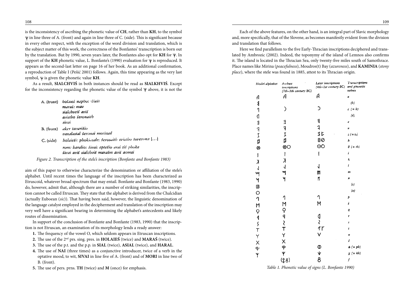is the inconsistency of ascribing the phonetic value of **CH**, rather than **KH**, to the symbol  $\Psi$  in line three of A. (front) and again in line three of C. (side). This is significant because in every other respect, with the exception of the word division and translation, which is the subject matter of this work, the correctness of the Bonfantes' transcription is born out by the translation. But by 1990, seven years later, the Bonfantes also opt for **KH** for  $\psi$ . In support of the KH phonetic value, L. Bonfante's (1990) evaluation for  $\Psi$  is reproduced. It appears as the second-last letter on page 16 of her book. As an additional confirmation, a reproduction of Table I (Pešić 2001) follows. Again, this time appearing as the very last symbol,  $\Psi$  is given the phonetic value **KH**.

As a result, **SIALCHVIŚ** in both instances should be read as **SIALKHVIŚ**. Except for the inconsistency regarding the phonetic value of the symbol  $\Psi$  above, it is not the

| A. (tront)  | bolaies naphoiststast<br>maraš: mav<br>sialchyeis avis<br>evistho seronaith<br>sivai  |
|-------------|---------------------------------------------------------------------------------------|
| $B.$ (from) | aker tavarišio<br>vanalasial šeronai morinail                                         |
| $C.$ (side) | holaiesi: phokiasale: serosaith evistho toverona []                                   |
|             | rom: haralio: šivai: eptešio arai tiš phoke<br>sivai avis sialchvis marašm avis aomai |

*Figure 2. Transcription of the stele's inscription (Bonfante and Bonfante 1983)*

aim of this paper to otherwise characterize the denomination or affiliation of the stele's alphabet. Until recent times the language of the inscription has been characterized as Etruscoid, whatever broad spectrum that may entail. Bonfante and Bonfante (1983, 1990) do, however, admit that, although there are a number of striking similarities, the inscription cannot be called Etruscan. They state that the alphabet is derived from the Chalcidian (actually Euboean (*sic*)). That having been said, however, the linguistic denomination of the language catalyst employed in the decipherment and translation of the inscription may very well have a significant bearing in determining the alphabet's antecedents and likely routes of dissemination.

In support of the conclusion of Bonfante and Bonfante (1983, 1990) that the inscription is not Etruscan, an examination of its morphology lends a ready answer:

- **1.** The frequency of the vowel O, which seldom appears in Etruscan inscriptions.
- **2.** The use of the 2nd prs. sing. pres. in **HOLAIEŚ** (twice) and **MARAŚ** (twice).
- **3.** The use of the p.t. and the p.p. in **SIAL** (twice), **ASIAL** (twice), and **HARAL**.
- **4.** The use of **NAI** (three times) as a conjunctive introducer, twice of a verb in the optative mood, to wit, **SIVAI** in line five of A. (front) and of **MORI** in line two of B. (front).
- **5.** The use of pers. prns. **TH** (twice) and **M** (once) for emphasis.

Each of the above features, on the other hand, is an integral part of Slavic morphology and, more specifically, that of the Slovene, as becomes manifestly evident from the division and translation that follows.

Here we find parallelism to the five Early-Thracian inscriptions deciphered and translated by Ambrozic (2002). Indeed, the toponymy of the island of Lemnos also confirms it. The island is located in the Thracian Sea, only twenty-five miles south of Samothrace. Place names like Mirina (*peacefulness*), Moudros(t) Bay (*azureness*), and **KAMINIA** (*stony place*), where the stele was found in 1885, attest to its Thracian origin.

| Model alphabet                                                                                                                                                                                                                                                                                                                                                                   | Archaic<br>inscriptions<br>(7th-5th century BC) | Later inscriptions<br>(4th-1st century BC) | Transcriptions<br>and phonetic<br>values |
|----------------------------------------------------------------------------------------------------------------------------------------------------------------------------------------------------------------------------------------------------------------------------------------------------------------------------------------------------------------------------------|-------------------------------------------------|--------------------------------------------|------------------------------------------|
| A                                                                                                                                                                                                                                                                                                                                                                                | A                                               | А                                          | a                                        |
|                                                                                                                                                                                                                                                                                                                                                                                  |                                                 |                                            | (b)                                      |
| $\frac{3}{1}$                                                                                                                                                                                                                                                                                                                                                                    | ⟩                                               |                                            | $c (= k)$                                |
| $\mathfrak{q}$                                                                                                                                                                                                                                                                                                                                                                   |                                                 |                                            | $\langle d \rangle$                      |
|                                                                                                                                                                                                                                                                                                                                                                                  | $\mathbf{a}$                                    | $\ddot{\mathbf{z}}$                        | Ľ                                        |
| ヨコーロ                                                                                                                                                                                                                                                                                                                                                                             |                                                 | 1                                          | U                                        |
|                                                                                                                                                                                                                                                                                                                                                                                  | 刁工目                                             | まじ                                         | $z (=t_2)$                               |
|                                                                                                                                                                                                                                                                                                                                                                                  |                                                 | 80                                         | h                                        |
| Ø                                                                                                                                                                                                                                                                                                                                                                                | ⊗O                                              | <u>රෙ</u>                                  | $0 (= th)$                               |
| $\begin{array}{c} \rule{0pt}{2.5ex} \rule{0pt}{2.5ex} \rule{0pt}{2.5ex} \rule{0pt}{2.5ex} \rule{0pt}{2.5ex} \rule{0pt}{2.5ex} \rule{0pt}{2.5ex} \rule{0pt}{2.5ex} \rule{0pt}{2.5ex} \rule{0pt}{2.5ex} \rule{0pt}{2.5ex} \rule{0pt}{2.5ex} \rule{0pt}{2.5ex} \rule{0pt}{2.5ex} \rule{0pt}{2.5ex} \rule{0pt}{2.5ex} \rule{0pt}{2.5ex} \rule{0pt}{2.5ex} \rule{0pt}{2.5ex} \rule{0$ | $\mid$                                          | I                                          | i                                        |
| X                                                                                                                                                                                                                                                                                                                                                                                | $\lambda$                                       |                                            | k                                        |
| $\overline{\mathsf{I}}$                                                                                                                                                                                                                                                                                                                                                          | $\overline{\mathcal{L}}$                        | J                                          | t                                        |
| M                                                                                                                                                                                                                                                                                                                                                                                |                                                 | m                                          | 172                                      |
|                                                                                                                                                                                                                                                                                                                                                                                  | y                                               | n                                          | Ħ                                        |
|                                                                                                                                                                                                                                                                                                                                                                                  |                                                 |                                            | (s)                                      |
|                                                                                                                                                                                                                                                                                                                                                                                  |                                                 |                                            | (0)                                      |
|                                                                                                                                                                                                                                                                                                                                                                                  | 1                                               | ባ                                          | Þ                                        |
|                                                                                                                                                                                                                                                                                                                                                                                  | M                                               | M                                          | ś                                        |
|                                                                                                                                                                                                                                                                                                                                                                                  |                                                 |                                            | q                                        |
|                                                                                                                                                                                                                                                                                                                                                                                  | つりくて                                            |                                            | ۲                                        |
|                                                                                                                                                                                                                                                                                                                                                                                  |                                                 | ۹<br>≀                                     | s                                        |
|                                                                                                                                                                                                                                                                                                                                                                                  |                                                 | $\uparrow\uparrow$                         | t                                        |
|                                                                                                                                                                                                                                                                                                                                                                                  | Y                                               | V                                          | u                                        |
|                                                                                                                                                                                                                                                                                                                                                                                  | X                                               |                                            | ś                                        |
| イチンストレイト バースチン                                                                                                                                                                                                                                                                                                                                                                   | ዋ                                               | $\Phi$                                     | $\phi (= ph)$                            |
|                                                                                                                                                                                                                                                                                                                                                                                  | Ψ                                               | $\checkmark$                               | $\chi$ (= kh)                            |
|                                                                                                                                                                                                                                                                                                                                                                                  | (88)                                            | 8                                          | $\boldsymbol{f}$                         |

*Table 1. Phonetic value of signs (L. Bonfante 1990)*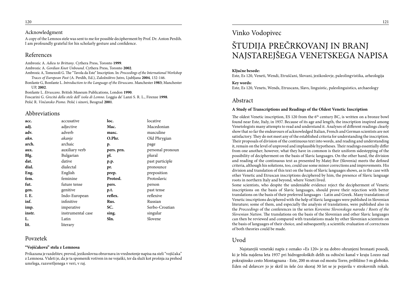#### Acknowledgment

A copy of the Lemnos stele was sent to me for possible decipherment by Prof. Dr. Anton Perdih. I am profoundly grateful for his scholarly gesture and confidence.

#### References

Ambrozic A. *Adieu to Brittany*. Cythera Press, Toronto **1999**.

Ambrozic A. *Gordian Knot Unbound*. Cythera Press, Toronto **2002**.

Ambrozic A, Tomezzoli G. The "Tavola da Este" Inscription. In: *Proceedings of the International Workshop Traces of European Past* (A. Perdih, Ed.), Založništvo Jutro, Ljubljana **2004**, 132-146.

Bonfante G, Bonfante L. *Introduction to the Language of the Etruscans*. Manchester **1983**; Manchester UP, **2002**.

Bonfante L. *Etruscans*. British Museum Publications, London **1990**.

Foscarini G. *Grecitá della stele dell' isola di Lemno*. Loggia de' Lanzi S. R. L., Firenze **1998**. Pešić R. *Vinčansko Pismo*. Pešić i sinovi, Beograd **2001**.

#### Abbreviations

| acc.   | accusative        | loc.                      | locative         |
|--------|-------------------|---------------------------|------------------|
| adj.   | adjective         | Mac.                      | Macedonian       |
| adv.   | adverb            | masc.                     | masculine        |
| akn.   | akanje            | O.Phr.                    | Old Phrygian     |
| arch.  | archaic           | p.                        | page             |
| aux.   | auxiliary verb    | pers. prn.                | personal pronoun |
| Blg.   | Bulgarian         | pl.                       | plural           |
| dat.   | dative            | $\mathbf{p}.\mathbf{p}$ . | past participle  |
| dial.  | dialectal         | pr.                       | pronounce        |
| Eng.   | English           | prep.                     | preposition      |
| fem.   | feminine          | Protosl.                  | Protoslavic      |
| fut.   | future tense      | pers.                     | person           |
| gen.   | genitive          | p.t.                      | past tense       |
| I. E.  | Indo-European     | reflex.                   | reflexive        |
| inf.   | infinitive        | Rus.                      | Russian          |
| imp.   | imperative        | SC.                       | Serbo-Croatian   |
| instr. | instrumental case | sing.                     | singular         |
| L.     | Latin             | Sln.                      | Slovene          |
| lit.   | literary          |                           |                  |

#### Povzetek

#### **"Vojščakova" stela z Lemnosa**

Prikazana je razdelitev, prevod, jezikoslovna obravnava in vrednotenje napisa na steli "vojščaka" z Lemnosa. Videti je, da je ta spomenik votiven in ne vojaški, ter da služi kot prošnja za prehod umrlega, razsvetljenega v veri, v raj.

## Vinko Vodopivec

## ŠTUDIJA PREČRKOVANJ IN BRANJ NAJSTAREJŠEGA VENETSKEGA NAPISA

#### **Ključne besede:**

Este, Es 120, Veneti, Wendi, Etruščani, Slovani, jezikoslovje, paleolingvistika, arheologija

#### **Key words:**

Este, Es 120, Venets, Wends, Etruscans, Slavs, linguistic, paleolinguistics, archaeology

#### Abstract

#### **A Study of Transcriptions and Readings of the Oldest Venetic Inscription**

The oldest Venetic inscription, ES 120 from the  $6<sup>th</sup>$  century BC, is written on a bronze bowl found near Este, Italy, in 1937. Because of its age and length, the inscription inspired among Venetologists many attempts to read and understand it. Analyses of different readings clearly show that so far the endeavours of acknowledged Italian, French and German scientists are not satisfactory. They do not meet any of the established criteria for understanding the inscription. Their proposals of division of the continuous text into words, and reading and understanding it, remain on the level of unproved and implausible hypotheses. Their readings essentially differ from one another; however, what they have in common is their uniform sidestepping of the possibility of decipherment on the basis of Slavic languages. On the other hand, the division and reading of the continuous text as presented by Matej Bor (Slovenia) meets the defined criteria, although his solutions, too, could use some minor corrections and improvements. His division and translation of this text on the basis of Slavic languages shows, as is the case with other Venetic and Etruscan inscriptions deciphered by him, the presence of Slavic language roots in northern Italy and beyond, where Veneti lived.

Some scientists, who despite the undeniable evidence reject the decipherment of Venetic inscriptions on the basis of Slavic languages, should prove their rejection with better translations on the basis of their preferred languages - Latin and Greek. Many translations of Venetic inscriptions deciphered with the help of Slavic languages were published in Slovenian literature; some of them, and especially the analysis of translations, were published also in the *Proceedings* of the conferences in the series *Korenine Slovenskega naroda / Roots of the Slovenian Nation*. The translations on the basis of the Slovenian and other Slavic languages can then be reviewed and compared with translations made by other Slovenian scientists on the basis of languages of their choice, and subsequently, a scientific evaluation of correctness of both theories could be made.

#### Uvod

Najstarejši venetski napis z oznako »Es 120« je na dobro ohranjeni bronasti posodi, ki je bila najdena leta 1937 pri hidrogeoloških delih za odtočni kanal v kraju Lozzo nad pokrajinsko cesto Montagnana - Este, 200 m stran od mostu Torre, približno 5 m globoko. Eden od delavcev jo je skril in šele čez skoraj 30 let se je pojavila v strokovnih rokah.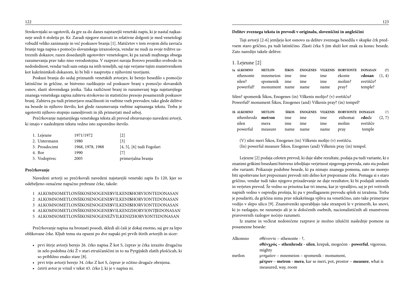Strokovnjaki so ugotovili, da gre za do danes najstarejši venetski napis, ki je nastal najkasneje sredi 6 stoletja pr. Kr. Zaradi njegove starosti in relativne dolgosti je med venetologi vzbudil veliko zanimanje in več poskusov branja [1]. Matičetov v tem svojem delu zavrača branje tega napisa s pomočjo slovanskega izrazoslovja, vendar ne nudi za svoje trditve ustreznih dokazov, razen dosedanjih ugotovitev venetologov, ki pa zaradi majhnega obsega razumevanja prav tako niso verodostojna. V razpravi navaja Borovo pesniško svobodo in nedoslednost, vendar tudi sam ostaja na istih temeljih, saj raje verjame tujim znanstvenikom kot kakršnimkoli dokazom, ki bi bili v nasprotju z njihovimi teorijami.

Poskusi branja do sedaj priznanih venetskih avtorjev, ki berejo besedilo s pomočjo latinščine in grščine, se bistveno razlikujejo od poskusov branj s pomočjo slovanskih osnov, zlasti slovenskega jezika. Taka različnost branj in razumevanj tega najstarejšega znanega venetskega zapisa zahteva strokovno in statistično presojo posameznih poskusov branj. Zahteva pa tudi primerjavo značilnosti in vsebine vseh prevodov, tako glede delitve na besede in njihovo število, kot glede razumevanja vsebine zapisanega teksta. Treba je ugotoviti njihovo stopnjo zanesljivosti in jih primerjati med seboj.

Prečrkovanje najstarejšega venetskega teksta ali prevod obravnavajo navedeni avtorji, ki imajo v naslednjem tekstu vedno isto zaporedno število.

| 1. Lejeune    | 1971/1972        | [2]                            |
|---------------|------------------|--------------------------------|
| 2. Untermann  | 1980             | [3]                            |
| 3. Prosdocimi | 1968, 1978, 1988 | $[4, 5]$ , $[6]$ tudi Fogolari |
| 4. Bor        | 1990             | $[7]$                          |
| 5. Vodopivec  | 2005             | primerjalna branja             |
|               |                  |                                |

#### **Prečrkovanje**

Navedeni avtorji so prečrkovali navedeni najstarejši venetski zapis Es 120, kjer so odebeljeno označene napačno prebrane črke, takole:

1 ALKOMNOMETLONŚIKOSENOGENE**S**VILKENI**S**HORVIONTEDONASAN

- 2 ALKOMNOMETLONŚIKOSENOGENE**S**VILKENI**S**HORVIONTEDONASAN
- 3 ALKOMNOMETLONŚIKOSENOGENE**S**VILKENI**S**HORVIONTEDONASAN
- 4 ALKOMNOMETLONŠIKOSENOGENE**S**VILKENIZHORVIONT**J**EDONASAN
- 5 ALKOMNOMETLONŠIKOSENOGENEŽVILKENIZHORVIONTEDONASAN

Prečrkovanje napisa na bronasti posodi, skledi ali čaši je dokaj enotno, saj gre za lepo oblikovane črke. Kljub temu sta opazni po dve napaki pri prvih štirih avtorjih in sicer:

- prvi štirje avtorji berejo 26. črko napisa Ž kot S, čeprav je črka izrazito drugačna in zelo podobna črki Ž v stari etruščanščini in to na Pyrgijskih zlatih ploščicah, ki so približno enako stare [8].
- prvi trije avtorji berejo 34. črko Z kot S, čeprav je očitno drugače obrnjena.
- četrti avtor je vrinil v tekst 43. črko J, ki je v napisu ni.

#### **Delitev zveznega teksta in prevodi v originalu, slovenščini in angleščini**

Tuji avtorji [2-6] jemljejo kot osnovo za delitev zveznega besedila v skupke črk predvsem staro grščino, pa tudi latinščino. Zlasti črka S jim služi kot znak za konec besede. Zato naredijo takele delitve:

1. Lejeune [2]

| 1a ALKOMNO | <b>METLON</b>                |  | ŚIKOS ENOGENES VILKENIS HORVIONTE DONASAN (7) |  |
|------------|------------------------------|--|-----------------------------------------------|--|
|            | sthenonte mnemeion ime ime   |  | ime ekonte e <b>dosan</b> (1, 4)              |  |
|            | silen? spomenik ime ime      |  | ime molim? svetišče?                          |  |
|            | powerful? monument name name |  | name pray? temple?                            |  |

Silen? spomenik Šikos, Enogenes (in) Vilkenis molijo? (v) svetišču? Powerful? monument Šikos, Enogenes (and) Vilkenis pray? (in) tempel?

| 1b ALKOMNO METLON                                           |  |  | ŚIKOS ENOGENES VILKENIS HORVIONTE DONASAN (7) |  |
|-------------------------------------------------------------|--|--|-----------------------------------------------|--|
| sthenhrodz <b>metron</b> ime ime ime eühomai edodz $(2, 7)$ |  |  |                                               |  |
| silen mera ime ime ime molim svetišče                       |  |  |                                               |  |
| powerful measure name name name pray temple                 |  |  |                                               |  |

(V) silni meri Šikos, Enogenes (in) Vilkenis molijo (v) svetišču. (In) powerful measure Šikos, Enogenes (and) Vilkenis pray (in) tempel.

Lejeune [2] podaja celoten prevod, ki daje slabe rezultate, podaja pa tudi variante, ki z znanimi grškimi besedami bistveno izboljšajo verjetnost njegovega prevoda, zato sta podani obe varianti. Prikazuje podobne besede, ki pa nimajo znanega pomena, zato ne morejo biti upoštevane kot prepoznani prevodi niti delno kot prepoznane črke. Pomaga si s staro grščino, vendar tudi tako njegovo prizadevanje ne daje rezultatov, ki bi podajali smiseln in verjeten prevod. Še vedno so prisotna kar tri imena, kar je vprašljivo, saj je pri votivnih napisih vedno v ospredju prošnja, ki pa v predlaganem prevodu sploh ni izražena. Treba je poudariti, da grščina nima prav nikakršnega vpliva na venetščino, zato take primerjave vodijo v slepo ulico [9]. Znanstveniki uporabljajo take stranpoti le v primerih, ko snovi, ki jo razlagajo, ne razumejo ali je iz določenih osebnih, nacionalističnih ali znanstveno pravovernih razlogov nočejo razumeti.

Iz znatne in večkrat nedorečene razprave je možno izluščiti naslednje pomene za posamezne besede:

| Alkomno | $\sigma\theta\acute{\epsilon}$ νοντε – sthenonte - ?,                                                       |
|---------|-------------------------------------------------------------------------------------------------------------|
|         | $\sigma \theta \dot{\epsilon}$ vypó $\varsigma$ – sthenhrodz - silen, krepak, mogočen - powerful, vigorous, |
|         | mighty                                                                                                      |
| metlon  | $\mu$ vημεΐον – mnemeion – spomenik - monument,                                                             |
|         | $\mu \dot{\epsilon} \tau \rho \, o \nu$ – metron - mera, kar se meri, pot, prostor – measure, what is       |
|         | measured, way, room                                                                                         |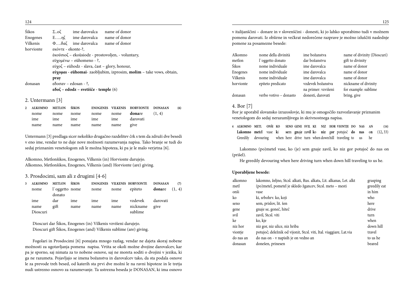| Śikos     | $\Sigma_{\cdot}$ .o $\zeta$ | ime darovalca                                               | name of donor                                                       |  |
|-----------|-----------------------------|-------------------------------------------------------------|---------------------------------------------------------------------|--|
| Enogenes  |                             | $E$ $\eta \zeta$ ime darovalca                              | name of donor                                                       |  |
| Vilkenis  |                             | $\Phi$ $\delta \alpha \zeta$ ime darovalca                  | name of donor                                                       |  |
| horvionte | εκόντε - ekonte-?,          |                                                             |                                                                     |  |
|           |                             |                                                             | έκοϋσιοζ – ekoüsiodz - prostovoljen, - voluntary,                   |  |
|           | εϋχομένω – eühomeno - ?,    |                                                             |                                                                     |  |
|           |                             | εύχοζ - eühodz - slava, čast - glory, honour,               |                                                                     |  |
|           |                             |                                                             | εύχομαι - eühomai- zaobljubim, izprosim, molim - take vows, obtain, |  |
|           | pray                        |                                                             |                                                                     |  |
| donasan   |                             | $εδ$ οσαν – edosan - ?,                                     |                                                                     |  |
|           |                             | $\epsilon \delta$ o $\zeta$ – edodz – svetišče - temple (6) |                                                                     |  |

#### 2. Untermann [3]

|      |                              |  | 2 ALKOMNO METLON ŚIKOS – ENOGENES VILKENIS HORVIONTE DONASAN | (6) |
|------|------------------------------|--|--------------------------------------------------------------|-----|
|      |                              |  | nome nome nome nome nome <b>donare</b> $(1, 4)$              |     |
|      | ime ime ime ime ime darovati |  |                                                              |     |
| name | name name name name give     |  |                                                              |     |

Untermann [3] predlaga sicer nekoliko drugačno razdelitev črk s tem da združi dve besedi v eno ime, vendar to ne daje nove možnosti razumevanja napisa. Tako branje se tudi do sedaj priznanim venetologom zdi le možna hipoteza, ki pa je le malo verjetna [6].

Alkomno, Metlonšikos, Enogenes, Vilkenis (in) Horvionte darujejo. Alkomno, Metlonšikos, Enogenes, Vilkenis (and) Horvionte (are) giving.

#### 3. Prosdocimi, sam ali z drugimi [4-6]

| 3 <sup>1</sup> | <b>ALKOMNO</b> | <b>METLON</b>            | ŚIKOS | <b>ENOGENES VILKENIS HORVIONTE</b> |      |          | <b>DONASAN</b>  | (7) |
|----------------|----------------|--------------------------|-------|------------------------------------|------|----------|-----------------|-----|
|                | nome           | l'oggetto nome<br>donato |       | nome                               | nome | epiteto  | donare $(1, 4)$ |     |
|                | ime            | dar                      | ime   | ime                                | ime  | vzdevek  | darovati        |     |
|                | name           | gift                     | name  | name                               | name | nickname | give            |     |
|                | Dioscuri       |                          |       |                                    |      | sublime  |                 |     |

Dioscuri dar Šikos, Enogenes (in) Vilkenis vzvišeni darujejo. Dioscuri gift Šikos, Enogenes (and) Vilkenis sublime (are) giving.

Fogolari in Prosdocimi [6] ponujata mnogo razlag, vendar ne dajeta skoraj nobene možnosti za ugotavljanja pomena napisa. Vrtita se okoli možne dvojine darovalcev, kar pa je sporno, saj nimata za to nobene osnove, saj ne moreta soditi o dvojini v jeziku, ki ga ne razumeta. Pojavljajo se imena božanstva in darovalcev tako, da sta podala osnove le za prevode treh besed, od katerih sta prvi dve možni le na ravni hipoteze in le tretja nudi ustrezno osnovo za razumevanje. Ta ustrezna beseda je DONASAN, ki ima osnovo

v italijanščini – donare in v slovenščini - donesti, ki jo lahko uporabimo tudi v možnem pomenu darovati. Iz obširne in večkrat nedorečene razprave je možno izluščiti naslednje pomene za posamezne besede:

| Alkomno      | nome della divinità    | ime božanstva       | name of divinity (Dioscuri) |
|--------------|------------------------|---------------------|-----------------------------|
| metlon       | l'oggetto donato       | dar božanstvu       | gift to divinity            |
| <b>Śikos</b> | nome individuale       | ime darovalca       | name of donor               |
| Enogenes     | nome individuale       | ime darovalca       | name of donor               |
| Vilkenis     | nome individuale       | ime darovalca       | name of donor               |
| horvionte    | epiteto predicato      | vzdevek božanstva   | nickname of divinity        |
|              |                        | na primer: vzvišeni | for example: sublime        |
| donasan      | verbo votivo – donasto | donesti, darovati   | bring, give                 |

#### 4. Bor [7]

Bor je uporabil slovansko izrazoslovje, ki mu je omogočilo razvozlavanje priznanim venetologom do sedaj nerazumljivega in skrivnostnega napisa.

**4 ALKOMNO METL ONŠI KO SENO GENE SVIL KE NIZ HOR VIONTJE DO NAS AN (14) Lakomno met**e**l** vase **k**i **se**m **gn**aj**e** za**vil k**o **niz** g**or** potujoč **do nas** o**n** (12**,** 33) Greedily devouring when here drive turn when downhill traveling to us he

Lakomno (po)metel vase, ko (je) sem gnaje zavil, ko niz gor potujoč do nas on (prišel).

He greedily devouring when here driving turn when down hill traveling to us he.

#### **Uporabljene besede:**

| alkomno   | lakomno, željno, Stcsl. alkati, Rus. alkatь, Lit. alkanas, Let. alkt | grasping     |
|-----------|----------------------------------------------------------------------|--------------|
| metl      | (po)metel, pometel je skledo žgancev, Stcsl. meto – mesti            | greedily eat |
| onši      | vase                                                                 | in him       |
| ko        | ki, srbohrv. ko, koji                                                | who          |
| seno      | sem, prislov, lit. šen                                               | here         |
| gene      | gnaje se, goneč, hiteč                                               | drive        |
| svil      | zavil, Stcsl. viti                                                   | turn         |
| ke        | ko, kje                                                              | when         |
| niz hor   | niz gor, niz ulice, niz hriba                                        | down hill    |
| viontje   | potujoč; deležnik od vijonit, Stcsl. viti, Ital. viaggiare, Lat.via  | travel       |
| do nas an | do nas on - v napisih je on vedno an                                 | to us he     |
| donasan   | donešen, prinesen                                                    | beared       |

 $\frac{125}{2}$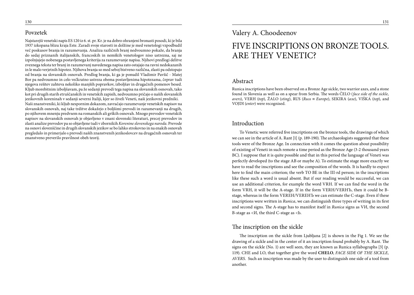### Povzetek

Najstarejši venetski napis ES 120 iz 6. st. pr. Kr. je na dobro ohranjeni bronasti posodi, ki je bila 1937 izkopana blizu kraja Este. Zaradi svoje starosti in dolžine je med venetologi vzpodbudil več poskusov branja in razumevanja. Analiza različnih branj nedvoumno pokaže, da branja do sedaj priznanih italijanskih, francoskih in nemških venetologov niso ustrezna, saj ne izpolnjujejo nobenega postavljenega kriterija za razumevanje napisa. Njihovi predlogi delitve zveznega teksta ter branj in razumevanj navedenega napisa zato ostajajo na ravni nedokazanih in le malo verjetnih hipotez. Njihova branja so med seboj bistveno različna, zlasti pa odstopajo od branja na slovanskih osnovah. Predlog branja, ki ga je ponudil Vladimir Pavšič - Matej Bor pa nedvoumno in celo večkratno ustreza obema postavljenima hipotezama, čeprav tudi njegova rešitev zahteva nekoliko manjših popravkov, izboljšav in drugačnih pomenov besed. Kljub morebitnim izboljšavam, pa že sedanji prevodi tega napisa na slovanskih osnovah, tako kot pri drugih starih etruščanskih in venetskih zapisih, nedvoumno pričajo o naših slovanskih jezikovnih koreninah v sedanji severni Italiji, kjer so živeli Veneti, naši jezikovni predniki. Naši znanstveniki, ki kljub nespornim dokazom, zavračajo razumevanje venetskih napisov na slovanskih osnovah, naj take trditve dokažejo z boljšimi prevodi in razumevanji na drugih, po njihovem mnenju predvsem na romanskih ali grških osnovah. Mnogo prevodov venetskih napisov na slovanskih osnovah je objavljeno v znani slovenski literaturi, precej prevodov in zlasti analize prevodov pa so objavljene tudi v zbornikih *Korenine slovenskega naroda*. Prevode na osnovi slovenščine in drugih slovanskih jezikov se bo lahko strokovno in na enakih osnovah pregledalo in primerjalo s prevodi naših znanstvenih jezikoslovcev na drugačnih osnovah ter znanstveno preverilo pravilnost obeh teorij.

### Valery A. Choodeenov

## FIVE INSCRIPTIONS ON BRONZE TOOLS. ARE THEY VENETIC?

#### Abstract

Runica inscriptions have been observed on a Bronze Age sickle, two warrior axes, and a stone found in Slovenia as well as on a spear from Serbia. The words ČELO (*face side of the sickle, avers*), VERH (*top*), ŽALO (*sting*), RUS (*Russ* ≡ *Europe*), SEKIRA (*axe*), VIŠKA (*top*), and VOJDI (*enter*) were recognised.

#### Introduction

To Venetic were referred five inscriptions on the bronze tools, the drawings of which we can see in the article of A. Rant [1] (p. 189-190). The archaeologists suggested that these tools were of the Bronze Age. In connection with it comes the question about possibility of existing of Veneti in such remote a time period as the Bronze Age (3-2 thousand years BC). I suppose that it is quite possible and that in this period the language of Veneti was perfectly developed (to the stage AB or maybe A). To estimate the stage more exactly we have to read the inscriptions and see the composition of the words. It is hardly to expect here to find the main criterion; the verb TO BE in the III-rd person; in the inscriptions like these such a word is usual absent. But if our reading would be successful, we can use an additional criterion, for example the word VRH. If we can find the word in the form VRH, it will be the A-stage. If in the form VERH/VERHЪ, then it could be Bstage, whereas in the form VEREH/VEREHЪ we can estimate the C-stage. Even if these inscriptions were written in *Runica*, we can distinguish three types of writing in its first and second signs. The A-stage has to manifest itself in *Runica* signs as VИ, the second B-stage as <И, the third C-stage as <Ь.

### The inscription on the sickle

The inscription on the sickle from Ljubljana [2] is shown in the Fig 1. We see the drawing of a sickle and in the center of it an inscription found probably by A. Rant. The signs on the sickle (No. 1) are well seen, they are known as Runica syllabographs [3] (p. 119). CHE and LO, that together give the word **CHELO**, *FACE SIDE OF THE SICKLE, AVERS*. Such an inscription was made by the user to distinguish one side of a tool from another.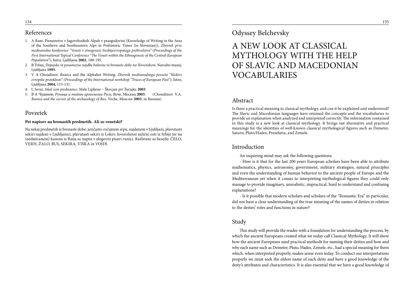#### References

- 1. A Rant, Pismenstvo v Jugovzhodnih Alpah v prazgodovini (Knowledge of Writing in the Area of the Southern and Southeastern Alps in Prehistoric Times [in Slovenian]), *Zbornik prve mednarodne konference "Veneti v etnogenezi Srednjeevropskega prebivalstva"* (*Proceedings of the First International Topical Conference "The Veneti within the Ethnogenesis of the Central-European Population"*), Jutro, Ljubljana **2002**, 188-195.
- 2. B Tržan, *Depojske in posamezne najdbe bakrene in bronaste dobe na Slovenskem*. Narodni muzej, Ljubljana **1995**.
- 3. V A Choudinov, Runica and the Alphabet Writing, *Zbornik mednarodnega posveta "Sledovi evropske preteklosti" (Proceedings of the International workshop "Traces of European Past"*), Jutro, Ljubljana **2004**, 115-131.
- 4. L Sever, *Iskal sem prednamce*, Male Lipljene Škocjan pri Turjaku **2003**.
- 5. В А Чудинов, *Руница и тайны археологии Руси*, Вече, Москва **2003**. (Choudinov V.A. *Runica and the secrets of the archaeology of Rus*, Veche, Moscow **2003**, in Russian)

#### Povzetek

#### **Pet napisov na bronastih predmetih. Ali so venetski?**

Na nekaj predmetih iz bronaste dobe: jezičasto-ročajnem srpu, najdenem v Ljubljani, plavutasti sekiri najdeni v Ljubljanici, plavutasti sekiri iz Lokev, lovorolistni sulični osti iz Srbije ter na (nedatiranem) kamnu iz Ratja so napisi v zlogovni pisavi runici. Razbrane so besede: ČELO, VERH, ŽALO, RUS, SEKIRA, VIŠKA in VOJDI.

### Odyssey Belchevsky

## A NEW LOOK AT CLASSICAL MYTHOLOGY WITH THE HELP OF SLAVIC AND MACEDONIAN VOCABULARIES

#### Abstract

Is there a practical meaning to classical mythology, and can it be explained and understood? The Slavic and Macedonian languages have retained the concepts and the vocabularies to provide an explanation when analyzed and interpreted correctly. The information contained in this study is a new look at classical mythology. It brings out alternative and practical meanings for the identities of well-known classical mythological figures such as Demeter, Saturn, Pluto/Hades, Presefatta, and Zemele.

#### Introduction

An inquiring mind may ask the following questions:

- How is it that for the last 200 years European scholars have been able to attribute mathematics, physics, astronomy, government, military strategies, natural principles and even the understanding of human behavior to the ancient people of Europe and the Mediterranean yet when it comes to interpreting mythological figures they could only manage to provide imaginary, unrealistic, impractical, hard to understand and confusing explanations?

- Is it possible that modern scholars and scholars of the "Romantic Era" in particular, did not have a clear understanding of the true meaning of the names of deities in relation to the deities' roles and functions in nature?

#### Study

This study will provide the reader with a foundation for understanding the process, by which the ancient Europeans created what we today call Classical Mythology. It will show how the ancient Europeans used practical methods for naming their deities and how and why each name such as Demeter, Pluto, Hades, Zemele, etc., had a special meaning for them which, when interpreted properly, makes sense even today. To conduct our interpretations properly we must seek the oldest name of each deity and have a good knowledge of the deity's attributes and characteristics. It is also essential that we have a good knowledge of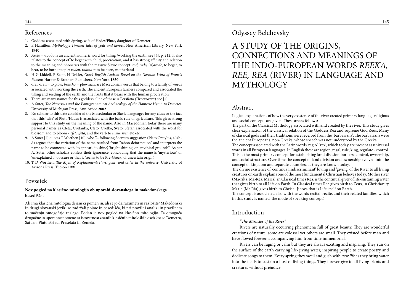#### References

- 1. Goddess associated with Spring, wife of Hades/Pluto, daughter of Demeter
- 2. E Hamilton, *Mythology: Timeless tales of gods and heroes*. New American Library, New York **1940**
- 3. *Aroto* = αροθο is an ancient Homeric word for tilling /working the earth, see [4], p. 212. It also relates to the concept of 'to beget with child', procreation, and it has strong affinity and relation to the meaning and phonetics with the massive Slavic concept: *rod, rodo, (n)arodo,* to beget, to bear, to be born; people: *roden, rodina =* to be born, motherland
- 4. H G Liddell, R Scott, H Drisler, *Greek-English Lexicon Based on the German Work of Francis Passow,* Harper & Brothers Publishers, New York **1850**
- 5. orat, orati = to plow, *'oratcho'* = plowman, are Macedonian words that belong to a family of words associated with working the earth. The ancient European farmers compared and associated the tilling and seeding of the earth and the fruits that it bears with the human procreation
- 6. There are many names for this goddess. One of these is Persfatta (Περσφαττα) see [7]
- 7. A Suter, *The Narcissus and the Pomegranate An Archaeology of the Homeric Hymn to Demeter.* University of Michigan Press, Ann Arbor **2002**
- 8. No scholar to this date considered the Macedonian or Slavic Languages for any clues or the fact that this 'wife' of Pluto/Hades is associated with the basic rule of agriculture. This gives strong support to this study on the meaning of the name. Also in Macedonian today there are many personal names as Cfeta, Cvetanka, Cfeto, Cvetko, Sveto, Sfetan associated with the word for blossom and to bloom - *cfet, cfeta*, and the verb to shine *sveti* etc etc.
- 9. A Suter [7] quotes T Worthen [10], who "... following Socrates suggestion (Plato Cratylus, 404bd) argues that the variation of the name resulted from "taboo deformation" and interprets the name to be connected with 'to appear', 'to shine', 'bright shining' on 'mythical grounds'." As per A. Suter, other scholars confess their ignorance, concluding that the name is 'mysterious' or 'unexplained ... obscure or that it 'seems to be Pre-Greek, of uncertain origin'
- 10. T D Worthen, *The Myth of Replacement: stars, gods, and order in the universe*. University of Arizona Press, Tucson **1991**

#### Povzetek

#### **Nov pogled na klasično mitologijo ob uporabi slovanskega in makedonskega besedišča.**

Ali ima klasična mitologija dejanski pomen in, ali se jo da razumeti in razložiti? Makedonski in drugi slovanski jeziki so zadržali pojme in besedišča, ki pri pravilni analizi in pravilnem tolmačenju omogočajo razlago. Podan je nov pogled na klasično mitologijo. Ta omogoča drugačne in uporabne pomene za istovetnost znanih klasičnih mitoloških oseb kot so Demetra, Saturn, Pluton/Had, Presefata in Zemela.

Odyssey Belchevsky

## A STUDY OF THE ORIGINS, CONNECTIONS AND MEANINGS OF THE INDO-EUROPEAN WORDS *REEKA, REE, REA* (RIVER) IN LANGUAGE AND MYTHOLOGY

#### Abstract

Logical explanations of how the very existence of the river created primary language religious and social concepts are given. These are as follows:

The part of the Classical Mythology associated with and created by the river. This study gives clear explanation of the classical relation of the Goddess Rea and supreme God Zeus. Many of classical gods and their traditions were received from the 'barbarians'. The barbarians were the ancient Europeans, non-Greeks, whose speech was not understood by the Greeks.

The concept associated with the Latin words 'regio', 'rex', which today are present as universal words in all European languages. In English these are region, regal, rule, king, regulate - control. This is the most primary concept for establishing land division borders, control, ownership, and social structure. Over time the concept of land division and ownership evolved into the concept of kingdom and separate countries, as they are known today.

The divine existence of 'continual indiscriminant' loving and 'giving' of the River to all living creatures on earth explains one of the most fundamental Christian believes today. Mother river (Ma-rika, Ma-Rea, Maria), in Classical times Rea, is the continual giver of life-sustaining water that gives birth to all Life on Earth. In Classical times Rea gives birth to Zeus, in Christianity Maria (Ma Ria) gives birth to Christ –Jihova that is Life itself on Earth.

The concept is associated also with the words recital, recite, and their related families, which in this study is named 'the mode of speaking concept'.

#### Introduction

#### *"The Miracles of the River"*

Rivers are naturally occurring phenomena full of great beauty. They are wonderful creations of nature; some are colossal yet others are small. They existed before man and have flowed forever, accompanying him from time immemorial.

Rivers can be raging or calm but they are always exciting and inspiring. They run on the surface of the earth carrying life-giving water, inspiring people to create poetry and dedicate songs to them. Every spring they swell and gush with *new life* as they bring water into the fields to sustain a host of living things. They forever *give* to all living plants and creatures without prejudice.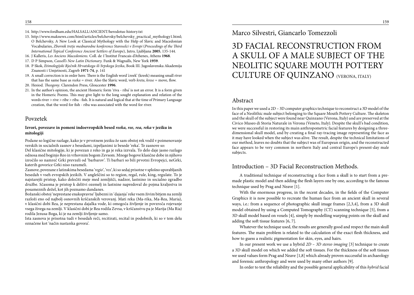- 14. http://www.fordham.edu/HALSALL/ANCIENT/herodotus-history.txt
- 15. http://www.maknews.com/html/articles/belchevsky/belchevsky\_practical\_mythology1.html; O Belchevsky, A New Look at Classical Mythology with the Help of Slavic and Macedonian Vocabularies, *Zbornik tretje mednarodne konference Staroselci v Evropi* (*Proceedings of the Third International Topical Conference Ancient Settlers of Europe*), Jutro, Ljubljana **2005**, 135-144.
- 16. J Kalleris, *Les Anciens Macedoniens.*Coll. de 1'Institut Francais d'Athenes, Athens **1968**.
- 17. D P Simpson, *Cassell's New Latin Dictionary.* Funk & Wagnalls, New York **1959**.
- 18. P Skok, *Etimologijski Rječnik Hrvatskoga ili Srpskoga Jezika*, Book III. Jugoslavenska Akademija Znanosti i Umjetnosti, Zagreb **1971-74**, p. 141
- 19. A small correction is in order here. There is the English word 'creek' (kreek) meaning small river that has the same base as *reeka* = river. Also the Slavic word, verb *kreta*, *krese* = move, flow.
- 20. Hesiod. *Theogony*. Clarendon Press, Gloucester **1996**.
- 21. In the author's opinion, the ancient Homeric form 'riva riba' is not an error. It is a form given in the Homeric Poems. This may give light to the long sought explanation and relation of the words river > rive > ribe > riba - fish. It is natural and logical that at the time of Primary Language creation, that the word for fish - riba was associated with the word for river.

#### Povzetek

#### **Izvori, povezave in pomeni indoevropskih besed** *reeka, ree, rea, reka* **v jeziku in mitologiji**

Podane so logične razlage, kako je v prvotnem jeziku že sam obstoj rek vodil v poimenovanje verskih in socialnih zasnov z besedami, izpeljanimi iz besede 'reka'. Te zasnove so:

Del klasične mitologije, ki je povezan z reko in ga je reka izzvala. To delo daje jasno razlago odnosa med boginjo Reo in vrhovnim bogom Zevsom. Mnoge bogove klasične dobe in njihovo izročilo so namreč Grki prevzeli od 'barbarov'. Ti barbari so bili prvotni Evropejci, neGrki, katerih govorice Grki niso razumeli.

Zasnove, povezane z latinskima besedama '*regio*', '*rex*', ki so sedaj prisotne v splošno uporabljanih besedah v vseh evropskih jezikih. V angleščini so to region, regal, rule, king, regulate. To je najstarejši pristop, kako določiti meje med zemljišči, nadzor, lastnino in socialno zgradbo družbe. Sčasoma je pristop k delitvi ozemelj in lastnine napredoval do pojma kraljestva in posameznih dežel, kot jih poznamo dandanes.

Božanski obstoj 'neprestane enakopravne' ljubezni in 'dajanja' reke vsem živim bitjem na zemlji razloži eno od najbolj osnovnih krščanskih verovanj. Mati reka (Ma-rika, Ma-Rea, Maria), v klasični dobi Rea, je neprestana dajalka vode, ki omogoča življenje in povzroča rojevanje vsega živega na zemlji. V klasični dobi je Rea rodila Zevsa, v krščanstvu pa je Marija (Ma Ria) rodila Jezusa-Boga, ki je na zemlji življenje samo.

Ista zasnova je prisotna tudi v besedah reči, recitirati, recital in podobnih, ki so v tem delu označene kot 'način nastanka govora'.

Marco Silvestri, Giancarlo Tomezzoli

## 3D FACIAL RECONSTRUCTION FROM A SKULL OF A MALE SUBJECT OF THE NEOLITIC SQUARE MOUTH POTTERY CULTURE OF QUINZANO (VERONA, ITALY)

#### Abstract

In this paper we used a 2D – 3D computer graphics technique to reconstruct a 3D model of the face of a Neolithic male subject belonging to the Square Mouth Pottery Culture. The skeleton and the skull of the subject were found near Quinzano (Verona, Italy) and are preserved at the Civico Museo di Storia Naturale in Verona (Veneto, Italy). Despite the skull's bad condition, we were successful in restoring its main anthropometric facial features by designing a threedimensional skull model, and by creating a final ray-tracing image representing the face as it may have looked when the subject was alive. The result, despite the technical limitations of our method, leaves no doubts that the subject was of European origin, and the reconstructed face appears to be very common in northern Italy and central Europe's present-day male subjects.

### Introduction – 3D Facial Reconstruction Methods.

A traditional technique of reconstructing a face from a skull is to start from a premade plastic model and then adding the flesh layers one by one, according to the famous technique used by Prag and Neave [1].

With the enormous progress, in the recent decades, in the fields of the Computer Graphics it is now possible to recreate the human face from an ancient skull in several ways, i.e.: from a sequence of photographic skull image frames [2,3,4], from a 3D skull model obtained by using a Computed Tomography (CT) scanning technique [5], from a 3D skull model based on voxels [4], simply by modelling warping points on the skull and adding the soft tissue features [6, 7].

Whatever the technique used, the results are generally good and respect the main skull features. The main problem is related to the calculation of the exact flesh thickness, and how to guess a realistic pigmentation for skin, eyes, and hairs.

In our present work we use a hybrid *2D – 3D stereo imaging* [3] technique to create a 3D skull model on which we added the soft tissues. For the thickness of the soft tissues we used values form Prag and Neave [1,8] which already proven successful in archaeology and forensic anthropology and were used by many other authors [9].

In order to test the reliability and the possible general applicability of this *hybrid* facial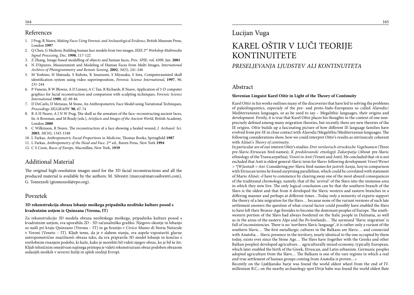#### References

- 1. J Prag, R Neave, *Making Faces Using Forensic and Archaeological Evidence*, British Museum Press, London **1997**
- 2. Q Chen, G Medioni, Building human face models from two images, *IEEE 2nd Workshop Multimedia Signal Processing*, Dec. **1998**, 117-122
- 3. Z Zhang, Image-based modelling of objects and human faces, *Proc. SPIE*, vol. 4309, Jan. **2001**
- 4. N D'Apuzzo, Measurement and Modeling of Human Faces from Multi Images, *International Archives of Photogrammetry and Remote Sensing*, **2002**, *34*(5), 241-246
- 5. M Yoshino, H Matsuda, S Kubota, K Imaizumi, S Miyasaka, S Seta, Computerassisted skull identification system using video superimposition, *Forensic Science International*, **1997**, *90*, 231-244
- 6. P Vanezis, R W Blowes, A D Linney, A C Tan, R Richards, R Neave, Application of 3-D computer graphics for facial reconstruction and comparison with sculpting techniques, *Forensic Science International* **1989**, *42*, 69-84
- 7. D DeCarlo, D Metaxas, M Stone, An Anthropometric Face Model using Variational Techniques, *Proceedings SIGGRAPH '98*, 67-74
- 8. R A H Neave, A J N W Prag, The skull as the armature of the face: reconstructing ancient faces, In: A Bowman, and M Brady (eds.), *Artefacts and Images of the Ancient World*, British Academy, London **2000**
- 9. C Wilkinson, R Neave, The reconstruction of a face showing a healed wound, *J. Archaeol. Sci.* **2003**, *30*(10), 1343-1348
- 10. L Farkas, *Anthropometric Facial Proportions in Medicine*, Thomas Books, Springfield **1987**
- 11. L Farkas, *Anthropometry of the Head and Face*. 2nd ed., Raven Press, New York **1994**
- 12. C S Coon, *Races of Europe*, Macmillan, New York, **1939**

### Additional Material

The original high-resolution images used for the 3D facial reconstructions and all the produced material is available by the authors: M. Silvestri (marco@marcosilvestri.com), G. Tomezzoli (gtomezzoli@epo.org).

#### Povzetek

#### **3D rekonstrukcija obraza lobanje moškega pripadnika neolitske kulture posod s kvadratnim ustjem iz Quinzana (Verona, IT)**

Za rekonstrukcijo 3D modela obraza neolitskega moškega, pripadnika kulture posod s kvadratnim ustjem, sva uporabila 2D - 3D računalniško grafiko. Njegovo okostje in lobanjo so našli pri kraju Quinzano (Verona – IT) in ga hranijo v Civico Museo di Storia Naturale v Veroni (Veneto – IT). Kljub temu, da je v slabem stanju, sva uspela vzpostaviti glavne antropometrične značilnosti obraza tako, da sva pripravila 3D model lobanje in končno s svetlobnim risanjem podobo, ki kaže, kako je morebiti bil videti njegov obraz, ko je bil še živ. Kljub tehničnim omejitvam najinega pristopa je videti rekonstruirani obraz podoben obrazom sedanjih moških v severni Italiji in sploh srednji Evropi.

## Lucijan Vuga

# KAREL OŠTIR V LUČI TEORIJE KONTINUITETE

### *PRESELJEVANJA LJUDSTEV ALI KONTINUITETA*

#### Abstract

#### **Slovenian Linguist Karel Oštir in Light of the Theory of Continuity**

Karel Oštir in his works outlines many of the discoveries that have led to solving the problems of paleolinguistics, especialy of the pre- and proto-Indo-Europeans so called Alarodic/ Mediterraninan languages, or as he used to say – Megalithic languages, their origins and development. Firstly, it is true that Karel Oštir places his thoughts in the context of one nonprecisely defined among many migration theories, but recently there are new theories of the IE origins. Oštir builds up a fascinating picture of how different IE language families have evolved from pre-IE in close contact with Alarodic/Megalithic/Mediterranian languages. The following considerations show, how we could interpret Oštir's results as intrinsicaly coherent with Alinei's *Theory of continuity*.

In particular are of our interest Oštir's studies: *Drei vorslavisch-etruskische Vogelnamen* (Three pre-Slavic-Etruscan bird-names); *K predslovanski etnologiji Zakarpatja* (About pre-Slavic ethnology of the Transcarpathia); *Veneti in Anti* (Veneti and Anti). He concluded that »it is not excluded that Anti is oldest general-Slavic term for Slavs« following development *Venet/Wenet > \*[W]antaib > Ant*. Considering pre-Slavic bird-names for *jastreb, kanja, lunj* in comparison with Etruscan terms he found surprising parallelism, which could be correlated with statement of Mario Alinei: »I have to commence by clearing away one of the most absurd consequences of the traditional chronology, namely, that of the 'arrival' of the Slavs into the immense area in which they now live. The only logical conclusion can be that the southern branch of the Slavs is the oldest and that from it developed the Slavic western and eastern branches in a differing manner and perhaps at different times…Today only a minority of experts support the theory of a late migration for the Slavs… because none of the variant versions of such late settlement answers the question of what crucial factor could possibly have enabled the Slavs to have left their Bronze-Age firesides to become the dominant peoples of Europe. The southwestern portion of the Slavs had always bordered on the Italic people in Dalmatia, as well as in the areas of the eastern Alps and the Po lowlands… The surmised 'Slavic migration' is full of inconsistencies. There is no 'northern Slavic language', it is rather only a variant of the southern Slavic… The first metallurgic cultures in the Balkans are Slavic… and connected with Anatolia… Slavic presence in the territory, nearly identical to the one occupied by them today, exists ever since the Stone Age… The Slavs have (together with the Greeks and other Balkan peoples) developed agriculture… agriculturally mixed economy, typically European, which later enabled the birth of the Greek, Etruscan, and Latin urbanism. Germanic peoples adopted agriculture from the Slavs… The Balkans is one of the rare regions in which a real and true settlement of human groups coming from Anatolia is proven…«

Recently on the Ljubljansko barje was found the world oldest wheel from the end of IV. millenium B.C.; on the nearby archaeology spot Divje babe was found the world oldest flute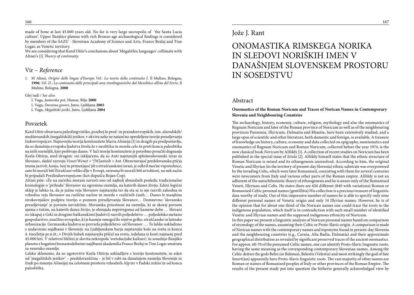made of bone at last 45.000 years old. No far is very large necropolis of 'the Santa Lucia culture'. Upper Banjšice plateau with rich Bronze-age archaeological findings is considered by members of the SAZU - Slovenian Academy of Science and Arts, France Bezlaj and Tine Logar, as Venetic territory.

We are considering that Karel Oštir's conclusions about 'Megalithic languages' collimate with Alinei's [1] *Theory of continuity*.

### Vir – *Reference*

1. M Alinei, *Origini delle lingue d'Europa Vol.: La teoria della continuita I.*Il Mulino, Bologna, **1996**; *Vol. II.: La continuita delle principali aree etnolinguistiche dal Mesolitico all'eta del Ferro*, Il Mulino, Bologna, **2000**

Glej tudi / *See also*:

L Vuga, *Jantarska pot*, Humar, Bilje **2000**

L Vuga, *Davnina govori*, Jutro, Ljubljana **2003**

L Vuga, *Megalitski jeziki*, Jutro, Ljubljana **2004**

#### Povzetek

Karel Oštir obravnava paleolingvistiko, posebej še pred- in praindoevropskih, tim. alarodskih/ mediteranskih (megalitskih) jezikov, v okviru neke ne natančno opredeljene teorije preseljevanja Indoevropejcev. Najnovejša teorija kontinuitete Maria Alineija [1] in drugih pa predpostavlja, da so današnja evropska ljudstva živela že v neolitiku in morda celo že proti koncu paleolitika na istih ozemljih, kjer prebivajo danes. V luči teorije kontinuitete je potrebno proučiti dognanja Karla Oštirja, med drugim: »ni izključeno, da so Anti najstarejši splošnoslovanski izraz za Slovane«, sledeč razvoju *Venet/Wenet > \*[W]antaib > Ant*. Obravnavajoč predslovanska ptičja imena *jastreb, kanja, lunj* in primerjajoč jih z etruščanskimi izrazi, je odkril močne vzporednice, zato bi morali biti Etruščani veliko dlje v Evropi, oziroma bi morali biti avtohtoni, na nek način bi pripadali Predindoevropejcem (kot dopušča Bojan Čop).

Alinei piše: »Že na začetku moram zavreči eno od najbolj absurdnih posledic tradicionalne kronologije o 'prihodu' Slovanov na ogromna ozemlja, na katerih danes živijo. Edini logični sklep je lahko ta, da je južna veja Slovanov najstarejša ter da sta se iz nje razvili zahodna in vzhodna veja Slovanov na različne načine in morda v različnih časih… Danes le manjšina strokovnjakov podpira teorijo o poznem preseljevanju Slovanov… Domnevno 'slovansko preseljevanje' je povsem nevzdržno. Slovanska prisotnost na ozemlju, ki se skoraj povsem ujema s tistim, na katerih danes živijo, je obstajala nepretrgoma od kamene dobe … Slovani so (skupaj z Grki in drugimi balkanskimi ljudstvi) razvili poljedelstvo … poljedelsko mešano gospodarstvo, značilno evropsko, ki je kasneje omogočilo rojstvo grške, etruščanske in latinske urbanizacije. Germanska ljudstva so prevzela poljedelstvo od Slovanov …. To lahko uskladimo z nedavnimi najdbami v Sloveniji: na Ljubljanskem barju najstarejše kolo na svetu iz konca 4. tisočletja pr.n.št.; v Divjih babah najstarejša piščal na svetu, izdelana iz kosti najmanj pred 45.000 leti. V relativni bližini je slovita nekropola 'svetolucijske kulture'; in sosednjo Banjško planoto z bogatimi bronastodobnimi najdbami akademika France Bezlaj in Tine Logar smatrata za venetsko ozemlje.

Lahko sklenemo, da so ugotovitve Karla Oštirja uskladljive s teorijo kontinuitete, in eden od 'megalitskih jezikov' – predslovanščina – je bil v rabi na današnjem ozemlju Slovenije in (tudi po mnenju Alineija) na celotnem prostoru vzhodnih Alp ter v Padski nižini že od konca paleolitika.

### Jože J. Rant

## ONOMASTIKA RIMSKEGA NORIKA IN SLEDOVI NORIŠKIH IMEN V DANAŠNJEM SLOVENSKEM PROSTORU IN SOSEDSTVU

#### Abstract

#### **Onomastics of the Roman Noricum and Traces of Norican Names in Contemporary Slovenia and Neighbouring Countries**

The archaeology, history, economy, culture, religion, mythology and also the onomastics of Regnum Noricum and later of the Roman province of Noricum as well as of the neighbouring provinces Pannonia, Illyricum, Dalmatia and Rhaetia, have been extensively studied, and a large opus of scientific and other literature, both domestic and foreign, is available. A treasure of knowledge on history, culture, economy and data collected on epigraphy, numismatics and onomastics of Regnum Noricum and Roman Noricum, collected before the year 1974, is the now classical book *Noricum* by Alföldy [1]. A collection of recent studies on Noricum has been published in the special issue of *Situla* [2]. Alföldy himself states that the ethnic structure of Roman Noricum is mixed and its ethnogenesis unresolved. According to him, the original Venetic and Illyrian (in the territory of present-day Slovenia) ethnic substrate was overpowered by the invading Celts, which were later Romanised, coexisting with them for several centuries were newcomers from Italy and various other parts of the Roman empire. Alföldy is not an adherent of the autochthonistic theory of ethnogenesis and he is aware only of the Romanised Veneti, Illyrians and Celts. He states there are 626 different (840 with variations) Roman or Romanised Celtic personal names (gentillitia) His collection is a precious treasure of linguistic data worthy of study. Out of this impressive number of names he is able to specify only nine different personal names of Venetic origin and only 14 Illyrian names. However, he is of the opinion that for about one third of the Norican names one could trace the roots to the indigenous population, which itself is in contradiction with such small number of identified Venetic and Illyrian names and the supposed indigenous ethnicity of Noricum.

In this paper we present a linguistic analysis of Norican personal names based on comparison of etymology of the names, assuming their Celtic or Proto-Slavic origin. A comparison is made of Norican names with the contemporary names and toponyms found in present-day Slovenia and the neighbouring countries (e.g., Carnia, Alta Badia, Dalmatia) and their approximate geographical distribution as revealed by significant preserved traces of the ancient onomastics. For approx. 60-70 of the presumed Celtic names, one can identify Proto-Slavic linguistic roots, having the same meaning as the corresponding contemporary Slovenian names. Among the Celtic deities the gods Belin (or Belenus), Belestis (Velestis) and most strikingly the god of fate Smert(ius) apparently have Proto-Slavic linguistic roots. The vast majority of other names are Roman or names of Romanised peoples of Italy or other provinces of the Roman Empire. The results of the present study put into question the hitherto generally acknowledged view by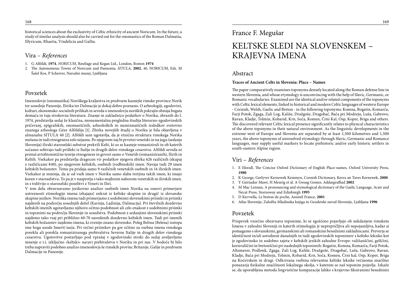historical sciences about the exclusivity of Celtic ethnicity of ancient Noricum. In the future, a study of similar analysis should also be carried out for the onomastics of the Roman Dalmatia, Illyricum, Rhaetia, Vindelicia and Gallia.

### Vira – *References*

- 1. G Alföldi, **1974**, *NORICUM*, Reutlage and Kegan Ltd., London, Boston **1974**
- 2. The Autonomous Towns of Noricum and Pannonia, *SITULA,* **2002**, *40*, NORICUM, Eds. M Šašel Kos, P Scherrer, Narodni muzej, Ljubljana

#### Povzetek

Imenoslovje (onomastika) Noriškega kraljestva in predvsem kasnejše rimske province Norik ter sosednje Panonije, Ilirika ter Dalmacije je dokaj dobro poznano. O arheologiji, zgodovini, kulturi, ekonomsko-socialnih prilikah in seveda o imenoslovju noriških pokrajin obstaja bogata domača in tuja strokovna literatura. Znanje in zakladnico podatkov o Noriku, zbranih do l. 1974, predstavlja sedaj že klasična, monumentalna pregledna študija literarno-zgodovinskih pričevanj, epigrafskih, onomastičnih, arheoloških in numizmatičnih izsledkov svetovno znanega arheologa Géze Alföldija [1]. Zbirka novejših študij o Noriku je bila objavljena v almanahu SITULA 40 [2]. Alföldi sam ugotavlja, da je etnična struktura rimskega Norika mešana in tudi etnogeneza zelo nejasna. Po njegovem naj bi prvotni venetski in na jugu (sedanja Slovenija) ilirski staroselski substrat prekrili Kelti, ki so se kasneje romanizirali in ob katerih sočasno sobivajo tudi prišleki iz Italije in drugih delov rimskega cesarstva. Alföldi seveda ni pristaš avtohtonistične teorije etnogeneze in govori samo o Venetih (romaniziranih), Ilirih in Keltih. Vsekakor pa predstavlja dragocen vir podatkov njegova zbirka 626 različnih (skupaj z različicami 840), po njegovem keltskih, osebnih (rodbinskih) imen. Navaja tudi 29 imen keltskih božanstev. Temu pa pridaja samo 9 različnih venetskih osebnih in 14 ilirskih imen. Vsekakor je mnenja, da je od vseh imen v Noriku samo slaba tretjina takih imen, ki imajo koren v staroselstvu. To pa je v nasprotju s tako majhnim naborom venetskih in ilirskih imen. in s trditvijo o staroselski poselitvi z Veneti in Iliri.

V tem delu obravnavamo jezikovno analizo osebnih imen Norika na osnovi primerjave ustreznosti etimologije imena izhajajoč enkrat iz keltske skupine in drugič iz slovanske skupine jezikov. Noriška imena tudi primerjamo z sodobnimi slovenskimi priimki in priimki najdenih na področju sosednjih dežel (Karnija, Ladinija, Dalmacija). Pri številnih dozdevno keltskih imenih ugotavljamo njihovo očitno podobnost ali celo enakost z sodobnimi priimki in toponimi na področju Slovenije in sosedstva. Podobnost z sedanjimi slovenskimi priimki najdemo tako vsaj pri približno 60-70 navedenih dozdevno keltskih imen. Tudi pri imenih keltskih božanstev najdemo imena, ki zvenijo znano slovensko. Poleg Belina (Belena) izstopa ime boga usode Smert(-ius)a. Pri večini priimkov pa gre očitno za osebna imena rimskega porekla ali porekla romaniziranega prebivalstva Severne Italije in drugih delov rimskega cesarstva. Ugotovitve postavljajo pod vprašaj v zgodovinski stroki do sedaj uveljavljeno mnenje o t.i. izključno »keltski« naravi prebivalstva v Noriku in pri nas. V bodoče bi bilo treba napraviti podobno analizo imenoslovja še rimskih provinc Britanije, Galije in predvsem Dalmacije in Panonije.

## France F. Megušar

## KELTSKE SLEDI NA SLOVENSKEM – KRAJEVNA IMENA

#### Abstract

#### **Traces of Ancient Celts in Slovenia: Place – Names**

The paper comparatively examines toponyms densely located along the Roman defense line in western Slovenia, and whose etymology is unconvincing with the help of Slavic, Germanic, or Romanic vocabularies. Examined are the identical and/or related components of the toponyms with Celtic lexical elements, linked to historical and modern Celtic languages of western Europe - Cornish, Welsh, Gaelic and Breton - in the following toponyms: Komna, Bogatin, Komarča, Farji Potok, Zgaga, Zali Log, Kališe, Dražgoše, Dragobač, Bača pri Modreju, Luša, Gabrovo, Ravan, Kladje, Tolmin, Kobarid, Krn, Soča, Komen, Črni Kal, Osp, Koper, Briga and others. The discovered relevant Celtic lexical presence significantly relates to physical characteristics of the above toponyms in their natural environment. As the linguistic developments in the extreme west of Europe and Slovenia are separated by at least 1,500 kilometres and 1,500 years, the above toponyms of unresolved etymology through Slavic, Germanic and Romance languages, may supply useful markers to locate prehistoric and/or early historic settlers in south-eastern Alpine region.

### Viri – *References*

- 1. E Ekwall, The Concise Oxford Dictionary of English Place-names, Oxford University Press, **1980**
- 2. K George, Gerlyver Kernewek Kemmyn, Cornish Dictionary, Kesva an Taves Kernewek, **2000**
- 3. Y Geiriadur Mawr, H Meurig et al. A Gwasg Gomer, Addargraffiad **2002**
- 4. M Mac Lennan, A pronouncing and etymological dictionary of the Gaelic Language, Acair and Necat Press, Stornoway and Edinburgh **1995**
- 5. D Kervwlla, Le breton de poche, Assimil France, **2001**
- 6. Atlas Slovenije, Založba Mladinska knjiga in Geodetski zavod Slovenije, Ljubljana **1996**

#### Povzetek

Prispevek vzorčno obravnava toponime, ki se zgoščeno pojavljajo ob nekdanjem rimskem limesu v zahodni Sloveniji in katerih etimologija je neprepričljiva ali nepojasnljiva, kadar si pomagamo s slovanskimi, germanskimi ali romanskimi besednimi zakladnicami. Preverja se identičnost in/ali sorodnost današnjih in tudi zgodovinskih toponimov s keltsko leksiko kot je zgodovinsko in sodobno zajeta v keltskih jezikih zahodne Evrope: valižanščini, gelščini, kornvalščini in bretonščini pri naslednjih toponimih: Bogatin, Komna, Komarča, Farji Potok, Altemaver, Podlonk, Zgaga, Zali Log, Kališe, Dražgoše, Dragobač, Luša, Gabrovo, Ravan, Kladje, Bača pri Modreju, Tolmin, Kobarid, Krn, Soča, Komen, Črni kal, Osp, Koper, Briga na Kočevskem in drugi. Odkrivana vsebina relevantne keltske leksike večinoma značilno ponazarja fizikalne značilnosti lokalnega okolja, v katerem se naš toponim pojavlja. Izkaže se, da uporabljena metoda lingvistične komparacije lahko s krajevno fiksiranimi besednimi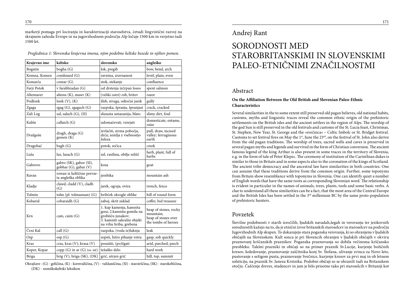markerji pomaga pri lociranju in karakterizaciji staroselstva, četudi lingvistični razvoj na skrajnem zahodu Evrope in na jugovzhodnem področju Alp ločuje 1500 km in verjetno tudi 1500 let.

| Krajevno ime | keltsko                                          | slovensko                                                                                                                         | angleško                                                                         |
|--------------|--------------------------------------------------|-----------------------------------------------------------------------------------------------------------------------------------|----------------------------------------------------------------------------------|
| Bogatin      | bogha (G)                                        | lok, pregib                                                                                                                       | bow, bend, arch                                                                  |
| Komna, Komen | comhnard (G)                                     | ravnina, zravnanost                                                                                                               | level, plain, even                                                               |
| Komarča      | comar (G)                                        | stok, stekanje                                                                                                                    | confluence                                                                       |
| Farji Potok  | v farabhradan (G)                                | od drstenja izčrpan losos                                                                                                         | spent salmon                                                                     |
| Altemaver    | altenn (K), mawr (K)                             | (veliki ostri) rob, britev                                                                                                        | razor                                                                            |
| Podlonk      | lonk $(V)$ , $(K)$                               | žleb, struga, odtočni jarek                                                                                                       | gully                                                                            |
| Zgaga        | sgag (G), sgagach (G)                            | razpoka, špranja, špranjast                                                                                                       | crack, cracked                                                                   |
| Zali Log     | sal, salach (G), (SI)                            | sluzasta umazanija, blato                                                                                                         | slimy dirt, foul                                                                 |
| Kališe       | callaich (G)                                     | udomačevati, vzrejati                                                                                                             | domesticate, entame,<br>raise                                                    |
| Dražgoše     | dragh, draga (G)<br>gossen (K)                   | izvlačiti, strma pobočja,<br>drča; zemlja z vsebnostjo<br>železa                                                                  | pull, draw, incised<br>valley; ferruginous<br>earth                              |
| Dragobač     | bagh (G)                                         | potok, rečica                                                                                                                     | creek                                                                            |
| Luša         | lus, lusach $(G)$                                | zel, rastlina, obilje zelišč                                                                                                      | herb, plant, full of<br>herbs                                                    |
| Gabrovo      | gabro (SK), gabor (SI),<br>gobhar (G), gabar (V) | koza                                                                                                                              | goat                                                                             |
| Ravan        | rowan iz keltščine prevze-<br>ta angleška oblika | jerebika                                                                                                                          | mountain ash                                                                     |
| Kladje       | clawd, cladd (V), cladh<br>(G)                   | jarek, ograja, ovira                                                                                                              | trench, fence                                                                    |
| Tolmin       | tolm (pl. tolmannan) (G)                         | hribček okrogle oblike                                                                                                            | hill of round form                                                               |
| Kobarid      | cobaraidh (G)                                    | zaboj, skrit zaklad                                                                                                               | coffer, hid treasure                                                             |
| Krn          | cam, caim (G)                                    | 1. kup kamenja, kamnita<br>gora; 2.kamnita gomila na<br>grobišču junakov;<br>3. kamniti sakralni objekt<br>na vrhu hriba, grebena | heap of stones, rocky<br>mountain:<br>heap of stones over<br>the tombs of heroes |
| Črni Kal     | call (G)                                         | razpoka, (voda iz)luknja                                                                                                          | leak                                                                             |
| Osp          | osp(G)                                           | sopsti, hitro pihanje vetra                                                                                                       | gasp, sob quickly                                                                |
| Kras         | cras, kras (V); krasa (V)                        | posušiti, (po)žgati                                                                                                               | arid, parched; parch                                                             |
| Koper, Kopar | copp $(G)$ in ar $(G)$ (os. inf.)                | težaško delo                                                                                                                      | hard work                                                                        |
| <b>Briga</b> | brig (V), briga (SK), (DK)                       | grič, utrjen grič                                                                                                                 | hill, top, summit                                                                |

*Preglednica 1: Slovenska krajevna imena, njim podobne keltske besede in njihov pomen.*

Okrajšave : (G) - gelščina, (K) - kornvalščina, (V) - valižanščina, (SI) - staroirščina, (SK) - starokeltščina, (DK) - nemškokeltski leksikon

### Andrej Rant

## SORODNOSTI MED STAROBRITANSKIMI IN SLOVENSKIMI PALEO-ETNIČNIMI ZNAČILNOSTMI

### Abstract

#### **On the Affiliation Between the Old British and Slovenian Paleo-Ethnic Characteristics**

Several similarities in the to some extent still preserved old pagan believes, old national habits, customs, myths and linguistic traces reveal the common ethnic origin of the prehistoric settlements on the British isles and the ancient settlers in the region of Alps. The worship of the god Sun is still preserved in the old festivals and customs of the St. Lucia feast, Christmas, St. Stephen, New Year, St. George and the »svečnica« – Celtic Imbolc or St. Bridget festival. Customs to set festival fires on May the  $1<sup>st</sup>$ , June the 23<sup>rd</sup>, on the festival of St. John also derive from the old pagan traditions. The worship of trees, sacred wells and caves is preserved in several pagan myths and legends and survived in the form of Christian conversion. The ancient famous legend of the king Arthur is also present in some traces in the territory of Slovenia, e.g. in the form of tale of Peter Klepec. The ceremony of institution of the Carinthian dukes is similar to those in Britain and in some aspects also to the coronation of the kings of Scotland. The ancient tribe democracy and the ancestral law have similarities in both countries. One can assume that these traditions derive from the common origin. Further, some toponyms from Britain show resemblance with toponyms in Slovenia. One can identify quiet a number of English words that have the same roots as corresponding Slovenian word. The relationship is evident in particular in the names of animals, trees, plants, tools and some basic verbs. A clue to understand all these similarities can be a fact, that the most area of the Central Europe and the British Isles has been settled in the  $3<sup>rd</sup>$  millenium BC by the same proto-population of prehistoric hunters.

#### Povzetek

Številne podobnosti v starih izročilih, ljudskih navadah,šegah in verovanju ter jezikovnih sorodnostih kažejo na to, da je etnični izvor britanskih staroselcev in staroselcev na področju Jugovzhodnih Alp skupen. To dokazujejo stara poganska verovanja, ki so ohranjena v ljudskih običajih na Slovenskem. Kult sonca je pri Slovencih ohranjen v ljudskih običajih v okviru praznovanj krščanskih praznikov. Poganska praznovanja so dobila večinoma krščansko preobleko. Takšni prazniki in običaji so na primer praznik Sv.Lucije, kurjenje božičnih kresov, koledovanje, praznovanje zaščitnika konj Sv. Štefana, ulivanje svinca za Novo leto, pustovanje s sežigom pusta, praznovanje Svečnice, kurjenje kresov za prvi maj in ob letnem solsticiju, na praznik Sv. Janeza Krstnika. Podobni običaji so se ohranili tudi na Britanskem otočju. Čaščenje dreves, studencev in jam je bilo prisotno tako pri staroselcih v Britaniji kot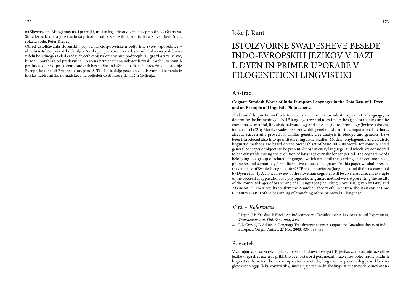na Slovenskem. Mnogi poganski prazniki, miti in legende so zagrnjeni v preobleko krščanstva. Stara izročila o kralju Arturju so prisotna tudi v sledovih legend tudi na Slovenskem (n.pr. roka iz vode, Peter Klepec).

Obred ustoličevanja slovenskih vojvod na Gosposvetskem polju ima svoje vzporednice v obredu ustoličenja škotskih kraljev. Na skupen jezikoven izvor kaže tudi določena podobnost v delu besednega zaklada sedaj živečih etnij na omenjeniih področjih. Tu gre zlasti za izraze, ki so v uporabi že od pradavnine. To so na primer imena nekaterih živali, rastlin, osnovnih predmetov ter skupni koreni osnovnih besed. Vse to kaže na to, da je bil pretežni del osrednje Evrope, kakor tudi Britansko otočje od 3. Tisočletja dalje poseljen z ljudstvom, ki je prešlo iz lovsko-nabiralniško nomadskega na poljedelsko-živinorejski način življenja.

### Jože J. Rant

## ISTOIZVORNE SWADESHEVE BESEDE INDO-EVROPSKIH JEZIKOV V BAZI I. DYEN IN PRIMER UPORABE V FILOGENETIČNI LINGVISTIKI

#### Abstract

#### **Cognate Swadesh Words of Indo-European Languages in the Data Base of I. Dyen and an Example of Linguistic Philogenetics**

Traditional linguistic methods to reconstruct the Proto-Indo-European (IE) language, to determine the branching of the IE language tree and to estimate the age of branching are the comparative method, linguistic paleontology and classical glottochronology (lexicostatistics), founded in 1952 by Morris Swadesh. Recently, philogenetic and cladistic computational methods, already successfully proved for similar genetic tree analysis in biology and genetics, have been introduced also into quantitative linguistic studies. Modern phylogenetic and cladistic linguistic methods are based on the Swadesh set of basic 100-200 words for some selected general concepts or objects to be present almost in every language, and which are considered to be very stable during the evolution of language over the longer period. The cognate words belonging to a group of related languages, which are similar regarding their common root, phonetics and semantics, form distinctive classes of cognates. In this paper we shall present the database of Swadesh cognates for 95 IE speech varieties (languages and dialects) compiled by Dyen et al.[1]. A critical review of the Slovenian cognates will be given. As a recent example of the successful application of a phylogenetic linguistic method we are presenting the results of the computed ages of branching of IE languages (including Slovenian) given by Gray and Atkinson [2]. Their results confirm the Anatolian theory of C. Renfrew about an earlier time (~9000 years BP) of the beginning of branching of the primeval IE language.

#### Vira – *References*

- 1. I Dyen, J B Kruskal, P Black, An Indoeuropean Classification: A Lexicostatistical Experiment, *Transactions Am. Phil. Soc*. **1992**, *82*/5
- 2. R D Gray, Q D Atkinson, Language Tree divergence times support the Anatolian theory of Indo-European Origin, *Nature*, 27 Nov. **2003**, *426*, 435-439

#### Povzetek

V zadnjem času se za rekonstrukcijo proto-indoevropskega (IE) jezika, za določanje razvejitve jezikovnega drevesa in za približno oceno starosti posameznih razvejitev poleg tradicionalnih lingvističnih metod, kot so komparativna metoda, lingvistična paleontologija in klasična glotokronologija (leksikostatistika), uveljavljajo računalniške lingvistične metode, osnovane na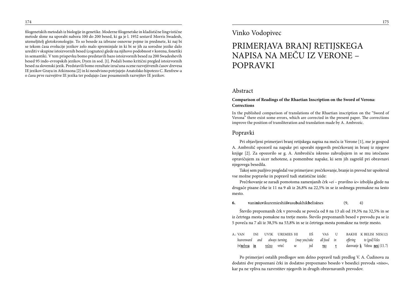filogenetskih metodah iz biologije in genetike. Moderne filogenetske in kladistične lingvistične metode slone na uporabi nabora 100 do 200 besed, ki ga je l. 1952 sestavil Morris Swadesh, utemeljitelj glotokronologije. To so besede za izbrane osnovne pojme in predmete, ki naj bi se tekom časa evolucije jezikov zelo malo spreminjale in ki bi se jih za sorodne jezike dalo urediti v skupine istoizvornih besed (cognates) glede na njihovo podobnost v korenu, fonetiki in semantiki. V tem prispevku bomo predstavili bazo istoizvornih besed za 200 Swadeshevih besed 95 indo-evropskih jezikov, Dyen in sod. [1]. Podali bomo kritični pregled istoizvornih besed za slovenski jezik. Predstavili bomo rezultate izračuna ocene razvejitvenih časov drevesa IE jezikov Graya in Atkinsona [2] in ki neodvisno potrjujejo Anatolsko hipotezo C. Renfrew-a o času prve razvejitve IE jezika ter podajajo čase posameznih razvejitev IE jezikov.

### Vinko Vodopivec

## PRIMERJAVA BRANJ RETIJSKEGA NAPISA NA MEČU IZ VERONE – POPRAVKI

#### Abstract

#### **Comparison of Readings of the Rhaetian Inscription on the Sword of Verona: Corrections**

In the published comparison of translations of the Rhaetian inscription on the "Sword of Verona" there exist some errors, which are corrected in the present paper. The corrections improve the position of transliteration and translation made by A. Ambrozic.

#### Popravki

Pri objavljeni primerjavi branj retijskega napisa na meču iz Verone [1], me je gospod A. Ambrožič opozoril na napake pri uporabi njegovih prečrkovanj in branj iz njegove knjige [2]. Za opozorilo se g. A. Ambrožiču iskreno zahvaljujem in se mu istočasno opravičujem za sicer nehotene, a pomembne napake, ki sem jih zagrešil pri obravnavi njegovega besedila.

Takoj sem pazljivo pregledal vse primerjave: prečrkovanje, branje in prevod ter upošteval vse možne popravke in popravil tudi statistične izide:

Prečrkovanje se zaradi pomotoma zamenjanih črk »*ei* – pravilno *ie*« izboljša glede na drugače pisane črke iz 11 na 9 ali iz 26,8% na 22,5% in se iz sedmega premakne na šesto mesto.

**6. v**ani**ni**u**v**ikuremieshii**šv**asu**b**akhik**b**elis**i**nes(9, 4)

Število prepoznanih črk v prevodu se poveča od 8 na 13 ali od 19,5% na 32,5% in se iz četrtega mesta pomakne na tretje mesto. Število prepoznanih besed v prevodu pa se iz 5 poveča na 7 ali iz 38,5% na 53,8% in se iz četrtega mesta pomakne na tretje mesto.

| A.: VAN         |  | INI UVIK UREMIES HI   | НŠ  | <b>VAS</b> | U |                                                                                  | BAKHI K BELISI NES(12)                                        |
|-----------------|--|-----------------------|-----|------------|---|----------------------------------------------------------------------------------|---------------------------------------------------------------|
|                 |  |                       |     |            |   | heavenward and always-turning, (may-you)take all-food in offering to (god) Veles |                                                               |
| $(v)$ nebesa in |  | <u>večno</u> vrteč se | ied | VSO V      |   |                                                                                  | darovanje $\underline{\mathbf{k}}$ Velesu <u>nesi</u> (13, 7) |

Po primerjavi ostalih predlogov sem delno popravil tudi predlog V. A. Čudinova za dodatni dve prepoznani črki in dodatno prepoznano besedo v besedici prevoda »niso«, kar pa ne vpliva na razvrstitev njegovih in drugih obravnavanih prevodov.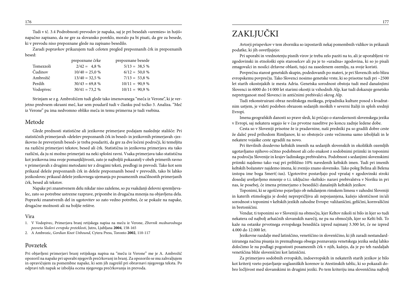Tudi v tč. 3.4 Podrobnosti prevodov je napaka, saj je pri besedah »uremies« in hәjiš« napačno zapisano, da ne gre za slovansko poreklo, moralo pa bi pisati, da gre za besede, ki v prevodu niso prepoznane glede na zapisano besedilo.

Zaradi popravkov prikazujem tudi celoten pregled prepoznanih črk in prepoznanih besed:

|           | prepoznane črke   | prepoznane besede |
|-----------|-------------------|-------------------|
| Tomezzoli | $2/42 = 4.8\%$    | $5/13 = 38.5\%$   |
| Čudinov   | $10/40 = 25,0 %$  | $6/12 = 50.0 %$   |
| Ambrožič  | $13/40 = 32.5 \%$ | $7/13 = 53,8%$    |
| Perdih    | $30/43 = 69,8%$   | $10/11 = 90,9%$   |
| Vodopivec | $30/41 = 73,2%$   | $10/11 = 90,9%$   |

Strinjam se z g. Ambrožičem tudi glede tako imenovanega "meča iz Verone", ki je verjetno predvsem okrasni meč, kar sem poudaril tudi v članku pod točko 3. Analiza. "Meč iz Verone" pa ima nedvomno obliko meča in temu primerna je tudi vsebina.

### Metode

Glede prednosti statistične ali jezikovne primerjave podajam naslednje stališče: Pri statističnih primerjavah »deležev prepoznanih črk in besed« in jezikovnih primerjavah »jezikovno že preverjenih besed« je treba poudariti, da gre za dve ločeni področji, ki temeljita na različni primerjavi tekstov, besed ali črk. Statistična in jezikovna primerjava sta tako različni, da ju ni možno primerjati na neki splošni ravni. Vsaka primerjava tako statistična kot jezikovna ima svoje pomanjkljivosti, zato je najboljši pokazatelj v obeh primerih ravno v primerjavah z drugimi metodami ter z drugimi teksti, predlogi in prevodi. Tako kot sem prikazal deleže prepoznanih črk in deleže prepoznanih besed v prevodih, tako bi lahko jezikoslovec prikazal deleže jezikovnega ujemanja po posameznih značilnostih primerjanih črk, besed ali tekstov.

Napake pri znanstvenem delu nikdar niso zaželene, so pa vsakdanji delovni spremljevalec, zato so potrebne ustrezne razprave, pripombe in drugačna mnenja na objavljena dela. Popravki znanstvenih del in ugotovitev so zato vedno potrebni, če se pokaže na napake, drugačne možnosti ali na boljše rešitve.

#### Vira

- 1. V Vodopivec, Primerjava branj retijskega napisa na meču iz Verone, *Zbornik mednarodnega posveta Sledovi evropske preteklosti*, Jutro, Ljubljana **2004**, 158-165
- 2. A Ambrozic, *Gordian Knot Unbound*, Cytera Press, Toronto **2002**, 110-117

#### Povzetek

Pri objavljeni primerjavi branj retijskega napisa na "meču iz Verone" me je A. Ambrožič opozoril na napake pri uporabi njegovih prečrkovanj in branj. Za opozorilo se mu zahvaljujem in opravičujem za pomembne napake, ki sem jih zagrešil pri obravnavi njegovega teksta. Po odpravi teh napak se izboljša ocena njegovega prečrkovanja in prevoda.

## ZAKLJUČKI

Avtorji prispevkov v tem zborniku so izpostavili nekaj pomembnih vidikov in prikazali podatke, ki jih osvetljujejo:

Pri uporabi in vrednotenju pisnih virov je treba zelo paziti na to, ali je uporabljeni vir zgodovinski in etnološki opis staroselcev ali pa je to »uradna« zgodovina, ki so jo pisali zmagovalci in nosilci državne oblasti, tujci na zasedenem ozemlju, za svoje koristi.

Povprečna starost genetskih skupin, podedovanih po materi, je pri Slovencih zelo blizu evropskemu povprečju. Tako Slovenci nosimo genetske vrste, ki so prisotne tudi pri ~2500 let starih okostnjakih iz mesta Adria. Genetska sorodnost obstoja tudi med današnjimi Slovenci in 6000 do 14 000 let starimi okostji iz vzhodnih Alp, kar tudi dokazuje genetsko nepretrganost med Slovenci in antičnimi prebivalci okrog Alp.

Tudi rekonstruirani obraz neolitskega moškega, pripadnika kulture posod s kvadratnim ustjem, je videti podoben obrazom sedanjih moških v severni Italiji in sploh srednji Evropi.

Imena geografskih danosti so prave sledi, ki pričajo o starodavnosti slovenskega jezika v Evropi, saj nekatera segajo še v čas prvotne naselitve po koncu zadnje ledene dobe.

Cesta so v Sloveniji prisotne že iz pradavnine, naši predniki pa so gradili dobre ceste že daleč pred prihodom Rimljanov, ki so obstoječe ceste večinoma samo izboljšali in le nekatere vojaške ceste zgradili na novo.

Pri številnih dozdevno keltskih imenih na sedanjih slovenskih in okoliških ozemljih ugotavljamo njihovo očitno podobnost ali celo enakost z sodobnimi priimki in toponimi na področju Slovenije in krajev ladinskega prebivalstva. Podobnost s sedanjimi slovenskimi priimki najdemo tako vsaj pri približno 10% navedenih keltskih imen. Tudi pri imenih keltskih božanstev najdemo imena, ki zvenijo znano slovensko. Tako poleg Belina ali Belena izstopa ime boga Smert(-ius). Ugotovitve postavljajo pod vprašaj v zgodovinski stroki dosedaj uveljavljeno mnenje o t.i. izključno »keltski« naravi prebivalstva v Noriku in pri nas, še posebej, če imena primerjamo z besedišči današnjih keltskih jezikov.

Toponimi, ki se zgoščeno pojavljajo ob nekdanjem rimskem limesu v zahodni Sloveniji in katerih etimologija je doslej neprepričljiva ali nepojasnjena, kažejo identičnost in/ali sorodnost s toponimi v keltskih jezikih zahodne Evrope: valižanščini, gelščini, kornvalščini in bretonščini.

Vendar, ti toponimi so v Sloveniji na območju, kjer Keltov nikoli ni bilo in kjer so tudi nekatera od najbolj arhaičnih slovanskih narečij, ne pa na območjih, kjer so Kelti bili. To kaže na ostanke prvotnega evropskega besedišča izpred najmanj 3.300 let, če ne izpred 4.000 do 12.000 let.

Jezikovne razdalje med latinščino, venetščino in slovenščino, ki jih zaradi nestandardiziranega načina pisanja in premajhnega obsega poznavanja venetskega jezika sedaj lahko določimo le na podlagi pogostosti posameznih črk v njih, kažejo, da je po teh razdaljah venetščina bliže slovenščini kot latinščini.

Za primerjavo sodobnih evropskih, indoevropskih in nekaterih starih jezikov je bilo kot kriterij vzeto pojavljanje soglasniških korenov iz Atestinskih tablic, ki so pokazali dobro ločljivost med slovanskimi in drugimi jeziki. Po tem kriteriju ima slovenščina najbolj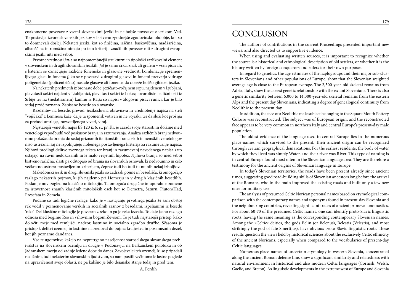enakomerne povezave z vsemi slovanskimi jeziki in najboljše povezave z jezikom Ved. To postavlja izvore slovanskih jezikov v bistveno zgodnejše zgodovinsko obdobje, kot so to domnevali doslej. Nekateri jeziki, kot so finščina, irščina, baskovščina, madžarščina, albanščina in romščina nimajo po tem kriteriju značilnih povezav niti z drugimi evropskimi jeziki niti med seboj.

Prvotne vrednosti *jat-*a so najpomembnejši strukturni in tipološki razlikovalni element v slovenskem in drugih slovanskih jezikih. *Jat* je samo črka, znak ali grafem v vseh pisavah, s katerim se označujejo različne fonemske in glasovne vrednosti kombinacije spremenljivega glasu in fonema *j*, ko se v povezavi z drugimi glasovi in fonemi pretvarja v druge poligenetsko (policentrično) nastale glasove ali foneme, da doseže boljšo gibkost jezika.

Na nekaterih predmetih iz bronaste dobe: jezičasto-ročajnem srpu, najdenem v Ljubljani, plavutasti sekiri najdeni v Ljubljanici, plavutasti sekiri iz Lokev, lovorolistni sulični osti iz Srbije ter na (nedatiranem) kamnu iz Ratja so napisi v zlogovni pisavi runici, kar je bilo sedaj prvič zaznano. Zapisane besede so slovanske.

Razdelitev na besede, prevod, jezikoslovna obravnava in vrednotenje napisa na steli "vojščaka" z Lemnosa kaže, da je ta spomenik votiven in ne vojaški, ter da služi kot prošnja za prehod umrlega, razsvetljenega v veri, v raj.

Najstarejši venetski napis ES 120 iz 6. st. pr. Kr. je zaradi svoje starosti in dolžine med venetologi vzpodbudil več poskusov branja in razumevanja. Analiza različnih branj nedvoumno pokaže, da branja do sedaj priznanih italijanskih, francoskih in nemških venetologov niso ustrezna, saj ne izpolnjujejo nobenega postavljenega kriterija za razumevanje napisa. Njihovi predlogi delitve zveznega teksta ter branj in razumevanj navedenega napisa zato ostajajo na ravni nedokazanih in le malo verjetnih hipotez. Njihova branja so med seboj bistveno različna, zlasti pa odstopajo od branja na slovanskih osnovah, ki nedvoumno in celo večkratno ustreza postavljenim kriterijem, čeprav tudi bo tudi tu nujnih nekaj izboljšav.

Makedonski jezik in drugi slovanski jeziki so zadržali pojme in besedišča, ki omogočajo razlago nekaterih pojmov, ki jih najdemo pri Homerju in v drugih klasičnih besedilih. Podan je nov pogled na klasično mitologijo. Ta omogoča drugačne in uporabne pomene za istovetnost znanih klasičnih mitoloških oseb kot so Demetra, Saturn, Pluton/Had, Presefata in Zemela.

Podane so tudi logične razlage, kako je v nastajanju prvotnega jezika že sam obstoj rek vodil v poimenovanje verskih in socialnih zasnov z besedami, izpeljanimi iz besede 'reka'. Del klasične mitologije je povezan z reko in ga je reka izzvala. To daje jasno razlago odnosa med boginjo Reo in vrhovnim bogom Zevsom. To je tudi najstarejši pristop, kako določiti meje med zemljišči, nadzor, lastnino in socialno zgradbo družbe. Sčasoma je pristop k delitvi ozemelj in lastnine napredoval do pojma kraljestva in posameznih dežel, kot jih poznamo dandanes.

Vse te ugotovitve kažejo na nepretrgano naseljenost staroselskega slovanskega prebivalstva na slovenskem ozemlju in drugje v Podonavju, na Balkanskem polotoku in ob Jadranskem morju od zadnje ledene dobe do danes. Zavojevalci teh ozemelj, ki so pripadali različnim, tudi nekaterim slovanskim ljudstvom, so nam pustili večinoma le lastne poglede na upravičenost svoje oblasti, ne pa kakšno je bilo dejansko stanje tedaj in pred tem.

## **CONCLUSION**

The authors of contributions in the current Proceedings presented important new views, and also directed us to supportive evidence.

When using and evaluating written sources, it is important to recognize whether the source is a historical and ethnological description of old settlers, or whether it is the history written by foreign conquerors and rulers for their own purposes.

In regard to genetics, the age estimates of the haplogroups and their major sub-clusters in Slovenians and other populations of Europe, show that the Slovenian weighted average age is close to the European average. The 2,500-year-old skeletal remains from Adria, Italy, show the closest genetic relationship with the extant Slovenians. There is also a genetic similarity between 6,000 to 14,000-year-old skeletal remains from the eastern Alps and the present day Slovenians, indicating a degree of genealogical continuity from Neolithic to the present day.

In addition, the face of a Neolithic male subject belonging to the Square Mouth Pottery Culture was reconstructed. The subject was of European origin, and the reconstructed face appears to be very common in northern Italy and central Europe's present-day male population.

The oldest evidence of the language used in central Europe lies in the numerous place-names, which survived to the present. Their ancient origin can be recognized through certain geographical demarcations. For the earliest residents, the body of water by which they lived was simply Water, and their river was River. This type of naming is in central Europe found most often in the Slovenian language area. They are therefore a testimony for the ancient origins of Slovenian language in Europe.

In today's Slovenian territories, the roads have been present already since ancient times, suggesting good road-building skills of Slovenian ancestors long before the arrival of the Romans, who in the main improved the existing roads and built only a few new ones for military use.

The analysis of presumed Celtic Norican personal names based on etymological comparison with the contemporary names and toponyms found in present-day Slovenia and the neighbouring countries, revealing significant traces of ancient primeval onomastics. For about 60-70 of the presumed Celtic names, one can identify proto-Slavic linguistic roots, having the same meaning as the corresponding contemporary Slovenian names. Among the »Celtic« deities, the gods Belin (or Belenus), Belestis (Velestis), and most strikingly the god of fate Smert(ius), have obvious proto-Slavic linguistic roots. These results question the views held by historical sciences about the exclusively Celtic ethnicity of the ancient Noricans, especially when compared to the vocabularies of present-day Celtic languages.

Numerous place-names of uncertain etymology in western Slovenia, concentrated along the ancient Roman defense line, show a significant similarity and relatedness with natural environment in historical and also modern Celtic languages (Cornish, Welsh, Gaelic, and Breton). As linguistic developments in the extreme west of Europe and Slovenia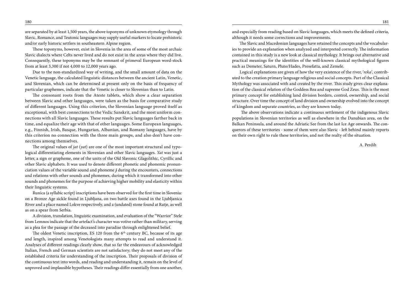are separated by at least 1,500 years, the above toponyms of unknown etymology through Slavic, Romance, and Teutonic languages may supply useful markers to locate prehistoric and/or early historic settlers in southeastern Alpine region.

These toponyms, however, exist in Slovenia in the area of some of the most archaic Slavic dialects where Celts never lived and do not exist in the areas where they did live. Consequently, these toponyms may be the remnant of primeval European word-stock from at least 3,300 if not 4,000 to 12,000 years ago.

Due to the non-standardized way of writing, and the small amount of data on the Venetic language, the calculated linguistic distances between the ancient Latin, Venetic, and Slovenian, which can be determined at present only on the basis of frequency of particular graphemes, indicate that the Venetic is closer to Slovenian than to Latin.

The consonant roots from the Ateste tablets, which show a clear separation between Slavic and other languages, were taken as the basis for comparative study of different languages. Using this criterion, the Slovenian language proved itself as exceptional, with best connections to the Vedic Sanskrit, and the most uniform connections with all Slavic languages. These results put Slavic languages farther back in time, and equalize their age with that of other languages. Some European languages, e.g., Finnish, Irish, Basque, Hungarian, Albanian, and Romany languages, have by this criterion no connection with the three main groups, and also don't have connections among themselves.

The original values of *jat* (*yat*) are one of the most important structural and typological differentiating elements in Slovenian and other Slavic languages. *Yat* was just a letter, a sign or grapheme, one of the units of the Old Slavonic Glagolithic, Cyrillic and other Slavic alphabets. It was used to denote different phonetic and phonemic pronunciation values of the variable sound and phoneme *j* during the encounters, connections and relations with other sounds and phonemes, during which it transformed into other sounds and phonemes for the purpose of achieving higher mobility and elasticity within their linguistic systems.

Runica (a syllabic script) inscriptions have been observed for the first time in Slovenia: on a Bronze Age sickle found in Ljubljana, on two battle axes found in the Ljubljanica River and a place named Lokve respectively, and a (undated) stone found at Ratje, as well as on a spear from Serbia.

A division, translation, linguistic examination, and evaluation of the "Warrior" Stele from Lemnos indicate that the artefact's character was votive rather than military, serving as a plea for the passage of the deceased into paradise through enlightened belief.

The oldest Venetic inscription, ES 120 from the  $6<sup>th</sup>$  century BC, because of its age and length, inspired among Venetologists many attempts to read and understand it. Analyses of different readings clearly show, that so far the endeavours of acknowledged Italian, French and German scientists are not satisfactory; they do not meet any of the established criteria for understanding of the inscription. Their proposals of division of the continuous text into words, and reading and understanding it, remain on the level of unproved and implausible hypotheses. Their readings differ essentially from one another,

and especially from reading based on Slavic languages, which meets the defined criteria, although it needs some corrections and improvements.

The Slavic and Macedonian languages have retained the concepts and the vocabularies to provide an explanation when analyzed and interpreted correctly. The information contained in this study is a new look at classical mythology. It brings out alternative and practical meanings for the identities of the well-known classical mythological figures such as Demeter, Saturn, Pluto/Hades, Presefatta, and Zemele.

Logical explanations are given of how the very existence of the river, '*reka*', contributed to the creation primary language religious and social concepts. Part of the Classical Mythology was associated with and created by the river. This study gives clear explanation of the classical relation of the Goddess Rea and supreme God Zeus. This is the most primary concept for establishing land division borders, control, ownership, and social structure. Over time the concept of land division and ownership evolved into the concept of kingdom and separate countries, as they are known today.

 The above observations indicate a continuous settlement of the indigenous Slavic populations in Slovenian territories as well as elsewhere in the Danubian area, on the Balkan Peninsula, and around the Adriatic See from the last Ice Age onwards. The conquerors of these territories - some of them were also Slavic - left behind mainly reports on their own right to rule these territories, and not the realty of the situation.

A. Perdih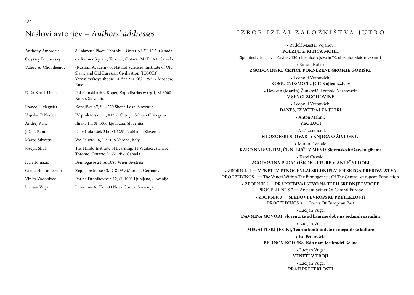## Naslovi avtorjev – *Authors' addresses*

| Anthony Ambrozic     | 8 Lafayette Place, Thornhill, Ontario L3T 1G5, Canada                                                                                                                      |
|----------------------|----------------------------------------------------------------------------------------------------------------------------------------------------------------------------|
| Odyssey Belchevsky   | 67 Rainier Square, Toronto, Ontario M1T 3A1, Canada                                                                                                                        |
| Valery A. Choodeenov | (Russian Academy of Natural Sciences, Institute of Old<br>Slavic and Old Eurasian Civilization (IOSOE))<br>Yarosslavskoye shosse 14, flat 214, RU-129377 Moscow,<br>Russia |
| Duša Krnel-Umek      | Pokrajinski arhiv Koper, Kapodistriasov trg 1, SI-6000<br>Koper, Slovenija                                                                                                 |
| France F. Megušar    | Kopališka 47, SI-4220 Škofja Loka, Slovenija                                                                                                                               |
| Vojislav P. Nikčević | IV proleterske 31, 81250 Cetinje, Srbija i Crna gora                                                                                                                       |
| Andrej Rant          | Ilirska 14, SI-1000 Ljubljana, Slovenija                                                                                                                                   |
| Jože J. Rant         | Ul. v Kokovšek 31a, SI-1231 Ljubljana, Slovenija                                                                                                                           |
| Marco Silvestri      | Via Faliero 16, I-37138 Verona, Italy                                                                                                                                      |
| Joseph Skulj         | The Hindu Institute of Learning, 11 Westacres Drive,<br>Toronto, Ontario M6M 2B7, Canada                                                                                   |
| Ivan Tomažič         | Bennogasse 21, A-1080 Wien, Avstrija                                                                                                                                       |
| Giancarlo Tomezzoli  | Zeppelinstrasse 43, D-81669 Munich, Germany                                                                                                                                |
| Vinko Vodopivec      | Pot na Drenikov vrh 12, SI-1000 Ljubljana, Slovenija                                                                                                                       |
| Lucijan Vuga         | Lemutova 6, SI-5000 Nova Gorica, Slovenija                                                                                                                                 |

## I Z B O R I Z DAJ Z A L O Ž N I ŠT VA J U T R O

| • Rudolf Maister Vojanov:                                                                                                                                 |
|-----------------------------------------------------------------------------------------------------------------------------------------------------------|
| POEZIJE in KITICA MOJIH                                                                                                                                   |
| (Spominska izdaja v počastitev 130. obletnice rojstva in 70. obletnice Maistrove smrti)                                                                   |
| • Simon Rutar:<br>ZGODOVINSKE ČRTICE POKNEŽENE GROFIJE GORIŠKE                                                                                            |
| • Leopold Verbovšek:<br>KOMU (NI)SMO TUJCI? Knjiga izzivov                                                                                                |
| • Davorin (Martin) Žunkovič, Leopold Verbovšek:<br><b>V SENCI ZGODOVINE</b>                                                                               |
| · Leopold Verbovšek:<br>DANES, IZ VČERAJ ZA JUTRI                                                                                                         |
| · Anton Mahnič<br>VEČ LUČI                                                                                                                                |
| · Aleš Ušeničnik<br>FILOZOFSKI SLOVAR in KNJIGA O ŽIVLJENJU                                                                                               |
| · Marko Dvořak:<br>KAKO NAJ SVETIM, ČE NI LUČI V MENI? Slovensko križarsko gibanje                                                                        |
| • Karel Ozvald:<br>ZGODOVINA PEDAGOŠKE KULTURE V ANTIČNI DOBI                                                                                             |
| • ZBORNIK 1 - VENETI V ETNOGENEZI SREDNJEEVROPSKEGA PREBIVALSTVA<br>PROCEEDINGS 1 - The Veneti Within The Ethnogenesis Of The Central-european Population |
| • ZBORNIK 2 - PRAPREBIVALSTVO NA TLEH SREDNJE EVROPE<br>PROCEEDINGS 2 - Ancient Settler Of Central Europe                                                 |
| • ZBORNIK 3 - SLEDOVI EVROPSKE PRETEKLOSTI<br>PROCEEDINGS 3 - Traces Of European Past                                                                     |
| • Lucijan Vuga:<br>DAVNINA GOVORI, Slovenci že od kamene dobe na sedanjih ozemljih                                                                        |
| • Lucijan Vuga:<br>MEGALITSKI JEZIKI, Teorija kontinuitete in megalitske kulture                                                                          |
| • Ivo Petkovšek:<br>BELINOV KODEKS, Kdo nam je ukradel Belina                                                                                             |
| • Lucijan Vuga:<br><b>VENETI V TROJI</b>                                                                                                                  |
| • Lucijan Vuga:<br>PRAH PRETEKLOSTI                                                                                                                       |